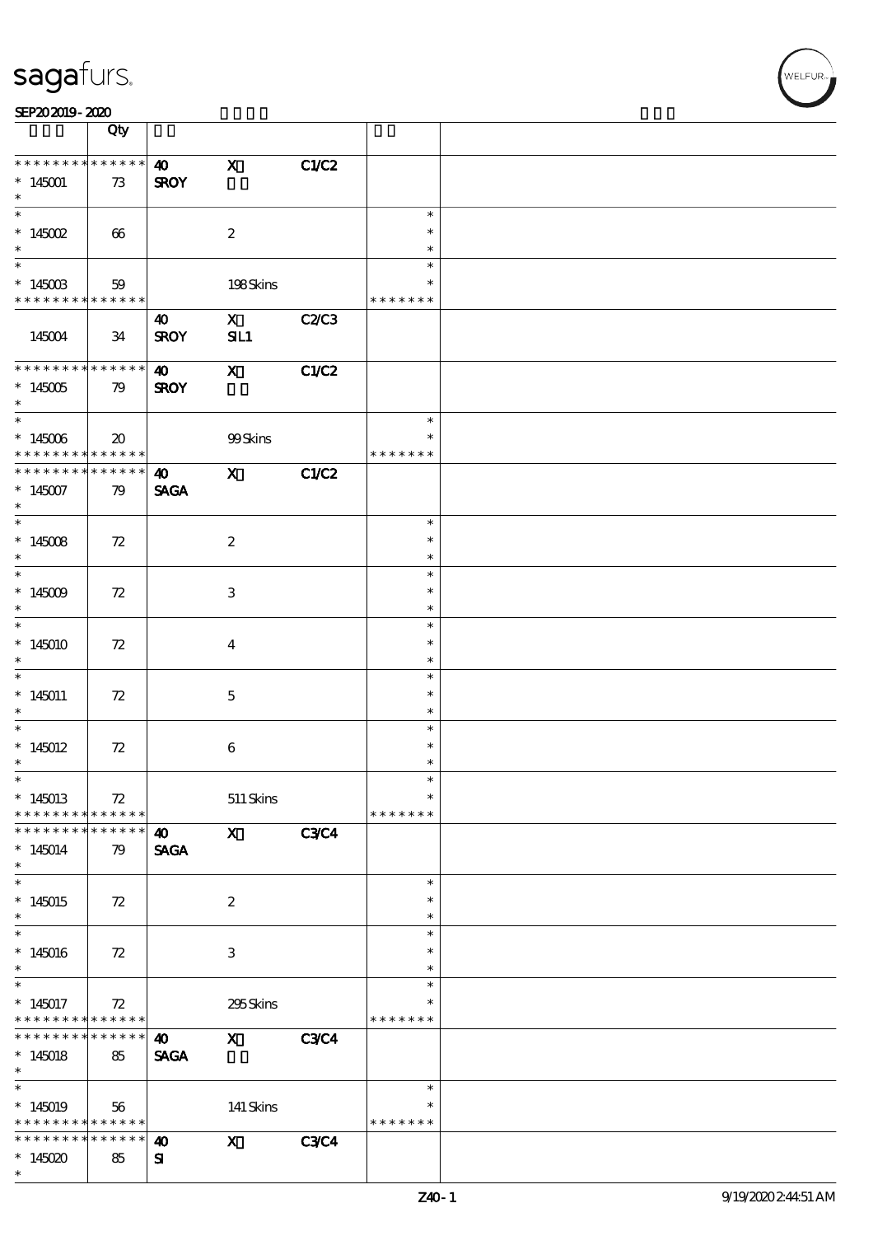| SEP202019-2020 |  |  |  |
|----------------|--|--|--|
|----------------|--|--|--|

|                                                                          | Qty                                 |                                      |                                        |              |                                      |  |
|--------------------------------------------------------------------------|-------------------------------------|--------------------------------------|----------------------------------------|--------------|--------------------------------------|--|
| * * * * * * * * * * * * * *<br>$*145001$<br>$\ast$                       | 73                                  | $\boldsymbol{\omega}$<br><b>SROY</b> | $\mathbf x$                            | C1/C2        |                                      |  |
| $\overline{\ast}$<br>$*145002$<br>$\ast$                                 | 66                                  |                                      | $\boldsymbol{2}$                       |              | $\ast$<br>$\ast$<br>$\ast$           |  |
| $\ast$<br>$^*$ 145003 $\,$<br>* * * * * * * * * * * * * *                | 59                                  |                                      | 198Skins                               |              | $\ast$<br>*<br>* * * * * * *         |  |
| 145004                                                                   | 34                                  | $\boldsymbol{\omega}$<br><b>SROY</b> | $\mathbf{x}$<br>SL1                    | <b>C2/C3</b> |                                      |  |
| * * * * * * * * * * * * * *<br>$*145005$<br>$*$                          | 79                                  | $\boldsymbol{\omega}$<br><b>SROY</b> | $\boldsymbol{\mathrm{X}}$              | C1/C2        |                                      |  |
| $^\ast$ 145006<br>* * * * * * * * * * * * * * *                          | $\boldsymbol{\boldsymbol{\lambda}}$ |                                      | 99Skins                                |              | $\ast$<br>$\ast$<br>* * * * * * *    |  |
| * * * * * * * *<br>$*145007$<br>$\ast$                                   | $* * * * * * *$<br>79               | $\boldsymbol{\omega}$<br><b>SAGA</b> | $\mathbf{x}$                           | C1/C2        |                                      |  |
| $\overline{\ast}$<br>$*145008$<br>$\ast$                                 | 72                                  |                                      | $\boldsymbol{z}$                       |              | $\ast$<br>$\ast$<br>$\ast$           |  |
| $*145009$<br>$\ast$                                                      | 72                                  |                                      | 3                                      |              | $\ast$<br>$\ast$<br>$\ast$           |  |
| $\overline{\ast}$<br>$*145010$<br>$\ast$                                 | 72                                  |                                      | $\overline{\mathbf{4}}$                |              | $\ast$<br>$\ast$<br>$\ast$           |  |
| $\overline{\phantom{0}}$<br>$*145011$<br>$\ast$                          | 72                                  |                                      | $\mathbf{5}$                           |              | $\ast$<br>$\ast$<br>$\ast$           |  |
| $\ast$<br>$*145012$<br>$\ast$                                            | 72                                  |                                      | $\bf 6$                                |              | $\ast$<br>$\ast$<br>$\ast$           |  |
| $*$<br>$*145013$<br>* * * * * * * *                                      | $72\,$<br>* * * * * *               |                                      | $511\,$ Skins                          |              | $\ast$<br>$\ast$<br>* * * * * * *    |  |
| * * * * * * *<br>$*145014$<br>$\ast$<br>$\ast$                           | * * * * * *<br>79                   | 40<br><b>SAGA</b>                    | $\mathbf{x}$                           | <b>C3C4</b>  |                                      |  |
| $*145015$<br>$\ast$<br>$\ast$                                            | 72                                  |                                      | $\boldsymbol{z}$                       |              | $\ast$<br>$\ast$<br>$\ast$<br>$\ast$ |  |
| $*145016$<br>$\ast$<br>$\ast$                                            | 72                                  |                                      | 3                                      |              | $\ast$<br>$\ast$<br>$\ast$           |  |
| $*145017$<br>* * * * * * * *<br>* * * * * * *                            | 72<br>* * * * * *<br>* * * * * *    |                                      | 295Skins                               |              | $\ast$<br>* * * * * * *              |  |
| $*145018$<br>$\ast$<br>$\ast$                                            | 85                                  | $\boldsymbol{\omega}$<br><b>SAGA</b> | $\mathbf x$                            | <b>C3C4</b>  | $\ast$                               |  |
| $*145019$<br>* * * * * * * * <mark>* * * * * * *</mark><br>* * * * * * * | 56<br>* * * * * *                   |                                      | 141 Skins<br>$\boldsymbol{\mathsf{X}}$ | <b>C3C4</b>  | $\ast$<br>* * * * * * *              |  |
| $*145020$<br>$\ast$                                                      | 85                                  | $\boldsymbol{\omega}$<br>${\bf s}$   |                                        |              |                                      |  |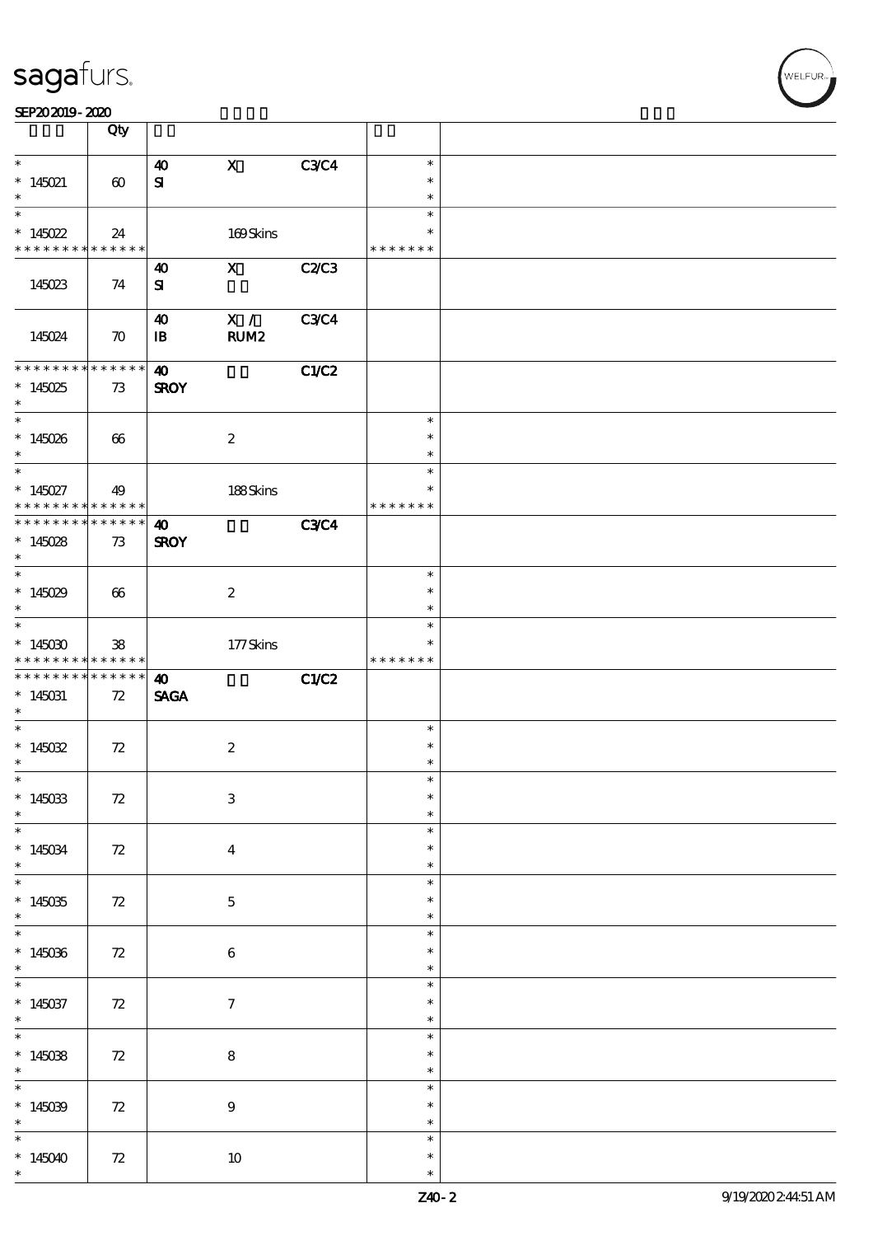|                                          | Qty                   |                       |                  |              |                  |  |
|------------------------------------------|-----------------------|-----------------------|------------------|--------------|------------------|--|
|                                          |                       |                       |                  |              |                  |  |
| $\ast$<br>$*145021$                      |                       | $\boldsymbol{\omega}$ | $\mathbf{X}$     | <b>C3C4</b>  | $\ast$<br>$\ast$ |  |
| $\ast$                                   | $\boldsymbol{\omega}$ | ${\bf s}$             |                  |              | $\ast$           |  |
| $\ast$                                   |                       |                       |                  |              | $\ast$           |  |
| $*145022$                                | 24                    |                       | 169Skins         |              | $\ast$           |  |
| * * * * * * * * * * * * * *              |                       |                       |                  |              | * * * * * * *    |  |
|                                          |                       | $\boldsymbol{\omega}$ | $\mathbf x$      | <b>C2/C3</b> |                  |  |
| 145023                                   | 74                    | ${\bf s}$             |                  |              |                  |  |
|                                          |                       | 40                    | X /              | <b>C3C4</b>  |                  |  |
| 145024                                   | $\boldsymbol{\pi}$    | $\mathbf{B}$          | RUM2             |              |                  |  |
|                                          |                       |                       |                  |              |                  |  |
| **************                           |                       | $\boldsymbol{\omega}$ |                  | C1/C2        |                  |  |
| $*145025$<br>$\ast$                      | 73                    | <b>SROY</b>           |                  |              |                  |  |
| $\overline{\phantom{0}}$                 |                       |                       |                  |              | $\ast$           |  |
| $*145026$                                | 66                    |                       | $\boldsymbol{2}$ |              | $\ast$           |  |
| $\ast$                                   |                       |                       |                  |              | $\ast$           |  |
| $\overline{\ast}$                        |                       |                       |                  |              | $\ast$<br>$\ast$ |  |
| $*145027$<br>* * * * * * * * * * * * * * | 49                    |                       | 188Skins         |              | * * * * * * *    |  |
| * * * * * * * * * * * * * *              |                       | $\boldsymbol{\omega}$ |                  | <b>C3C4</b>  |                  |  |
| $*145028$                                | 73                    | <b>SROY</b>           |                  |              |                  |  |
| $\ast$                                   |                       |                       |                  |              |                  |  |
| $\overline{\phantom{1}}$                 |                       |                       |                  |              | $\ast$           |  |
| $*145029$<br>$\ast$                      | 66                    |                       | $\boldsymbol{2}$ |              | $\ast$<br>$\ast$ |  |
| $\ast$                                   |                       |                       |                  |              | $\ast$           |  |
| $*145030$                                | 38                    |                       | 177Skins         |              | $\ast$           |  |
| * * * * * * * * * * * * * * *            |                       |                       |                  |              | * * * * * * *    |  |
| **************                           |                       | $\boldsymbol{\omega}$ |                  | C1/C2        |                  |  |
| $*145031$<br>$\ast$                      | 72                    | <b>SAGA</b>           |                  |              |                  |  |
| $\ast$                                   |                       |                       |                  |              | $\ast$           |  |
| $*145032$                                | 72                    |                       | $\boldsymbol{2}$ |              | $\ast$           |  |
| $\ast$                                   |                       |                       |                  |              | $\ast$           |  |
|                                          |                       |                       |                  |              | $\ast$           |  |
| $*145033$<br>$\ast$                      | 72                    |                       | $\,3$            |              | $\ast$           |  |
| $\overline{\phantom{1}}$                 |                       |                       |                  |              | $\ast$           |  |
| $*145034$                                | 72                    |                       | $\bf{4}$         |              | $\ast$           |  |
| $\ast$                                   |                       |                       |                  |              | $\ast$           |  |
| $\ast$<br>$*145035$                      |                       |                       |                  |              | $\ast$<br>$\ast$ |  |
| $\ast$                                   | 72                    |                       | $\mathbf 5$      |              | $\ast$           |  |
| $\ast$                                   |                       |                       |                  |              | $\ast$           |  |
| $*145036$                                | 72                    |                       | $\boldsymbol{6}$ |              | $\ast$           |  |
| $\ast$<br>$\overline{\phantom{0}}$       |                       |                       |                  |              | $\ast$           |  |
|                                          |                       |                       |                  |              | $\ast$           |  |
| $*145037$                                |                       |                       |                  |              |                  |  |
| $\ast$                                   | 72                    |                       | $\tau$           |              | $\ast$<br>$\ast$ |  |
| $\ast$                                   |                       |                       |                  |              | $\ast$           |  |
| $*145038$                                | 72                    |                       | 8                |              | *                |  |
| $\ast$                                   |                       |                       |                  |              | *                |  |
| $\overline{\phantom{a}^*}$               |                       |                       |                  |              | $\ast$           |  |
| $*145039$<br>$\ast$                      | 72                    |                       | $\boldsymbol{9}$ |              | $\ast$<br>*      |  |
| $\overline{\phantom{0}}$                 |                       |                       |                  |              | $\ast$           |  |
| * 145040                                 | 72                    |                       | $10\,$           |              | $\ast$           |  |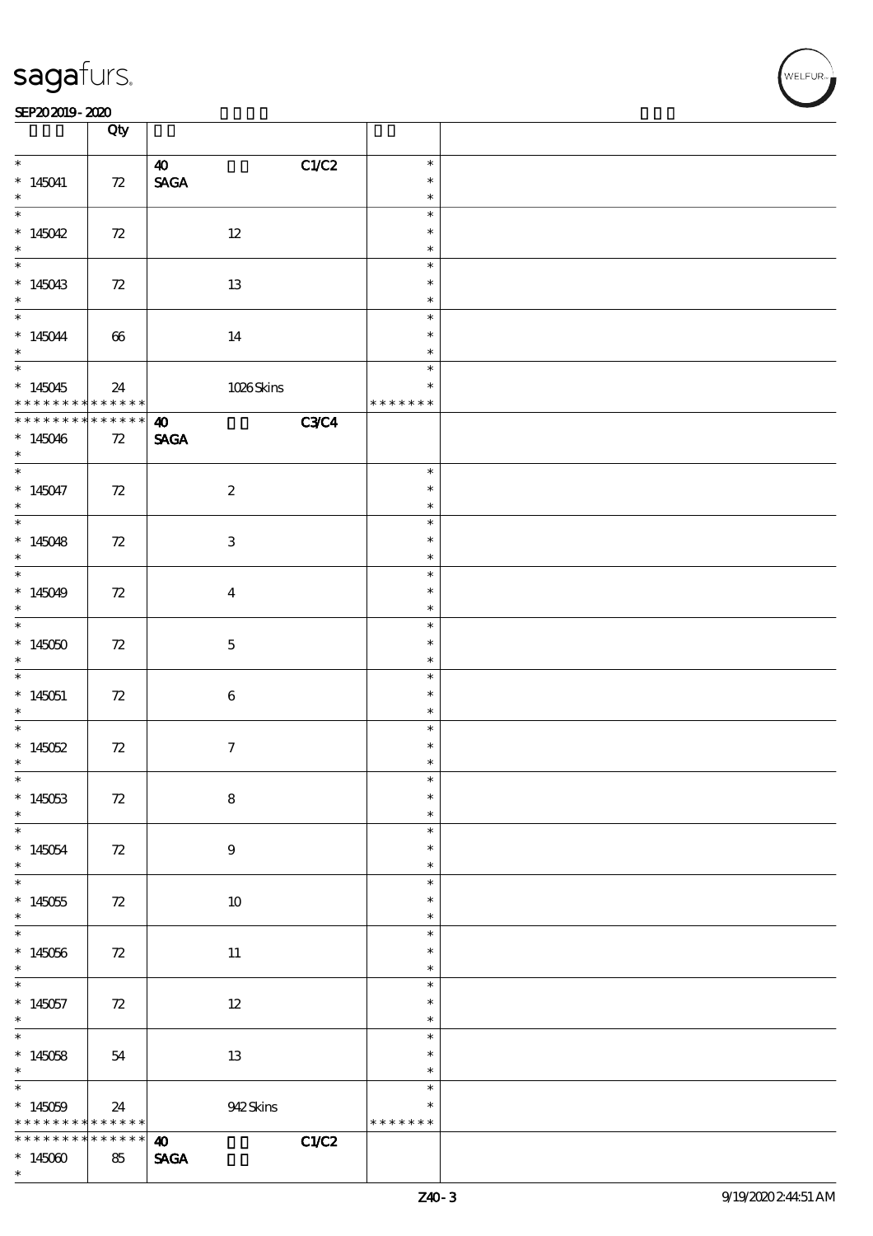#### SEP202019-2020

|                                 | Qty         |                                      |                  |  |
|---------------------------------|-------------|--------------------------------------|------------------|--|
| $*$                             |             | C1/C2<br>$\boldsymbol{\omega}$       | $\ast$           |  |
| $*145041$                       | 72          | $\ensuremath{\mathsf{SAGA}}$         | $\ast$           |  |
| $\ast$                          |             |                                      | $\ast$           |  |
|                                 |             |                                      | $\ast$           |  |
| * $145042$<br>$*$               | $72\,$      | $12\,$                               | $\ast$<br>$\ast$ |  |
| $*$                             |             |                                      | $\ast$           |  |
| $*145043$                       | 72          | 13                                   | $\ast$           |  |
| $*$                             |             |                                      | $\ast$           |  |
| $*$                             |             |                                      | $\ast$           |  |
| * 145044                        | $66\,$      | 14                                   | $\ast$           |  |
|                                 |             |                                      | $\ast$<br>$\ast$ |  |
| $*145045$                       | 24          | 1026Skins                            | $\ast$           |  |
| * * * *                         | $******$    |                                      | * * * * * * *    |  |
| * * * * * * * *                 | ******      | <b>C3C4</b><br>$\boldsymbol{\omega}$ |                  |  |
| $*145046$                       | $72\,$      | <b>SAGA</b>                          |                  |  |
| $\ast$                          |             |                                      |                  |  |
|                                 |             |                                      | $\ast$<br>$\ast$ |  |
| $*145047$<br>$\ast$             | 72          | $\boldsymbol{2}$                     | $\ast$           |  |
|                                 |             |                                      | $\ast$           |  |
| * $145048$                      | $72\,$      | $\mathbf{3}$                         | $\ast$           |  |
| $\ast$                          |             |                                      | $\ast$           |  |
| $*$                             |             |                                      | $\ast$           |  |
| * $145049$                      | 72          | $\overline{\mathbf{4}}$              | $\ast$<br>$\ast$ |  |
| $\ast$                          |             |                                      | $\ast$           |  |
| $*145050$                       | 72          | $\mathbf 5$                          | $\ast$           |  |
| $\ast$                          |             |                                      | $\ast$           |  |
|                                 |             |                                      | $\ast$           |  |
| $*145051$                       | $72\,$      | $\bf 6$                              | $\ast$           |  |
| $\ast$                          |             |                                      | $\ast$<br>$\ast$ |  |
| $*145052$                       | 72          | $\tau$                               | $\ast$           |  |
| $\ast$                          |             |                                      | $\ast$           |  |
| $\ast$                          |             |                                      | ж                |  |
| $*145053$                       | 72          | $\bf8$                               | $\ast$           |  |
| $\ast$                          |             |                                      | $\ast$           |  |
| $*145054$                       | 72          | $9\phantom{.0}$                      | $\ast$<br>$\ast$ |  |
| $\ast$                          |             |                                      | $\ast$           |  |
| $\overline{\phantom{0}}$        |             |                                      | $\ast$           |  |
| $*145055$                       | 72          | $10\,$                               | $\ast$           |  |
| $*$<br>$\overline{\phantom{0}}$ |             |                                      | $\ast$           |  |
|                                 |             |                                      | $\ast$<br>$\ast$ |  |
| $*145056$<br>$*$                | 72          | 11                                   | $\ast$           |  |
|                                 |             |                                      | $\ast$           |  |
| $*145057$                       | 72          | $12\,$                               | $\ast$           |  |
| $\ast$                          |             |                                      | $\ast$           |  |
| $*$                             |             |                                      | $\ast$<br>$\ast$ |  |
| $*145058$<br>$\ast$             | 54          | 13                                   | $\ast$           |  |
| $\overline{\phantom{0}}$        |             |                                      | $\ast$           |  |
| $*145059$                       | 24          | 942Skins                             | $\ast$           |  |
| * * * * * * * *                 | * * * * * * |                                      | * * * * * * *    |  |
| * * * * * * * *                 | $******$    | C1/C2<br>$\boldsymbol{\omega}$       |                  |  |
| $*145000$<br>$\ast$             | 85          | $\operatorname{\mathsf{SAGA}}$       |                  |  |
|                                 |             |                                      |                  |  |

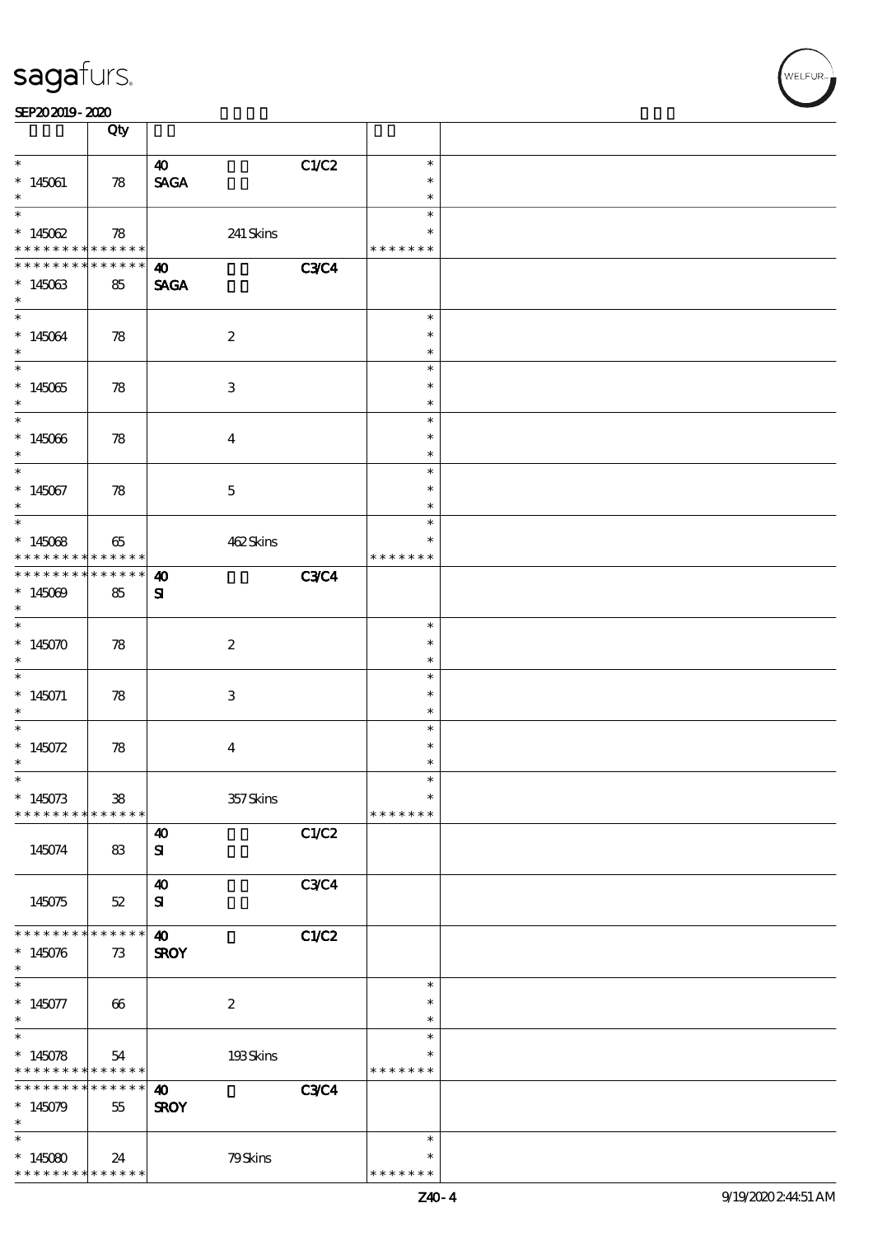|                                                               | Qty                       |                                      |             |                                   |  |
|---------------------------------------------------------------|---------------------------|--------------------------------------|-------------|-----------------------------------|--|
| $\ast$<br>$*145061$                                           | $\boldsymbol{78}$         | 40<br><b>SAGA</b>                    | C1/C2       | $\ast$<br>$\ast$<br>$\ast$        |  |
| $\overline{\ast}$<br>* $145062$<br>* * * * * * * *            | 78<br>******              | $241\,{\rm Skirs}$                   |             | $\ast$<br>$\ast$<br>* * * * * * * |  |
| * * * * * * *<br>$*145063$<br>$\ast$                          | * * * * * *<br>85         | $\boldsymbol{\omega}$<br><b>SAGA</b> | <b>C3C4</b> |                                   |  |
| $\ast$<br>$*145064$<br>$\ast$                                 | 78                        | $\boldsymbol{2}$                     |             | $\ast$<br>$\ast$<br>$\ast$        |  |
| $\overline{\phantom{0}}$<br>$*145065$<br>$*$                  | 78                        | $\sqrt{3}$                           |             | $\ast$<br>$\ast$<br>$\ast$        |  |
| $\overline{\phantom{0}}$<br>$*145066$<br>$\ast$               | 78                        | $\overline{4}$                       |             | $\ast$<br>$\ast$<br>$\ast$        |  |
| $\overline{\ast}$<br>$*145067$<br>$\ast$                      | 78                        | $\mathbf 5$                          |             | $\ast$<br>$\ast$<br>$\ast$        |  |
| $\overline{\phantom{0}}$<br>$*145068$<br>* * * * * * * *      | 65<br>******              | 462Skins                             |             | $\ast$<br>*<br>* * * * * * *      |  |
| * * * * * * * *<br>$*145009$<br>$\ast$                        | $******$<br>85            | $\boldsymbol{\omega}$<br>${\bf s}$   | <b>C3C4</b> |                                   |  |
| $\overline{\ast}$<br>$*145070$<br>$\ast$                      | 78                        | $\boldsymbol{2}$                     |             | $\ast$<br>$\ast$<br>$\ast$        |  |
| $\overline{\phantom{0}}$<br>$* 145071$<br>$\ast$              | 78                        | $\ensuremath{\mathbf{3}}$            |             | $\ast$<br>$\ast$<br>$\ast$        |  |
| $\ast$<br>* $145072$<br>$\ast$                                | 78                        | $\boldsymbol{4}$                     |             | $\ast$<br>$\ast$<br>$\ast$        |  |
| $\ast$<br>$*145073$<br>* * * * * * * *                        | ${\bf 38}$<br>* * * * * * | $357$ Skins                          |             | $\ast$<br>$\ast$<br>* * * * * * * |  |
| 145074                                                        | 83                        | $\boldsymbol{\omega}$<br>${\bf s}$   | C1/C2       |                                   |  |
| 145075                                                        | $52\,$                    | $\boldsymbol{\omega}$<br>${\bf s}$   | <b>C3C4</b> |                                   |  |
| * * * * * * * *<br>$*145076$<br>$\ast$                        | * * * * * *  <br>73       | $\boldsymbol{\omega}$<br><b>SROY</b> | C1/C2       |                                   |  |
| $\ast$<br>$*145077$<br>$\ast$<br>$\ast$                       | 66                        | $\boldsymbol{2}$                     |             | $\ast$<br>$\ast$<br>$\ast$        |  |
| $*145078$<br>* * * * * * * * * * * * * * *<br>* * * * * * * * | 54                        | 193Skins                             |             | $\ast$<br>* * * * * * *           |  |
| $*145079$<br>$\ast$<br>$\ast$                                 | * * * * * * *<br>55       | $\boldsymbol{\omega}$<br><b>SROY</b> | <b>C3C4</b> |                                   |  |
| $*145080$<br>* * * * * * * * <mark>* * * * * * *</mark>       | 24                        | 79Skins                              |             | $\ast$<br>$\ast$<br>* * * * * * * |  |

 $\overline{\mathsf{r}}$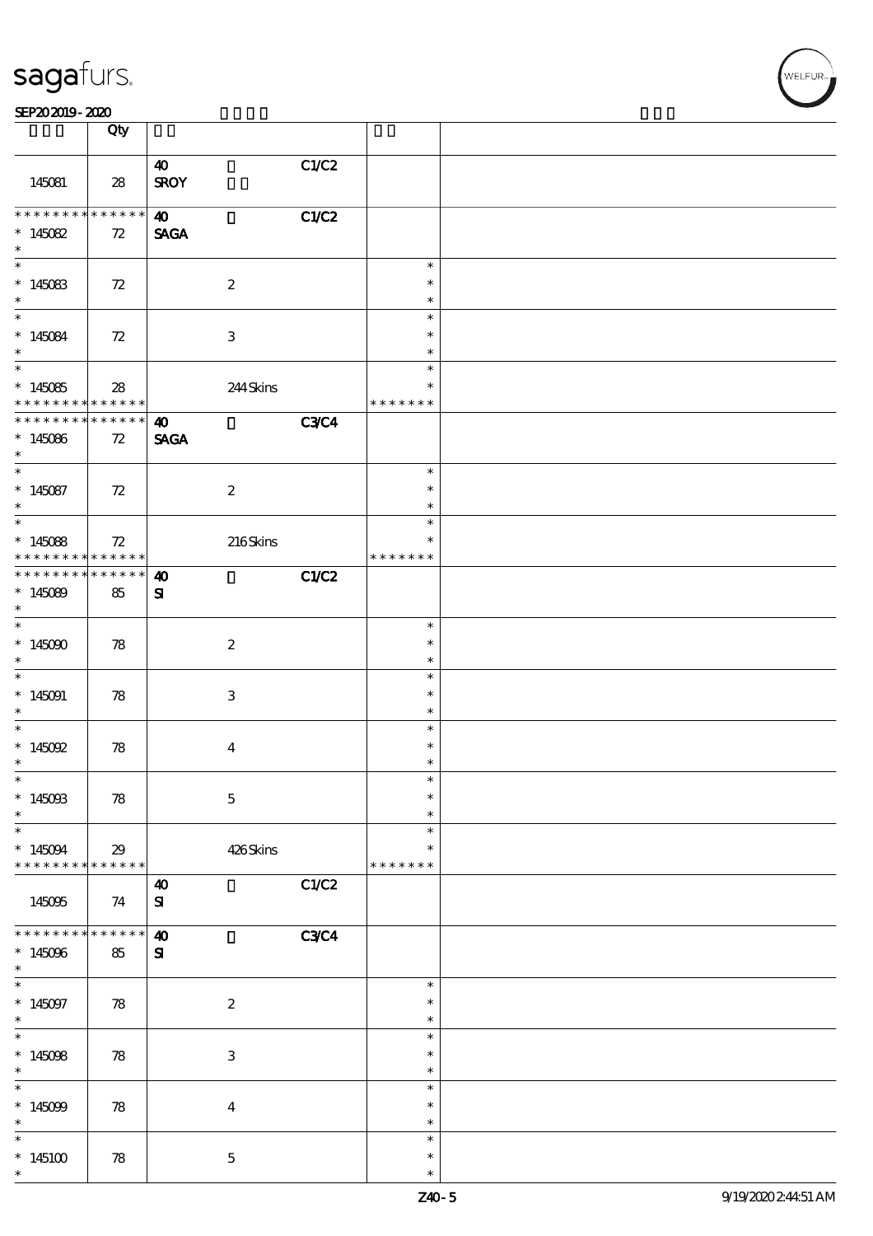| sagafurs. |
|-----------|
|           |

#### SEP202019-2020

| an avario- alav                                                                     |                            |                                      |             |                                   |  |
|-------------------------------------------------------------------------------------|----------------------------|--------------------------------------|-------------|-----------------------------------|--|
|                                                                                     | Qty                        |                                      |             |                                   |  |
| 145081                                                                              | 28                         | 40<br><b>SROY</b>                    | C1/C2       |                                   |  |
| * * * * * * * * <mark>* * * * * * *</mark><br>* $145082$<br>$\ast$                  | 72                         | $\boldsymbol{\omega}$<br><b>SAGA</b> | C1/C2       |                                   |  |
| $*145083$<br>$\ast$                                                                 | 72                         | $\boldsymbol{2}$                     |             | $\ast$<br>$\ast$<br>$\ast$        |  |
| $*$<br>$*145084$<br>$\ast$                                                          | 72                         | 3                                    |             | $\ast$<br>$\ast$<br>$\ast$        |  |
| $\overline{\phantom{0}}$<br>$*145085$<br>* * * * * * * * <mark>* * * * * * *</mark> | $\boldsymbol{\mathcal{Z}}$ | 244Skins                             |             | $\ast$<br>* * * * * * *           |  |
| * * * * * * * *<br>$*145086$<br>$\ast$                                              | $******$<br>72             | $\boldsymbol{\omega}$<br><b>SAGA</b> | <b>C3C4</b> |                                   |  |
| $*$<br>$*145087$<br>$\ast$                                                          | 72                         | $\boldsymbol{2}$                     |             | $\ast$<br>$\ast$<br>$\ast$        |  |
| $*145088$<br>* * * * * * * * <mark>* * * * * * *</mark>                             | 72                         | 216Skins                             |             | $\ast$<br>* * * * * * *           |  |
| * * * * * * * *<br>$*145089$<br>$\ast$                                              | ******<br>85               | $\boldsymbol{\omega}$<br>${\bf s}$   | C1/C2       |                                   |  |
| $*$<br>$*145000$<br>$\ast$                                                          | 78                         | $\boldsymbol{2}$                     |             | $\ast$<br>$\ast$<br>$\ast$        |  |
| $*145091$<br>$\ast$                                                                 | 78                         | $\ensuremath{\mathbf{3}}$            |             | $\ast$<br>$\ast$<br>$\ast$        |  |
| * $145092$<br>$\ast$                                                                | 78                         | $\overline{4}$                       |             | $\ast$<br>$\ast$<br>$\ast$        |  |
| $\ast$<br>$*14500B$<br>$\ast$                                                       | $78$                       | $\mathbf 5$                          |             | $\ast$<br>$\ast$<br>$\ast$        |  |
| $*145094$<br>* * * * * * * *                                                        | 29<br>* * * * * *          | 426Skins                             |             | $\ast$<br>$\ast$<br>* * * * * * * |  |
| 145095                                                                              | 74                         | $\boldsymbol{\omega}$<br>${\bf s}$   | C1/C2       |                                   |  |
| * * * * * * * *<br>$*145096$<br>$\ast$                                              | * * * * * *<br>85          | $\boldsymbol{\omega}$<br>${\bf s}$   | <b>C3C4</b> |                                   |  |
| $\ast$<br>$*145097$<br>$\ast$<br>$\overline{\ast}$                                  | 78                         | $\boldsymbol{2}$                     |             | $\ast$<br>$\ast$<br>$\ast$        |  |
| $*145098$<br>$\ast$                                                                 | 78                         | $\ensuremath{\mathbf{3}}$            |             | $\ast$<br>$\ast$<br>$\ast$        |  |
| $\ast$<br>$*145099$<br>$\ast$                                                       | ${\bf 78}$                 | $\boldsymbol{4}$                     |             | $\ast$<br>$\ast$<br>$\ast$        |  |
| $\ast$<br>$*145100$<br>$\ast$                                                       | 78                         | $\mathbf 5$                          |             | $\ast$<br>$\ast$<br>$\ast$        |  |

:<br>ELFUR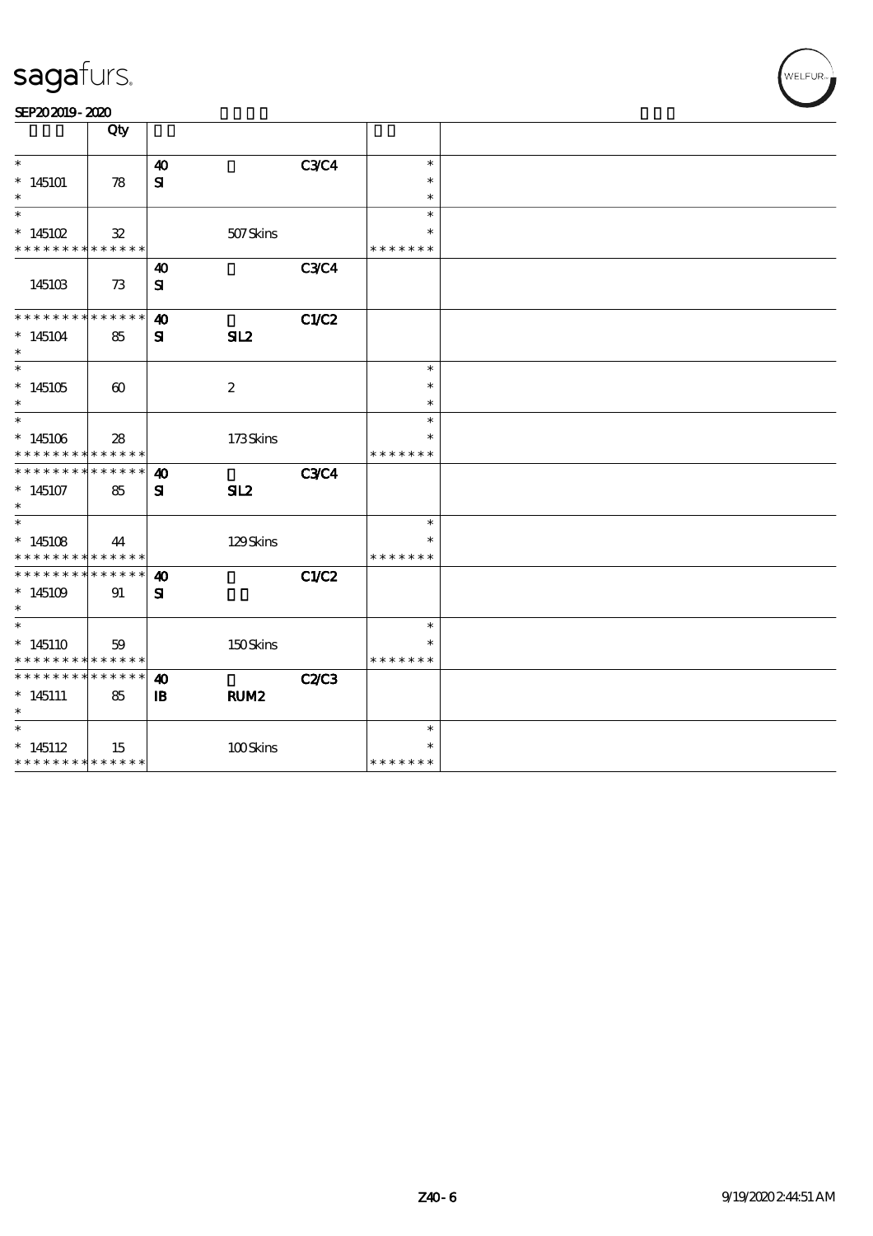| -              |  |
|----------------|--|
| SEP202019-2020 |  |

|                                                                                   | Qty                   |                                    |                  |              |                                   |  |
|-----------------------------------------------------------------------------------|-----------------------|------------------------------------|------------------|--------------|-----------------------------------|--|
| $\ast$<br>$*145101$<br>$\ast$                                                     | 78                    | $\boldsymbol{\omega}$<br>${\bf s}$ |                  | <b>C3C4</b>  | $\ast$<br>$\ast$                  |  |
| $\ast$<br>$*145102$<br>* * * * * * * * <mark>* * * * * *</mark>                   | $32\,$                |                                    | 507Skins         |              | $\ast$<br>* * * * * * *           |  |
| 145103                                                                            | 73                    | $\boldsymbol{\omega}$<br>${\bf s}$ |                  | <b>C3C4</b>  |                                   |  |
| * * * * * * * *<br>$*145104$                                                      | ******<br>85          | $\boldsymbol{\omega}$<br>${\bf s}$ | SL2              | C1/C2        |                                   |  |
| $\ast$<br>$*145105$                                                               | $\boldsymbol{\omega}$ |                                    | $\boldsymbol{2}$ |              | $\ast$<br>$\ast$<br>$\ast$        |  |
| $\ast$<br>$*145106$<br>* * * * * * * * <mark>* * * * * *</mark>                   | 28                    |                                    | 173Skins         |              | $\ast$<br>* * * * * * *           |  |
| * * * * * * * *<br>$*145107$                                                      | ******<br>85          | $\boldsymbol{\omega}$<br>${\bf s}$ | SL <sub>2</sub>  | <b>C3C4</b>  |                                   |  |
| $*145108$<br>* * * * * * * * <mark>* * * * * *</mark>                             | 44                    |                                    | 129Skins         |              | $\ast$<br>$\ast$<br>* * * * * * * |  |
| * * * * * * * * * * * * * * *<br>$*145109$                                        | 91                    | $\boldsymbol{\omega}$<br>${\bf s}$ |                  | <b>C1/C2</b> |                                   |  |
| $\overline{\phantom{0}}$<br>$*145110$<br>* * * * * * * * <mark>* * * * * *</mark> | 59                    |                                    | 150Skins         |              | $\ast$<br>* * * * * * *           |  |
| * * * * * * * * <mark>* * * * * * *</mark><br>$*145111$<br>$\ast$                 | 85                    | 40<br>$\mathbf{B}$                 | RUM <sub>2</sub> | <b>C2/C3</b> |                                   |  |
| $\ast$<br>$*145112$<br>* * * * * * * * <mark>* * * * * *</mark>                   | 15                    |                                    | 100Skins         |              | $\ast$<br>$\ast$<br>* * * * * * * |  |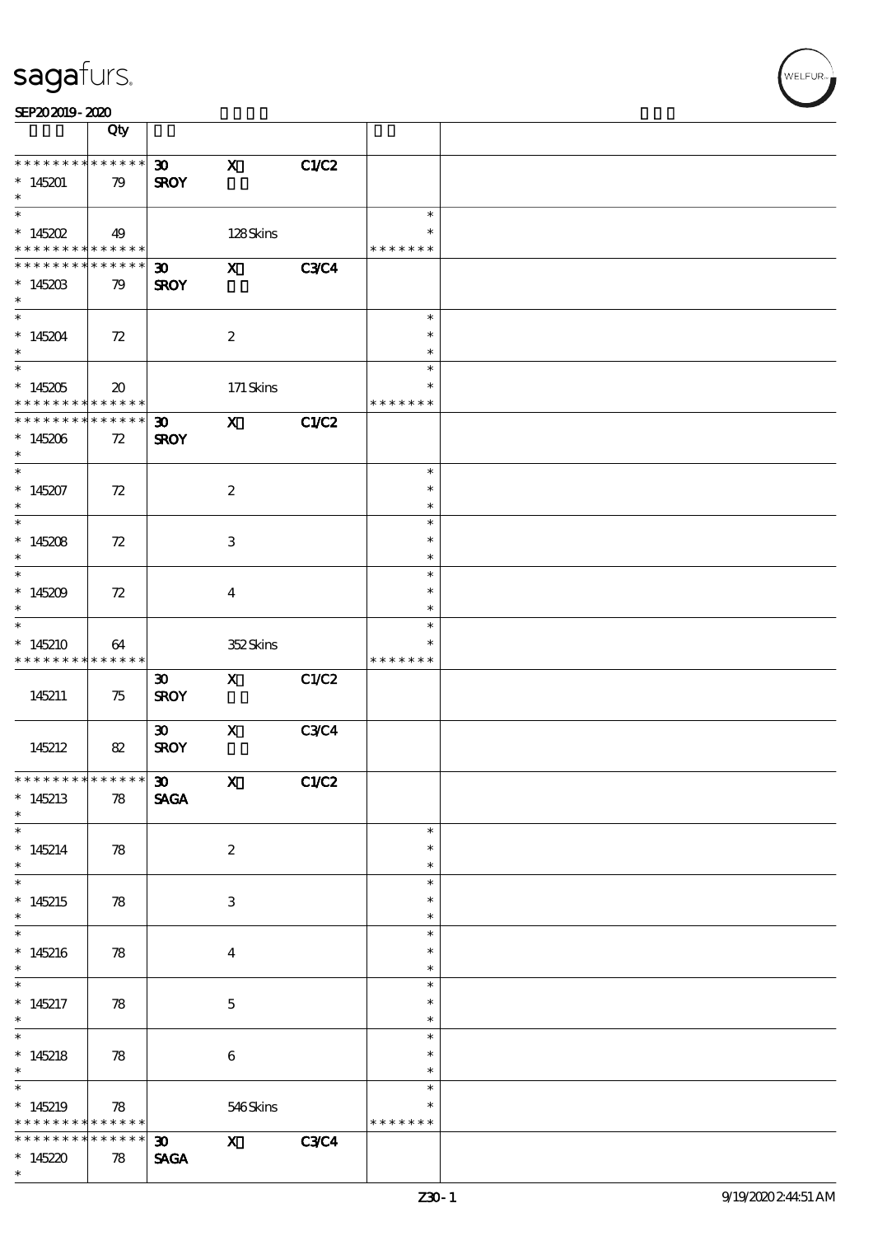| SEP202019-2020 |
|----------------|
|----------------|

|                                    | Qty                                        |                                            |                           |             |                         |  |
|------------------------------------|--------------------------------------------|--------------------------------------------|---------------------------|-------------|-------------------------|--|
| * * * * * * * *                    | * * * * * *                                | 30 <sub>o</sub>                            | $\boldsymbol{\mathrm{X}}$ | C1/C2       |                         |  |
| $*145201$                          | 79                                         | <b>SROY</b>                                |                           |             |                         |  |
| $\ast$                             |                                            |                                            |                           |             |                         |  |
| $\overline{\ast}$                  |                                            |                                            |                           |             | $\ast$                  |  |
| $* 145202$                         | 49                                         |                                            | 128Skins                  |             | $\ast$                  |  |
| * * * * * * * *<br>* * * * * * * * | $* * * * * * *$<br>* * * * * *             | $\boldsymbol{\mathfrak{D}}$                | $\boldsymbol{\mathsf{X}}$ | <b>C3C4</b> | * * * * * * *           |  |
| $*145203$                          | 79                                         | <b>SROY</b>                                |                           |             |                         |  |
| $\ast$                             |                                            |                                            |                           |             |                         |  |
| $\overline{\ast}$                  |                                            |                                            |                           |             | $\ast$                  |  |
| $*145204$                          | 72                                         |                                            | $\boldsymbol{2}$          |             | $\ast$                  |  |
| $\ast$                             |                                            |                                            |                           |             | $\ast$                  |  |
|                                    |                                            |                                            |                           |             | $\ast$                  |  |
| $*145205$<br>* * * * * * * *       | $\boldsymbol{\mathfrak{D}}$<br>* * * * * * |                                            | 171 Skins                 |             | $\ast$<br>* * * * * * * |  |
| ********                           | * * * * * *                                | $\boldsymbol{\mathfrak{D}}$                | $\mathbf{x}$              | C1/C2       |                         |  |
| $*145206$                          | 72                                         | <b>SROY</b>                                |                           |             |                         |  |
| $\ast$                             |                                            |                                            |                           |             |                         |  |
| $\overline{\ast}$                  |                                            |                                            |                           |             | $\ast$                  |  |
| $*145207$                          | 72                                         |                                            | $\boldsymbol{z}$          |             | $\ast$                  |  |
| $\ast$<br>$\overline{\ast}$        |                                            |                                            |                           |             | $\ast$                  |  |
|                                    |                                            |                                            |                           |             | $\ast$<br>$\ast$        |  |
| $*145208$<br>$\ast$                | 72                                         |                                            | 3                         |             | $\ast$                  |  |
|                                    |                                            |                                            |                           |             | $\ast$                  |  |
| $*145209$                          | 72                                         |                                            | $\overline{\mathbf{4}}$   |             | ∗                       |  |
| $\ast$                             |                                            |                                            |                           |             | ∗                       |  |
| $\ast$                             |                                            |                                            |                           |             | $\ast$                  |  |
| $*145210$<br>* * * * * * * *       | 64                                         |                                            | 352Skins                  |             | * * * * * * *           |  |
|                                    | $\ast\ast\ast\ast\ast\ast$                 | $\boldsymbol{\mathfrak{D}}$                | $\mathbf{x}$              | C1/C2       |                         |  |
| 145211                             | 75                                         | <b>SROY</b>                                |                           |             |                         |  |
|                                    |                                            |                                            |                           |             |                         |  |
|                                    |                                            | $\boldsymbol{\mathfrak{D}}$                | $\mathbf X$               | <b>C3C4</b> |                         |  |
| 145212                             | 82                                         | <b>SROY</b>                                |                           |             |                         |  |
| * * * * * * * * * * * * * * *      |                                            |                                            |                           |             |                         |  |
| $*145213$                          | 78                                         | $\boldsymbol{\mathfrak{D}}$<br><b>SAGA</b> | $\mathbf{x}$              | C1/C2       |                         |  |
| $\ast$                             |                                            |                                            |                           |             |                         |  |
| $\ast$                             |                                            |                                            |                           |             | $\ast$                  |  |
| $*145214$                          | 78                                         |                                            | $\boldsymbol{2}$          |             | $\ast$                  |  |
| $\ast$                             |                                            |                                            |                           |             | $\ast$                  |  |
| $\overline{\phantom{0}}$           |                                            |                                            |                           |             | $\ast$<br>$\ast$        |  |
| $*145215$<br>$\ast$                | 78                                         |                                            | 3                         |             | $\ast$                  |  |
| $\ast$                             |                                            |                                            |                           |             | $\ast$                  |  |
| $*145216$                          | 78                                         |                                            | $\boldsymbol{4}$          |             | $\ast$                  |  |
| $\ast$                             |                                            |                                            |                           |             | $\ast$                  |  |
| $\overline{\phantom{0}}$           |                                            |                                            |                           |             | $\ast$                  |  |
| $*145217$                          | 78                                         |                                            | $\mathbf 5$               |             | $\ast$                  |  |
| $*$                                |                                            |                                            |                           |             | $\ast$<br>$\ast$        |  |
| $*145218$                          | 78                                         |                                            | $\bf 6$                   |             | $\ast$                  |  |
| $*$                                |                                            |                                            |                           |             | $\ast$                  |  |
| $\ast$                             |                                            |                                            |                           |             | $\ast$                  |  |
| $*145219$                          | $\boldsymbol{\mathcal{R}}$                 |                                            | 546Skins                  |             | $\ast$                  |  |
| * * * * * * * *                    | $******$                                   |                                            |                           |             | * * * * * * *           |  |
| * * * * * * *                      | $******$                                   | 30                                         | $\mathbf{x}$              | <b>C3C4</b> |                         |  |
| $*145220$<br>$\ast$                | 78                                         | <b>SAGA</b>                                |                           |             |                         |  |

,<br>WELFUR: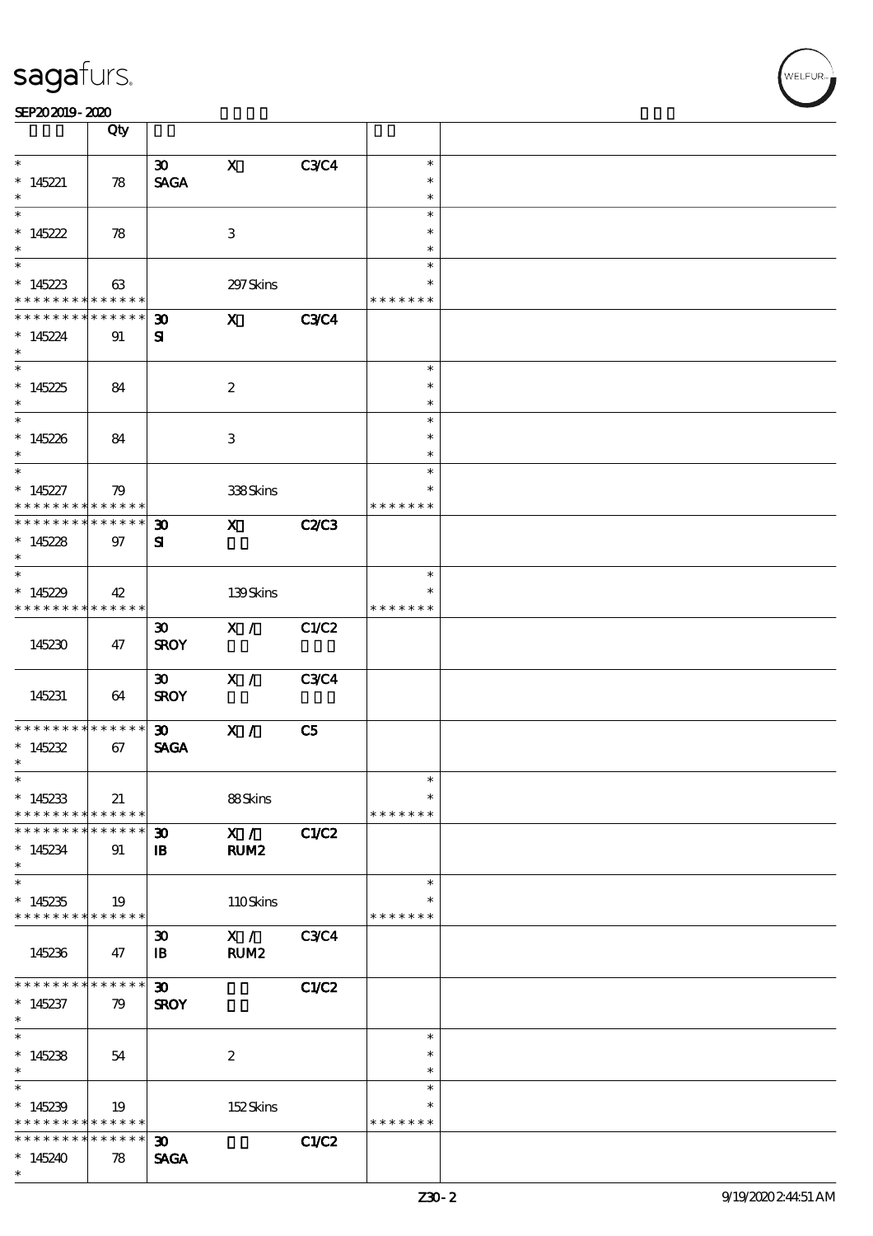|                                            | Qty         |                             |                           |                |               |  |
|--------------------------------------------|-------------|-----------------------------|---------------------------|----------------|---------------|--|
| $\ast$                                     |             | $\boldsymbol{\mathfrak{D}}$ | $\boldsymbol{\mathrm{X}}$ | <b>C3C4</b>    | $\ast$        |  |
|                                            |             |                             |                           |                | $\ast$        |  |
| $*145221$<br>$\ast$                        | 78          | <b>SAGA</b>                 |                           |                |               |  |
|                                            |             |                             |                           |                | $\ast$        |  |
|                                            |             |                             |                           |                | $\ast$        |  |
| $*145222$                                  | 78          |                             | $\,3$                     |                | $\ast$        |  |
| $\ast$                                     |             |                             |                           |                | $\ast$        |  |
|                                            |             |                             |                           |                | $\ast$        |  |
| * $145223$                                 | 63          |                             | 297 Skins                 |                | *             |  |
| * * * * * * * *                            | * * * * * * |                             |                           |                | * * * * * * * |  |
| * * * * * * * *                            | * * * * * * | $\boldsymbol{\mathfrak{D}}$ | $\mathbf{x}$              | <b>C3C4</b>    |               |  |
| $*145224$                                  | 91          | ${\bf s}$                   |                           |                |               |  |
| $\ast$                                     |             |                             |                           |                |               |  |
| $\overline{\phantom{0}}$                   |             |                             |                           |                | $\ast$        |  |
| $*145225$                                  | 84          |                             | $\boldsymbol{2}$          |                | $\ast$        |  |
| $*$                                        |             |                             |                           |                | $\ast$        |  |
|                                            |             |                             |                           |                | $\ast$        |  |
| $*145226$                                  | 84          |                             | 3                         |                | $\ast$        |  |
| $\ast$                                     |             |                             |                           |                | $\ast$        |  |
| $\overline{\ast}$                          |             |                             |                           |                | $\ast$        |  |
| $*145227$                                  | 79          |                             | 338Skins                  |                | $\ast$        |  |
| * * * * * * * *                            | * * * * * * |                             |                           |                | * * * * * * * |  |
| * * * * * * * * <mark>* * * * * * *</mark> |             | $\boldsymbol{\mathfrak{D}}$ | $\mathbf{X}$              | <b>C2/C3</b>   |               |  |
| $*145228$                                  | 97          | ${\bf s}$                   |                           |                |               |  |
| $\ast$                                     |             |                             |                           |                |               |  |
|                                            |             |                             |                           |                | $\ast$        |  |
| $*145229$                                  | 42          |                             | 139Skins                  |                |               |  |
| * * * * * * * * <mark>* * * * * *</mark>   |             |                             |                           |                | * * * * * * * |  |
|                                            |             | $\boldsymbol{\mathfrak{D}}$ | X /                       | C1/C2          |               |  |
| 145230                                     | 47          | <b>SROY</b>                 |                           |                |               |  |
|                                            |             |                             |                           |                |               |  |
|                                            |             | $\boldsymbol{\mathfrak{D}}$ | X /                       | <b>C3C4</b>    |               |  |
| 145231                                     | 64          | <b>SROY</b>                 |                           |                |               |  |
|                                            |             |                             |                           |                |               |  |
| * * * * * * * *                            | $******$    | $\boldsymbol{\mathfrak{D}}$ | X /                       | C <sub>5</sub> |               |  |
| $*145232$                                  | 67          | <b>SAGA</b>                 |                           |                |               |  |
| $\ast$                                     |             |                             |                           |                |               |  |
| $\ast$                                     |             |                             |                           |                | $\ast$        |  |
| $*145233$                                  | 21          |                             | 88Skins                   |                | $\ast$        |  |
| * * * * * * * *                            | * * * * * * |                             |                           |                | * * * * * * * |  |
| * * * * * * * *                            | ******      | $\boldsymbol{\mathfrak{D}}$ | $\mathbf{X}$ /            | C1/C2          |               |  |
| $*145234$                                  | 91          | $\mathbf{B}$                | RUM2                      |                |               |  |
| $\ast$                                     |             |                             |                           |                |               |  |
| $\overline{\ast}$                          |             |                             |                           |                | $\ast$        |  |
| $*145235$                                  | 19          |                             | 110Skins                  |                |               |  |
| * * * * * * * * <mark>* * * * * * *</mark> |             |                             |                           |                | * * * * * * * |  |
|                                            |             | $\boldsymbol{\mathfrak{D}}$ | X /                       | <b>C3C4</b>    |               |  |
| 145236                                     | 47          | $\mathbf{B}$                | RUM2                      |                |               |  |
|                                            |             |                             |                           |                |               |  |
| * * * * * * * *                            | * * * * * * | $\boldsymbol{\mathfrak{D}}$ |                           | C1/C2          |               |  |
| $*145237$                                  | 79          | <b>SROY</b>                 |                           |                |               |  |
| $\ast$                                     |             |                             |                           |                |               |  |
| $\overline{\phantom{0}}$                   |             |                             |                           |                | $\ast$        |  |
| $*145238$                                  | 54          |                             | $\boldsymbol{2}$          |                | $\ast$        |  |
| $\ast$                                     |             |                             |                           |                | $\ast$        |  |
| $\ast$                                     |             |                             |                           |                | $\ast$        |  |
| $*145239$                                  | 19          |                             | 152Skins                  |                | $\ast$        |  |
| * * * * * * * * <mark>* * * * * *</mark>   |             |                             |                           |                | * * * * * * * |  |
| * * * * * * * *                            | ******      | 30 <sub>o</sub>             |                           | C1/C2          |               |  |
| $*145240$                                  | 78          | <b>SAGA</b>                 |                           |                |               |  |
| $\ast$                                     |             |                             |                           |                |               |  |

 $\overline{\mathbf{r}}$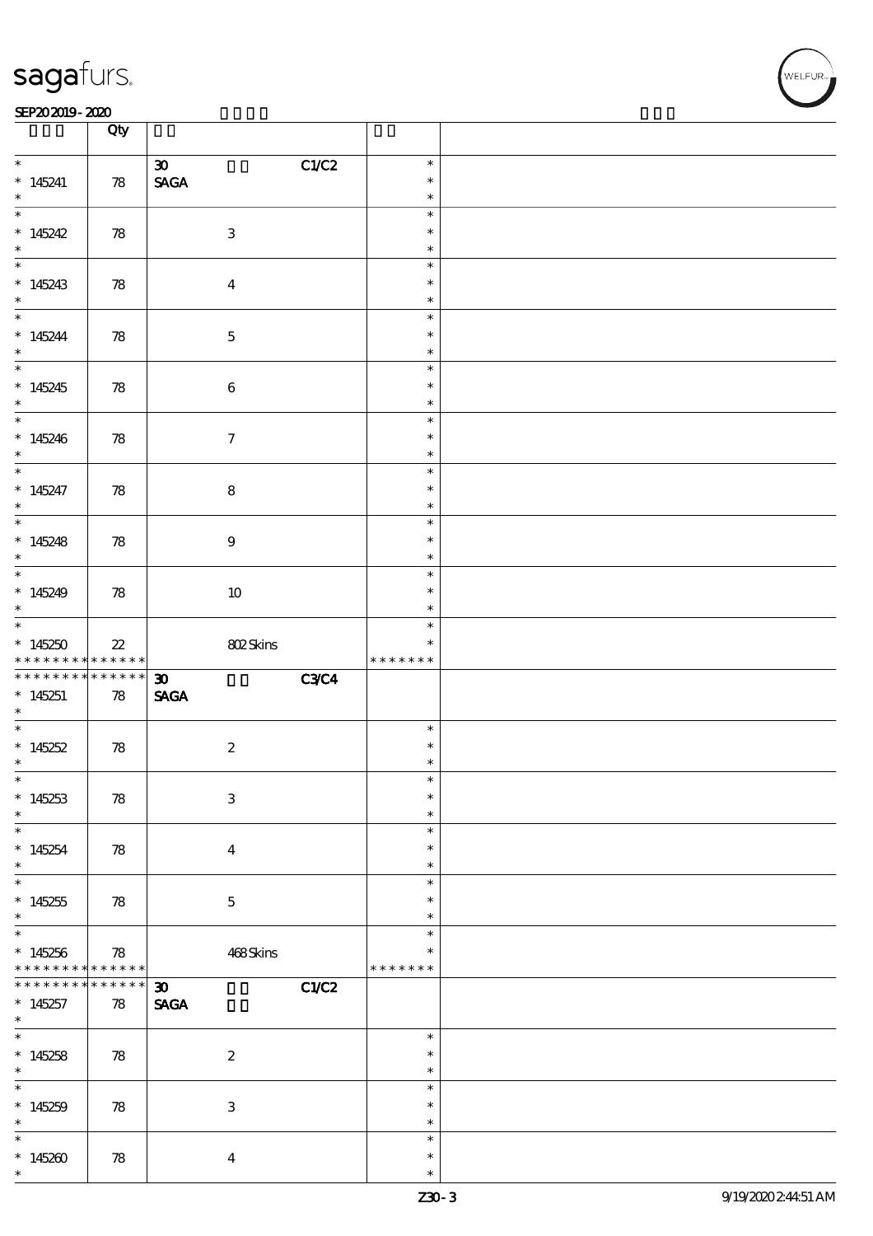#### SEP202019-2020 Production of the contract of the contract of the contract of the contract of the contract of the contract of the contract of the contract of the contract of the contract of the contract of the contract of t

|                                                           | Qty                              |                                                           |                                   |  |
|-----------------------------------------------------------|----------------------------------|-----------------------------------------------------------|-----------------------------------|--|
| $\ast$<br>$*145241$<br>$\ast$                             | 78                               | C1/C2<br>$\infty$<br>$\operatorname{\mathsf{SAGA}}$       | $\ast$<br>$\ast$<br>$\ast$        |  |
| $*145242$<br>$\ast$                                       | 78                               | $\ensuremath{\mathbf{3}}$                                 | $\ast$<br>$\ast$<br>$\ast$        |  |
| $*145243$<br>$\ast$                                       | 78                               | $\boldsymbol{4}$                                          | $\ast$<br>$\ast$<br>$\ast$        |  |
| $* 145244$<br>$*$                                         | 78                               | $\mathbf 5$                                               | $\ast$<br>$\ast$<br>$\ast$        |  |
| $*145245$<br>$*$                                          | 78                               | $\bf 6$                                                   | $\ast$<br>$\ast$<br>$\ast$        |  |
| $*145246$<br>$\ast$                                       | 78                               | $\tau$                                                    | $\ast$<br>$\ast$<br>$\ast$        |  |
| $*$<br>$*145247$<br>$*$                                   | 78                               | $\bf8$                                                    | $\ast$<br>$\ast$<br>$\ast$        |  |
| $*145248$<br>$*$                                          | 78                               | $\boldsymbol{9}$                                          | $\ast$<br>$\ast$<br>$\ast$        |  |
| $*145249$<br>$\ast$                                       | 78                               | $10\,$                                                    | $\ast$<br>$\ast$<br>$\ast$        |  |
| $*145250$<br>* * * * * * * *                              | $22\,$<br>$* * * * * * *$        | 802Skins                                                  | $\ast$<br>$\ast$<br>* * * * * * * |  |
| * * * * * * * *<br>$*145251$<br>$\ast$                    | $******$<br>78                   | <b>C3C4</b><br>$\boldsymbol{\mathfrak{D}}$<br><b>SAGA</b> |                                   |  |
| * $145252$<br>$\ast$                                      | 78                               | $\boldsymbol{2}$                                          | $\ast$<br>$\ast$<br>$\ast$        |  |
| $\ast$<br>$*145253$                                       |                                  |                                                           |                                   |  |
| $\ast$                                                    | 78                               | $\ensuremath{\mathbf{3}}$                                 | $\ast$<br>$\ast$<br>$\ast$        |  |
| $\ast$<br>$*145254$<br>$\ast$                             | 78                               | $\overline{\mathbf{4}}$                                   | $\ast$<br>$\ast$<br>$\ast$        |  |
| $\overline{\phantom{0}}$<br>$*145255$<br>$\ast$           | 78                               | $\mathbf{5}$                                              | $\ast$<br>$\ast$<br>$\ast$        |  |
| $\overline{\ast}$<br>$*145256$<br>* * * * * * * *         | 78<br>$\ast\ast\ast\ast\ast\ast$ | 468Skins                                                  | $\ast$<br>$\ast$<br>* * * * * * * |  |
| * * * * * * *<br>$*145257$<br>$*$                         | * * * * * *<br>78                | $\boldsymbol{\mathfrak{D}}$<br>C1/C2<br><b>SAGA</b>       |                                   |  |
| $*145258$<br>$\ast$                                       | 78                               | $\boldsymbol{2}$                                          | $\ast$<br>$\ast$<br>$\ast$        |  |
| $\overline{\phantom{0}}$<br>$*145259$<br>$\ast$<br>$\ast$ | 78                               | $\ensuremath{\mathsf{3}}$                                 | $\ast$<br>$\ast$<br>$\ast$        |  |

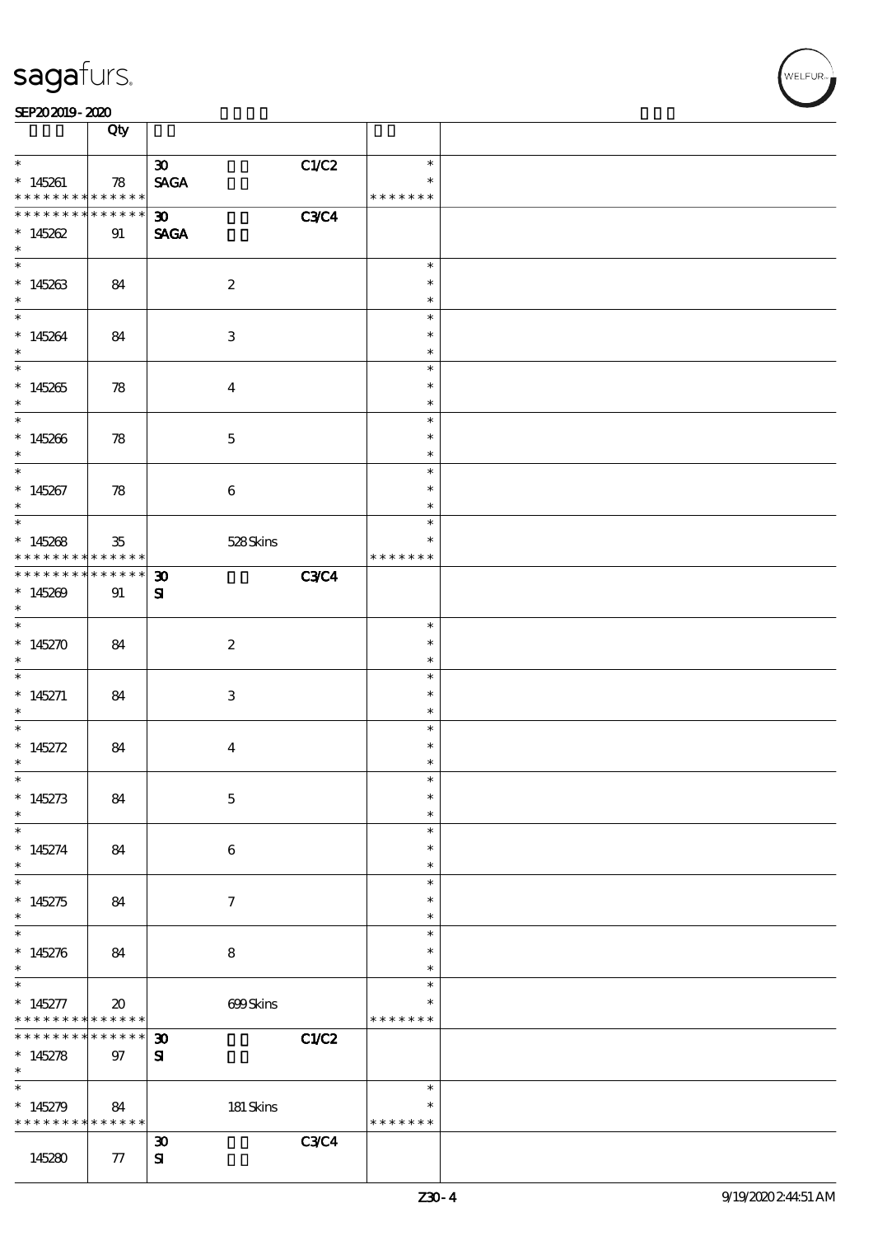|                                                       | Qty                                            |                                            |                         |  |
|-------------------------------------------------------|------------------------------------------------|--------------------------------------------|-------------------------|--|
| $\ast$                                                |                                                | C1/C2<br>$\boldsymbol{\mathfrak{D}}$       | $\ast$                  |  |
| $*145261$<br>* * * * * * * * <mark>* * * * * *</mark> | 78                                             | <b>SAGA</b>                                | $\ast$<br>* * * * * * * |  |
| * * * * * * * * * * * * * * *                         |                                                | <b>C3C4</b><br>$\infty$                    |                         |  |
| $*145262$<br>$\ast$                                   | 91                                             | <b>SAGA</b>                                |                         |  |
|                                                       |                                                |                                            | $\ast$                  |  |
| $*145263$<br>$\ast$                                   | 84                                             | $\boldsymbol{2}$                           | $\ast$<br>$\ast$        |  |
| $\ast$                                                |                                                |                                            | $\ast$                  |  |
| $*145264$<br>$\ast$                                   | 84                                             | 3                                          | $\ast$<br>$\ast$        |  |
|                                                       |                                                |                                            | $\ast$                  |  |
| $*145265$<br>$\ast$                                   | 78                                             | $\boldsymbol{4}$                           | $\ast$<br>$\ast$        |  |
| $\overline{\phantom{0}}$                              |                                                |                                            | $\ast$                  |  |
| $*145266$<br>$\ast$                                   | 78                                             | $\mathbf 5$                                | $\ast$<br>$\ast$        |  |
| $\overline{\ast}$                                     |                                                |                                            | $\ast$                  |  |
| $*145267$<br>$\ast$                                   | 78                                             | $\bf 6$                                    | $\ast$<br>$\ast$        |  |
|                                                       |                                                |                                            | $\ast$                  |  |
| $*145268$<br>* * * * * * * *                          | $35\,$<br>$* * * * * * *$                      | 528Skins                                   | $\ast$<br>* * * * * * * |  |
| * * * * * * * * <mark>*</mark>                        | $* * * * * * *$                                | <b>C3C4</b><br>$\boldsymbol{\mathfrak{D}}$ |                         |  |
| $*145209$<br>$\ast$                                   | 91                                             | ${\bf s}$                                  |                         |  |
| $\overline{\phantom{0}}$                              |                                                |                                            | $\ast$                  |  |
| * $145270$<br>$\ast$                                  | 84                                             | $\boldsymbol{2}$                           | $\ast$<br>$\ast$        |  |
|                                                       |                                                |                                            | $\ast$                  |  |
| $*145271$<br>$\ast$                                   | 84                                             | $\ensuremath{\mathbf{3}}$                  | $\ast$<br>$\ast$        |  |
| $\overline{\phantom{0}}$                              |                                                |                                            | $\ast$                  |  |
| * $145272$<br>$\ast$                                  | 84                                             | $\boldsymbol{4}$                           | $\ast$<br>$\ast$        |  |
| $\ast$                                                |                                                |                                            | $\ast$                  |  |
| $*145273$<br>$\ast$                                   | 84                                             | $\mathbf 5$                                | $\ast$<br>$\ast$        |  |
| $\ast$                                                |                                                |                                            | $\ast$                  |  |
| $*145274$<br>$\ast$<br>$\overline{\ast}$              | 84                                             | $\bf 6$                                    | $\ast$<br>$\ast$        |  |
|                                                       |                                                |                                            | $\ast$                  |  |
| $*145275$<br>$\ast$<br>$\overline{\ast}$              | 84                                             | $\tau$                                     | $\ast$<br>$\ast$        |  |
|                                                       |                                                |                                            | $\ast$                  |  |
| $*145276$<br>$\ast$                                   | 84                                             | 8                                          | $\ast$<br>$\ast$        |  |
| $\ast$                                                |                                                |                                            | $\ast$                  |  |
| $* 145277$<br>* * * * * * * *                         | $\boldsymbol{\mathfrak{D}}$<br>$* * * * * * *$ | 699Skins                                   | $\ast$<br>* * * * * * * |  |
| * * * * * * * *                                       | ******                                         | C1/C2<br>$\boldsymbol{\mathfrak{D}}$       |                         |  |
| $*145278$<br>$\ast$                                   | 97                                             | ${\bf s}$                                  |                         |  |
| $\ast$                                                |                                                |                                            | $\ast$                  |  |
| $*145279$<br>* * * * * * * *                          | 84<br>$* * * * * * *$                          | $181$ Skins                                | $\ast$<br>* * * * * * * |  |
|                                                       |                                                | <b>C3C4</b><br>$\boldsymbol{\mathfrak{D}}$ |                         |  |
| 145280                                                | ${\bf 77}$                                     | ${\bf s}$                                  |                         |  |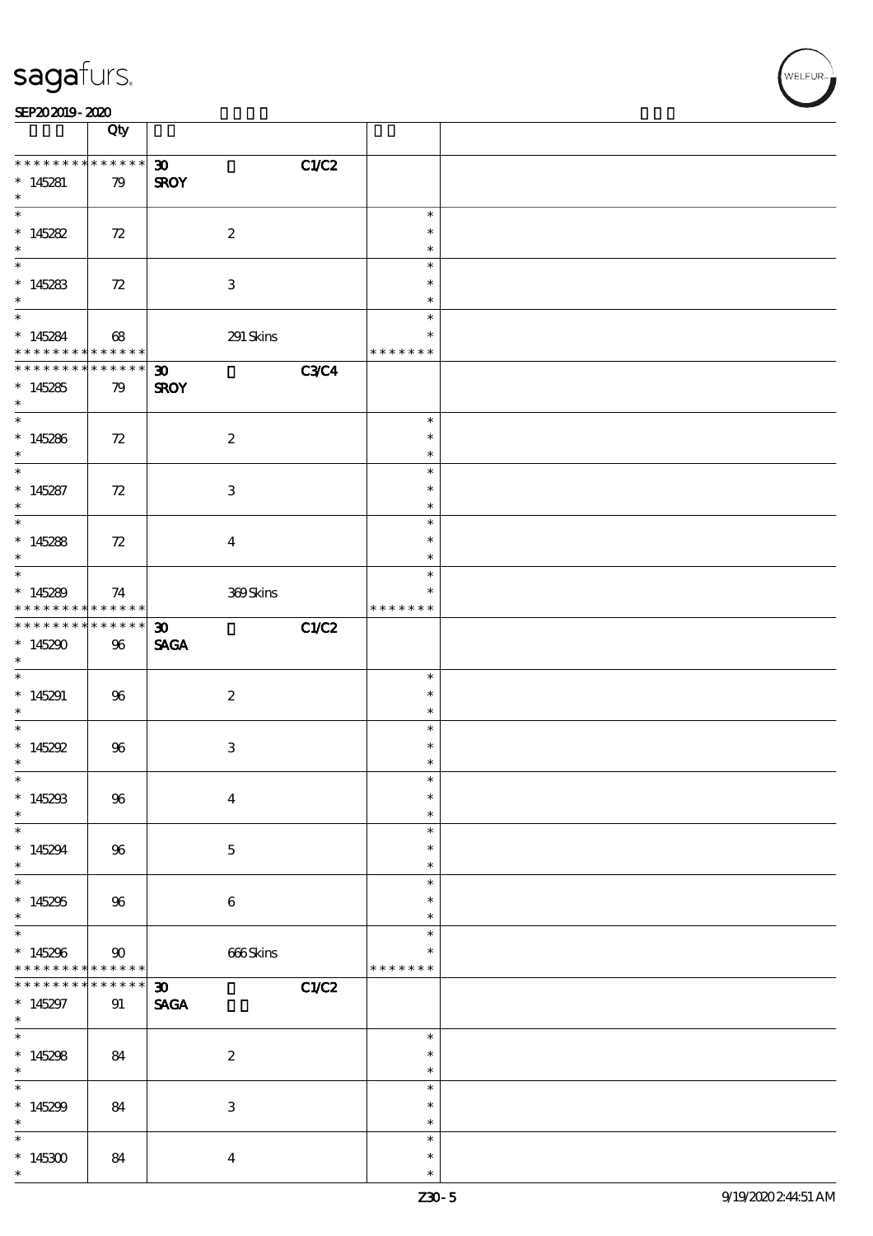|                                                                            | Qty                   |                                                           |                                   |  |
|----------------------------------------------------------------------------|-----------------------|-----------------------------------------------------------|-----------------------------------|--|
| * * * * * * * * * * * * * * <mark>*</mark><br>$*145281$<br>$\ast$          | 79                    | C1/C2<br>$\infty$<br><b>SROY</b>                          |                                   |  |
| $*145282$<br>$\ast$                                                        | 72                    | $\boldsymbol{2}$                                          | $\ast$<br>$\ast$<br>$\ast$        |  |
| $*145283$<br>$\ast$                                                        | 72                    | 3                                                         | $\ast$<br>$\ast$<br>$\ast$        |  |
| $\overline{\mathbf{r}}$<br>* 145284<br>* * * * * * * *                     | 68<br>$* * * * * * *$ | 291 Skins                                                 | $\ast$<br>$\ast$<br>* * * * * * * |  |
| * * * * * * * * * * * * * * *<br>$*145285$<br>$\ast$                       | 79                    | <b>C3C4</b><br>$\boldsymbol{\mathfrak{D}}$<br><b>SROY</b> |                                   |  |
| $*$<br>$*145286$<br>$\ast$                                                 | 72                    | $\boldsymbol{2}$                                          | $\ast$<br>$\ast$<br>$\ast$        |  |
| $\overline{\ast}$<br>$*145287$<br>$\ast$                                   | 72                    | $\,3$                                                     | $\ast$<br>$\ast$<br>$\ast$        |  |
| $\overline{\ast}$<br>$*145288$<br>$\ast$                                   | 72                    | $\overline{4}$                                            | $\ast$<br>$\ast$<br>$\ast$        |  |
| $*145289$<br>* * * * * * * *                                               | 74<br>$* * * * * * *$ | $309\mathrm{S}$ kins                                      | $\ast$<br>* * * * * * *           |  |
| * * * * * * * *<br>$*145290$<br>$\ast$                                     | $* * * * * * *$<br>96 | C1/C2<br>$\boldsymbol{\mathfrak{D}}$<br><b>SAGA</b>       |                                   |  |
| $*145291$<br>$\ast$                                                        | 96                    | $\boldsymbol{2}$                                          | $\ast$<br>$\ast$<br>$\ast$        |  |
| $\overline{\phantom{0}}$<br>* $145292$<br>$\ast$                           | 96                    | $\ensuremath{\mathbf{3}}$                                 | $\ast$<br>$\ast$<br>$\ast$        |  |
| $\ast$<br>$*145293$<br>$\ast$                                              | $96\,$                | $\boldsymbol{4}$                                          | $\ast$<br>$\ast$<br>$\ast$        |  |
| $\ast$<br>$*145294$<br>$\ast$                                              | 96                    | $\mathbf 5$                                               | $\ast$<br>$\ast$<br>$\ast$        |  |
| $\overline{\ast}$<br>$*145295$<br>$\ast$                                   | 96                    | $\boldsymbol{6}$                                          | $\ast$<br>$\ast$<br>$\ast$        |  |
| $\overline{\ast}$<br>$*145296$<br>* * * * * * * * <mark>* * * * * *</mark> | $90^{\circ}$          | 666Skins                                                  | $\ast$<br>$\ast$<br>* * * * * * * |  |
| * * * * * * * *<br>$*145297$<br>$\ast$                                     | * * * * * *<br>91     | C1/C2<br>$\boldsymbol{\mathfrak{D}}$<br><b>SAGA</b>       |                                   |  |
| $\overline{\phantom{0}}$<br>$*145298$<br>$\ast$                            | 84                    | $\boldsymbol{2}$                                          | $\ast$<br>$\ast$<br>$\ast$        |  |
| $\overline{\ast}$<br>$*145299$<br>$\ast$                                   | 84                    | $\ensuremath{\mathbf{3}}$                                 | $\ast$<br>$\ast$<br>$\ast$        |  |
| $\ast$<br>$*145300$<br>$\ast$                                              | 84                    | $\boldsymbol{4}$                                          | $\ast$<br>$\ast$<br>$\ast$        |  |

r<br>WELFUR<br>L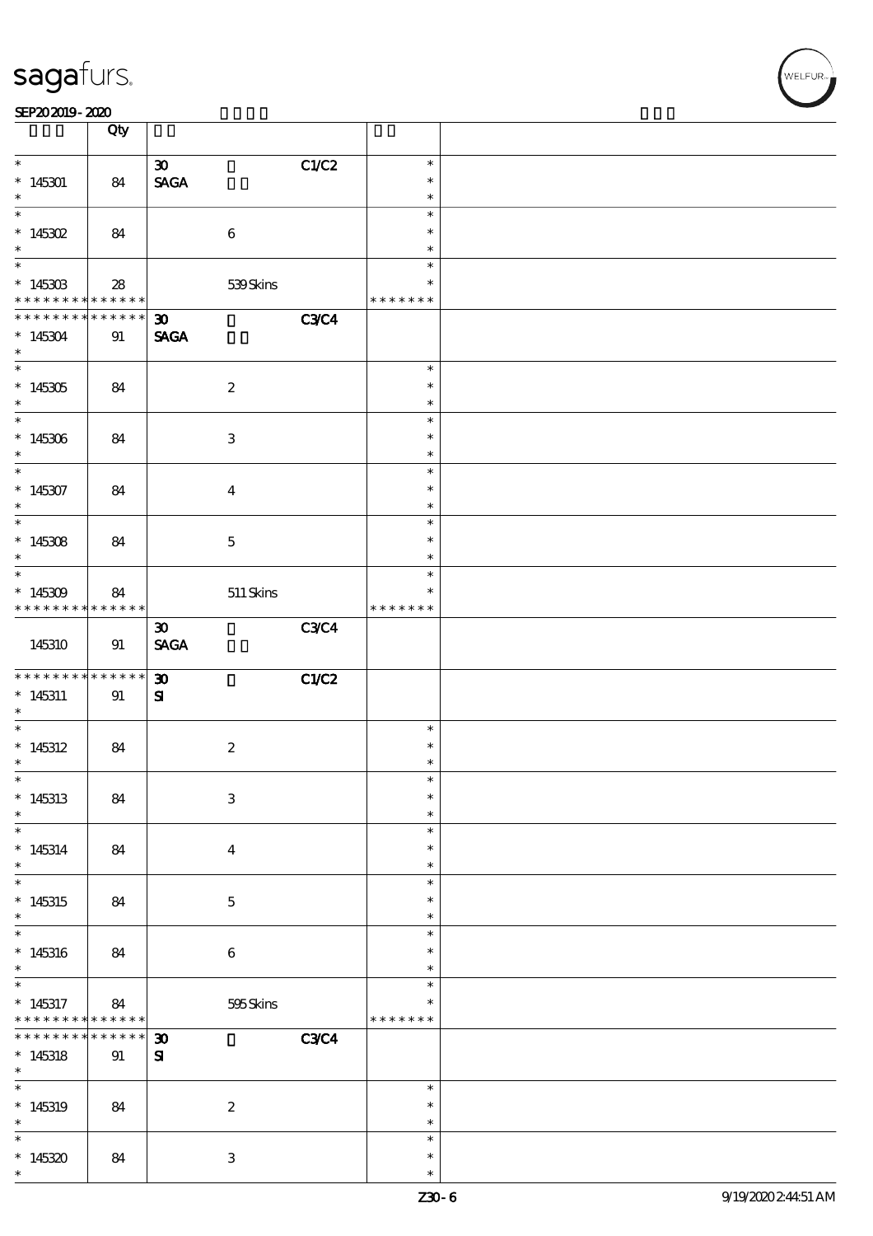|                                                                                                         | Qty                   |                                                           |                                      |  |
|---------------------------------------------------------------------------------------------------------|-----------------------|-----------------------------------------------------------|--------------------------------------|--|
| $\ast$<br>$*145301$<br>$\ast$                                                                           | 84                    | C1/C2<br>$\boldsymbol{\mathfrak{D}}$<br><b>SAGA</b>       | $\ast$<br>$\ast$<br>$\ast$           |  |
| $* 145302$<br>$\ast$                                                                                    | 84                    | $\bf 6$                                                   | $\ast$<br>$\ast$<br>$\ast$           |  |
| $*145303$<br>* * * * * * * * <mark>* * * * * *</mark>                                                   | 28                    | 539Skins                                                  | $\ast$<br>$\ast$<br>* * * * * * *    |  |
| * * * * * * * *<br>$*145304$<br>$\ast$                                                                  | ******<br>91          | <b>C3C4</b><br>$\boldsymbol{\mathfrak{D}}$<br><b>SAGA</b> |                                      |  |
| $*145305$<br>$\ast$                                                                                     | 84                    | $\boldsymbol{2}$                                          | $\ast$<br>$\ast$<br>$\ast$           |  |
| $*145306$<br>$\ast$<br>$\ast$                                                                           | 84                    | $\ensuremath{\mathbf{3}}$                                 | $\ast$<br>$\ast$<br>$\ast$           |  |
| $*145307$<br>$\ast$                                                                                     | 84                    | $\overline{4}$                                            | $\ast$<br>$\ast$<br>$\ast$           |  |
| $*145308$<br>$\ast$                                                                                     | 84                    | $\mathbf{5}$                                              | $\ast$<br>$\ast$<br>$\ast$           |  |
| $*145309$<br>* * * * * * * * * * * * * * *                                                              | 84                    | $511$ Skins                                               | $\ast$<br>$\ast$<br>* * * * * * *    |  |
| 145310                                                                                                  | 91                    | C3C4<br>$\boldsymbol{\mathfrak{D}}$<br><b>SAGA</b>        |                                      |  |
| * * * * * * * *<br>$*145311$<br>$\ast$<br>$\overline{\phantom{0}}$                                      | $* * * * * * *$<br>91 | $\boldsymbol{\mathfrak{D}}$<br>C1/C2<br>${\bf s}$         |                                      |  |
| $*145312$<br>$\ast$                                                                                     | 84                    | $\boldsymbol{2}$                                          | $\ast$<br>$\ast$<br>$\ast$           |  |
| $*145313$<br>$\ast$                                                                                     | 84                    |                                                           |                                      |  |
|                                                                                                         |                       | $\ensuremath{\mathbf{3}}$                                 | $\ast$<br>$\ast$<br>$\ast$           |  |
| $*145314$<br>$\ast$                                                                                     | 84                    | $\overline{\mathbf{4}}$                                   | $\ast$<br>$\ast$<br>$\ast$           |  |
| $\overline{\ast}$<br>$*145315$<br>$\ast$                                                                | 84                    | $\mathbf 5$                                               | $\ast$<br>$\ast$<br>$\ast$           |  |
| $*145316$<br>$\ast$                                                                                     | 84                    | $\boldsymbol{6}$                                          | $\ast$<br>$\ast$<br>$\ast$           |  |
|                                                                                                         | 84<br>* * * * * *     | 595Skins                                                  | $\ast$<br>$\ast$<br>* * * * * * *    |  |
|                                                                                                         | ******<br>91          | <b>C3C4</b><br>$\boldsymbol{\mathfrak{D}}$<br>${\bf s}$   |                                      |  |
| $\ast$<br>$*145317$<br>* * * * * * * *<br>* * * * * * * *<br>$*145318$<br>$\ast$<br>$*145319$<br>$\ast$ | 84                    | $\boldsymbol{2}$                                          | $\ast$<br>$\ast$<br>$\ast$<br>$\ast$ |  |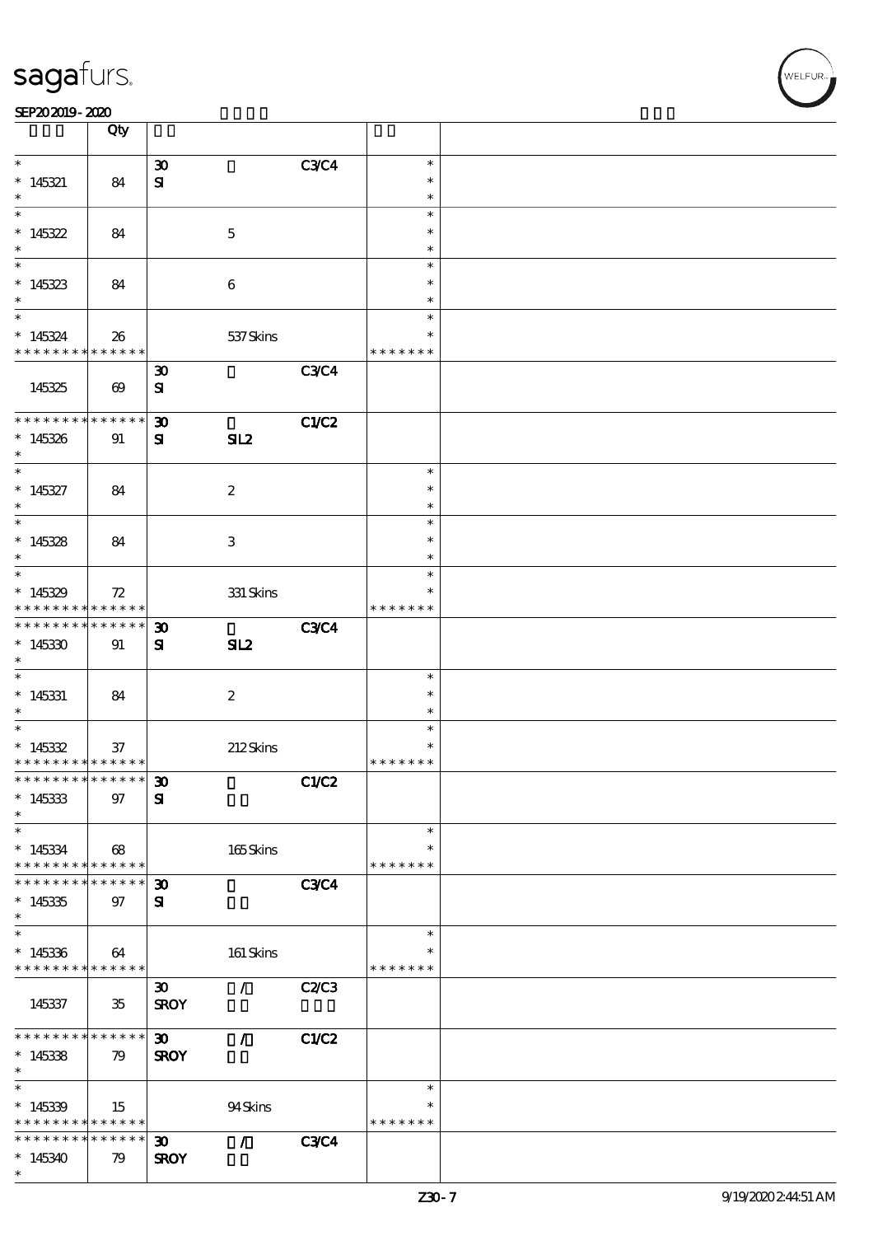|                                                         | Qty                        |                             |                  |              |                  |  |
|---------------------------------------------------------|----------------------------|-----------------------------|------------------|--------------|------------------|--|
| $\ast$                                                  |                            | $\boldsymbol{\mathfrak{D}}$ |                  | <b>C3C4</b>  | $\ast$           |  |
| $*145321$                                               | 84                         | ${\bf s}$                   |                  |              | $\ast$           |  |
| $\ast$                                                  |                            |                             |                  |              | $\ast$           |  |
| $\overline{\ast}$                                       |                            |                             |                  |              | $\ast$           |  |
| $*145322$                                               | 84                         |                             | $\mathbf 5$      |              | $\ast$           |  |
| $\ast$                                                  |                            |                             |                  |              | $\ast$           |  |
|                                                         |                            |                             |                  |              | $\ast$           |  |
| $*145323$                                               | 84                         |                             | $\boldsymbol{6}$ |              | $\ast$           |  |
| $\ast$                                                  |                            |                             |                  |              | $\ast$           |  |
| $*$                                                     |                            |                             |                  |              | $\ast$           |  |
| $*145324$                                               | 26                         |                             | 537 Skins        |              | $\ast$           |  |
| * * * * * * * * <mark>*</mark>                          | ******                     |                             |                  |              | * * * * * * *    |  |
|                                                         |                            | $\boldsymbol{\mathfrak{D}}$ |                  | <b>C3C4</b>  |                  |  |
| 145325                                                  | $\boldsymbol{\omega}$      | ${\bf s}$                   |                  |              |                  |  |
|                                                         |                            |                             |                  |              |                  |  |
| * * * * * * * *                                         | * * * * * *                | $\boldsymbol{\mathfrak{D}}$ |                  | <b>C1/C2</b> |                  |  |
| $*145326$                                               | 91                         | ${\bf s}$                   | SL2              |              |                  |  |
| $*$                                                     |                            |                             |                  |              |                  |  |
| $*$                                                     |                            |                             |                  |              | $\ast$           |  |
| $*145327$                                               | 84                         |                             | $\boldsymbol{2}$ |              | $\ast$           |  |
| $\ast$                                                  |                            |                             |                  |              | $\ast$<br>$\ast$ |  |
|                                                         |                            |                             |                  |              | $\ast$           |  |
| $*145328$<br>$\ast$                                     | 84                         |                             | 3                |              | $\ast$           |  |
|                                                         |                            |                             |                  |              | $\ast$           |  |
| $*145329$                                               |                            |                             |                  |              |                  |  |
| * * * * * * * *                                         | 72<br>* * * * * *          |                             | $331$ Skins      |              | * * * * * * *    |  |
| * * * * * * * *                                         | * * * * * *                | $\boldsymbol{\mathfrak{D}}$ |                  | <b>C3C4</b>  |                  |  |
| $*145330$                                               | 91                         | ${\bf s}$                   | SL2              |              |                  |  |
| $*$                                                     |                            |                             |                  |              |                  |  |
|                                                         |                            |                             |                  |              | $\ast$           |  |
| $* 145331$                                              | 84                         |                             | $\boldsymbol{2}$ |              | $\ast$           |  |
| $\ast$                                                  |                            |                             |                  |              | $\ast$           |  |
|                                                         |                            |                             |                  |              | $\ast$           |  |
| $*145332$                                               | 37                         |                             | 212Skins         |              | $\ast$           |  |
| * * * * * * * * * * * * * * *                           |                            |                             |                  |              | * * * * * * *    |  |
| *************** 30                                      |                            |                             |                  | C1/C2        |                  |  |
| $*145333$                                               | 97                         | $\mathbf{S}$                |                  |              |                  |  |
| $\ast$                                                  |                            |                             |                  |              |                  |  |
| $\ast$                                                  |                            |                             |                  |              | $\ast$           |  |
| $*145334$                                               | 68                         |                             | 165Skins         |              | $\ast$           |  |
| * * * * * * * *                                         | $\ast\ast\ast\ast\ast\ast$ |                             |                  |              | * * * * * * *    |  |
| * * * * * * *                                           | * * * * * *                | $\boldsymbol{\mathfrak{D}}$ |                  | <b>C3C4</b>  |                  |  |
| $*145335$                                               | 97                         | ${\bf s}$                   |                  |              |                  |  |
| $\ast$<br>$\overline{\ast}$                             |                            |                             |                  |              | $\ast$           |  |
|                                                         |                            |                             |                  |              |                  |  |
| $*145336$<br>* * * * * * * * <mark>* * * * * * *</mark> | 64                         |                             | 161 Skins        |              | * * * * * * *    |  |
|                                                         |                            | $\boldsymbol{\mathfrak{D}}$ | $\mathcal{L}$    | C2C3         |                  |  |
| 145337                                                  | 35                         | <b>SROY</b>                 |                  |              |                  |  |
|                                                         |                            |                             |                  |              |                  |  |
| * * * * * * * *                                         | * * * * * *                | $\infty$                    | $\mathcal{L}$    | C1/C2        |                  |  |
| $*145338$                                               | 79                         | <b>SROY</b>                 |                  |              |                  |  |
| $*$                                                     |                            |                             |                  |              |                  |  |
| $\ast$                                                  |                            |                             |                  |              | $\ast$           |  |
| $*145339$                                               | 15                         |                             | 94Skins          |              | $\ast$           |  |
| * * * * * * * *                                         | * * * * * *                |                             |                  |              | * * * * * * *    |  |
| * * * * * * * *                                         | ******                     | $\boldsymbol{\mathfrak{D}}$ | $\mathcal{T}$    | <b>C3C4</b>  |                  |  |
| $*145340$                                               | 79                         | <b>SROY</b>                 |                  |              |                  |  |
| $\ast$                                                  |                            |                             |                  |              |                  |  |

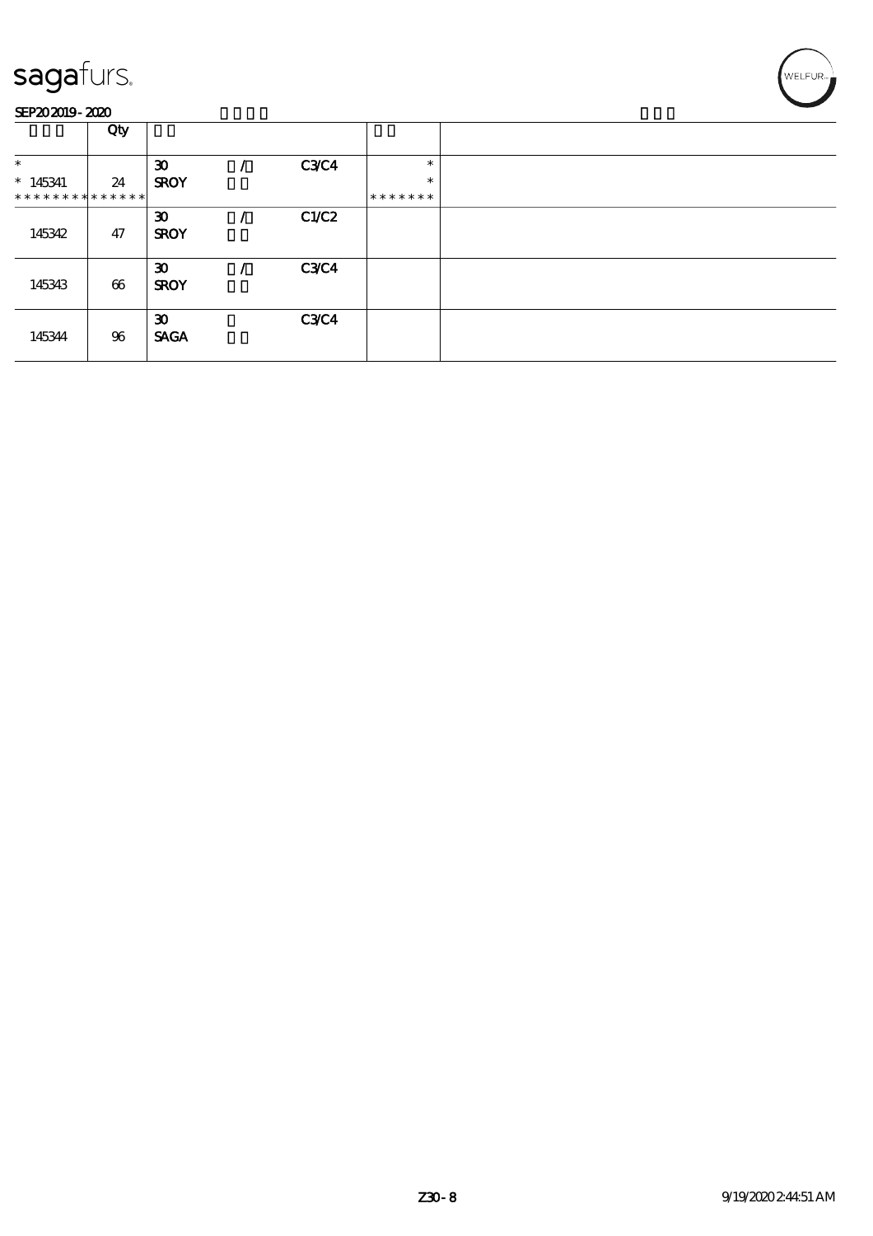

|                                         | Qty                   |                                            |             |                  |  |
|-----------------------------------------|-----------------------|--------------------------------------------|-------------|------------------|--|
| $\ast$<br>$*145341$                     | 24                    | $\boldsymbol{\mathfrak{D}}$<br><b>SROY</b> | <b>C3C4</b> | $\ast$<br>$\ast$ |  |
| * * * * * * * * * * * * * * *<br>145342 | 47                    | $\boldsymbol{\mathfrak{D}}$<br><b>SROY</b> | C1/C2       | *******          |  |
| 145343                                  | $\boldsymbol{\omega}$ | $\boldsymbol{\mathfrak{D}}$<br><b>SROY</b> | <b>C3C4</b> |                  |  |
| 145344                                  | 96                    | $\boldsymbol{\mathfrak{D}}$<br><b>SACA</b> | <b>C3C4</b> |                  |  |

WELFUR<sub>7</sub>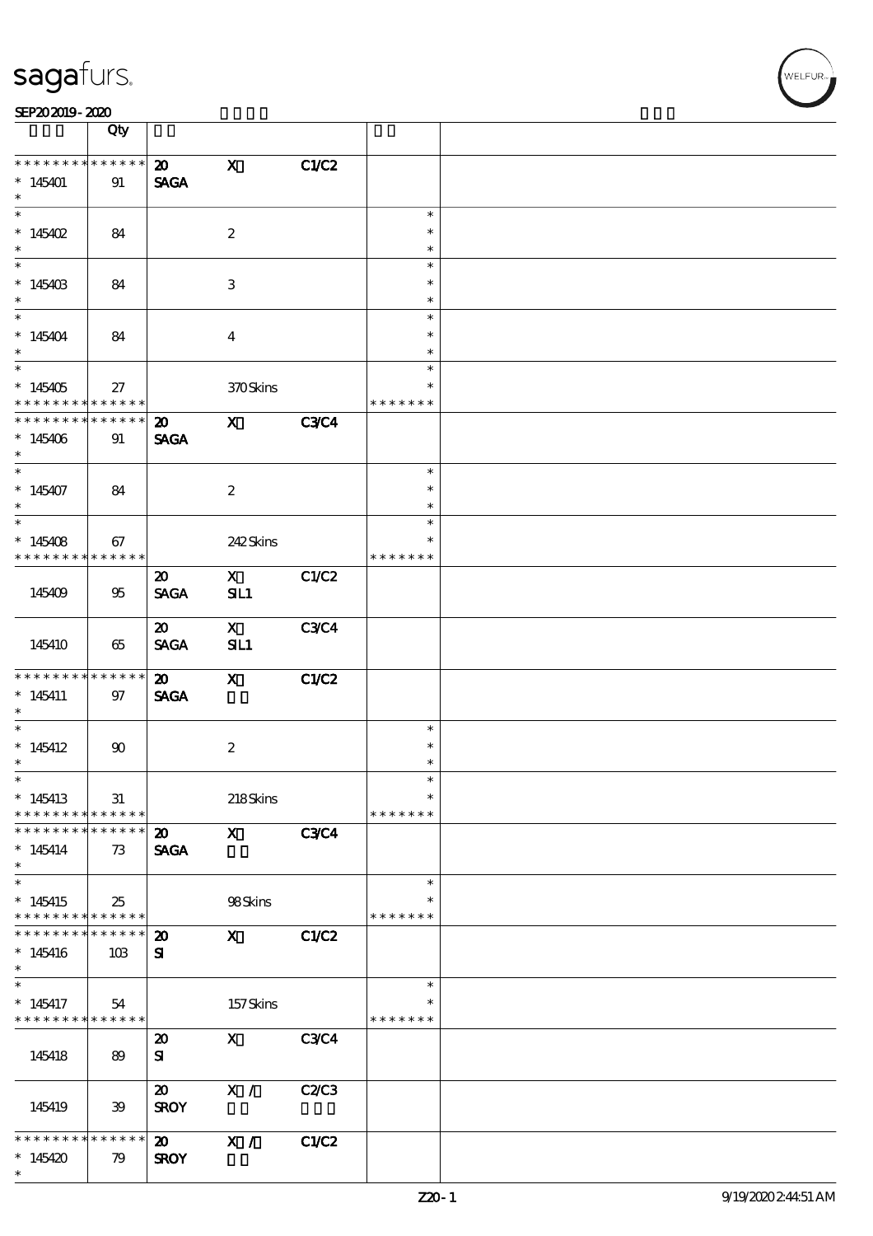|                                            | Qty                |                                            |                     |             |                         |  |
|--------------------------------------------|--------------------|--------------------------------------------|---------------------|-------------|-------------------------|--|
| * * * * * * * *                            | * * * * * *        | $\boldsymbol{\mathsf{20}}$                 | $\mathbf{x}$        | C1/C2       |                         |  |
| $*145401$                                  | 91                 | <b>SAGA</b>                                |                     |             |                         |  |
| $\ast$                                     |                    |                                            |                     |             |                         |  |
| * $145402$                                 | 84                 |                                            | $\boldsymbol{2}$    |             | $\ast$<br>$\ast$        |  |
| $\ast$                                     |                    |                                            |                     |             | $\ast$                  |  |
|                                            |                    |                                            |                     |             | $\ast$                  |  |
| $*145403$<br>$\ast$                        | 84                 |                                            | 3                   |             | $\ast$<br>$\ast$        |  |
| $\ddot{x}$                                 |                    |                                            |                     |             | $\ast$                  |  |
| $*145404$<br>$\ast$                        | 84                 |                                            | $\overline{4}$      |             | $\ast$<br>$\ast$        |  |
| $\overline{\phantom{0}}$                   |                    |                                            |                     |             | $\ast$                  |  |
| $*145405$<br>* * * * * * * *               | 27                 |                                            | 370Skins            |             | $\ast$<br>* * * * * * * |  |
| * * * * * * * *                            | ******<br>$******$ |                                            |                     |             |                         |  |
| $*145406$<br>$\ast$                        | 91                 | $\boldsymbol{\mathsf{20}}$<br><b>SAGA</b>  | $\mathbf{X}$        | <b>C3C4</b> |                         |  |
| $\ast$                                     |                    |                                            |                     |             | $\ast$                  |  |
| $*145407$<br>$\ast$                        | 84                 |                                            | $\boldsymbol{2}$    |             | $\ast$<br>$\ast$        |  |
| $\overline{\phantom{0}}$                   |                    |                                            |                     |             | $\ast$                  |  |
|                                            |                    |                                            |                     |             |                         |  |
| $*145408$<br>* * * * * * * *               | 67<br>$******$     |                                            | 242Skins            |             | $\ast$                  |  |
|                                            |                    |                                            |                     |             | * * * * * * *           |  |
| 145409                                     | 95                 | $\boldsymbol{\mathfrak{D}}$<br><b>SAGA</b> | $\mathbf{X}$<br>SL1 | C1/C2       |                         |  |
|                                            |                    | $\boldsymbol{\mathfrak{D}}$                | $\mathbf{X}$        | <b>C3C4</b> |                         |  |
| 145410                                     | 65                 | <b>SAGA</b>                                | SL1                 |             |                         |  |
| * * * * * * * *                            | * * * * * *        | $\boldsymbol{\mathfrak{D}}$                | $\mathbf{X}$        | C1/C2       |                         |  |
| $*145411$                                  | 97                 | <b>SAGA</b>                                |                     |             |                         |  |
| $\ast$                                     |                    |                                            |                     |             |                         |  |
| $*$                                        |                    |                                            |                     |             | $\ast$                  |  |
| $*145412$                                  | 90                 |                                            | $\boldsymbol{2}$    |             | $\ast$                  |  |
| $\ast$                                     |                    |                                            |                     |             | $\ast$                  |  |
| $\ast$                                     |                    |                                            |                     |             | $\ast$                  |  |
| $*145413$                                  | 31                 |                                            |                     |             | $\ast$                  |  |
| * * * * * * * *                            | ******             |                                            | 218Skins            |             | * * * * * * *           |  |
| * * * * * * * *                            | ******             | $\boldsymbol{\mathsf{20}}$                 | $\mathbf{X}$        | <b>C3C4</b> |                         |  |
|                                            |                    |                                            |                     |             |                         |  |
| $*145414$<br>$\ast$                        | 73                 | <b>SAGA</b>                                |                     |             |                         |  |
| $\overline{\ast}$                          |                    |                                            |                     |             | $\ast$                  |  |
| $*145415$                                  | 25                 |                                            | 98Skins             |             |                         |  |
| * * * * * * * * <mark>* * * * * *</mark>   |                    |                                            |                     |             | * * * * * * *           |  |
| * * * * * * * *                            | * * * * * *        | $\boldsymbol{\mathfrak{D}}$                | $\mathbf{X}$        | C1/C2       |                         |  |
| $*145416$                                  | 10B                | ${\bf s}$                                  |                     |             |                         |  |
| $\ast$                                     |                    |                                            |                     |             |                         |  |
| $\ast$                                     |                    |                                            |                     |             | $\ast$                  |  |
| $*145417$<br>* * * * * * * * * * * * * * * | 54                 |                                            | 157Skins            |             | $\ast$<br>* * * * * * * |  |
|                                            |                    |                                            |                     |             |                         |  |
| 145418                                     | 89                 | $\boldsymbol{\mathfrak{D}}$<br>${\bf s}$   | $\mathbf{X}$        | <b>C3C4</b> |                         |  |
|                                            |                    | $\boldsymbol{\mathfrak{D}}$                | X /                 | C2C3        |                         |  |
| 145419                                     | 39                 | <b>SROY</b>                                |                     |             |                         |  |
| * * * * * * *                              | ******             |                                            | X /                 |             |                         |  |
|                                            |                    | 20                                         |                     | C1/C2       |                         |  |
| $*145420$<br>$\ast$                        | 79                 | <b>SROY</b>                                |                     |             |                         |  |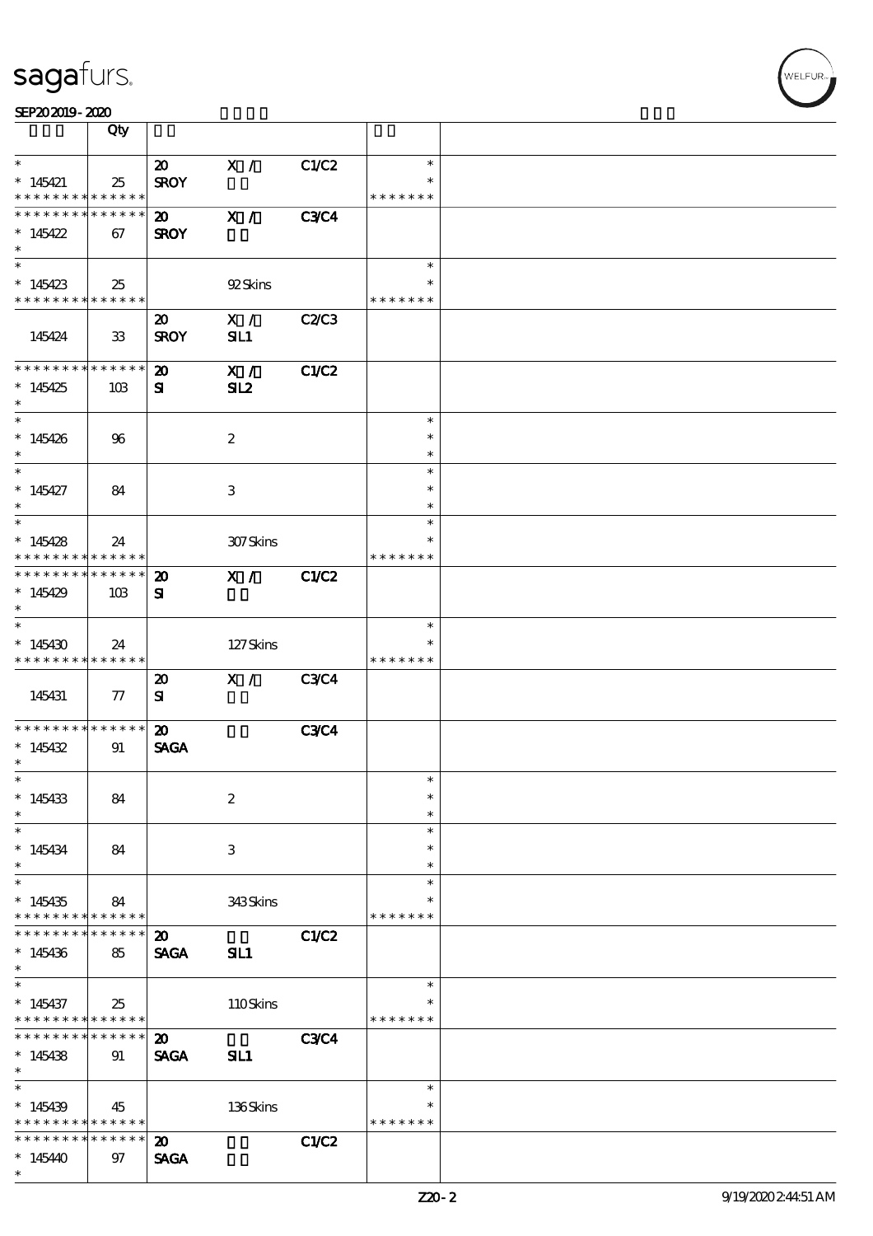|                 | Qty             |                             |                  |              |               |  |
|-----------------|-----------------|-----------------------------|------------------|--------------|---------------|--|
| $\ast$          |                 | $\boldsymbol{\omega}$       | X /              | C1/C2        | $\ast$        |  |
| $*145421$       | 25              | <b>SROY</b>                 |                  |              | $\ast$        |  |
| * * * * * * * * | * * * * * *     |                             |                  |              | * * * * * * * |  |
| * * * * * * * * | * * * * * *     | $\boldsymbol{\mathsf{20}}$  | X /              | <b>C3C4</b>  |               |  |
| * $145422$      | 67              | <b>SROY</b>                 |                  |              |               |  |
| $\ast$          |                 |                             |                  |              |               |  |
|                 |                 |                             |                  |              | $\ast$        |  |
| $*145423$       | 25              |                             | 92Skins          |              |               |  |
| * * * * * * * * | * * * * * *     |                             |                  |              | * * * * * * * |  |
|                 |                 | $\boldsymbol{\mathfrak{D}}$ | X /              | C2/C3        |               |  |
| 145424          | 33              | <b>SROY</b>                 | SL1              |              |               |  |
|                 |                 |                             |                  |              |               |  |
| * * * * * * * * | * * * * * *     | $\boldsymbol{\mathfrak{D}}$ | X /              | C1/C2        |               |  |
| $*145425$       | 10B             | ${\bf s}$                   | SL2              |              |               |  |
| $*$             |                 |                             |                  |              |               |  |
|                 |                 |                             |                  |              | $\ast$        |  |
| $*145426$       | 96              |                             | $\boldsymbol{2}$ |              | $\ast$        |  |
| $*$             |                 |                             |                  |              | $\ast$        |  |
| $*$             |                 |                             |                  |              | $\ast$        |  |
| $*145427$       | 84              |                             | 3                |              | $\ast$        |  |
| $\ast$          |                 |                             |                  |              | $\ast$        |  |
|                 |                 |                             |                  |              | $\ast$        |  |
| $*145428$       | 24              |                             | 307Skins         |              | $\ast$        |  |
| * * * * * * * * | * * * * * *     |                             |                  |              | * * * * * * * |  |
| * * * * * * * * | * * * * * *     | $\boldsymbol{\mathfrak{D}}$ | X /              | C1/C2        |               |  |
| $*145429$       | 10B             | ${\bf s}$                   |                  |              |               |  |
| $\ast$          |                 |                             |                  |              |               |  |
|                 |                 |                             |                  |              | $\ast$        |  |
| $*145430$       | 24              |                             | 127Skins         |              |               |  |
| * * * * * * * * | * * * * * *     |                             |                  |              | * * * * * * * |  |
|                 |                 | $\boldsymbol{\mathfrak{D}}$ | X /              | <b>C3C4</b>  |               |  |
| 145431          | $\pi$           | ${\bf s}$                   |                  |              |               |  |
| * * * * * * * * | $* * * * * * *$ | $\boldsymbol{\mathfrak{D}}$ |                  | <b>C3C4</b>  |               |  |
| $*145432$       | 91              | <b>SAGA</b>                 |                  |              |               |  |
| $\ast$          |                 |                             |                  |              |               |  |
| $*$             |                 |                             |                  |              | $\ast$        |  |
| $*145433$       | 84              |                             | $\boldsymbol{2}$ |              | $\ast$        |  |
| $\ast$          |                 |                             |                  |              | $\ast$        |  |
| $\ast$          |                 |                             |                  |              | $\ast$        |  |
| $*145434$       | 84              |                             | 3                |              | $\ast$        |  |
| $\ast$          |                 |                             |                  |              | $\ast$        |  |
|                 |                 |                             |                  |              | $\ast$        |  |
| $*145435$       | 84              |                             | 343Skins         |              |               |  |
| * * * * * * * * | * * * * * *     |                             |                  |              | * * * * * * * |  |
| * * * * * * * * | * * * * * *     | $\boldsymbol{\mathfrak{D}}$ |                  | <b>C1/C2</b> |               |  |
| $*145436$       | 85              | <b>SAGA</b>                 | SIL1             |              |               |  |
| $*$             |                 |                             |                  |              |               |  |
| $\ast$          |                 |                             |                  |              | $\ast$        |  |
| $*145437$       | 25              |                             | 110Skins         |              | $\ast$        |  |
| * * * * * * * * | * * * * * *     |                             |                  |              | * * * * * * * |  |
| * * * * * * * * | * * * * * *     | $\boldsymbol{\mathfrak{D}}$ |                  | <b>C3C4</b>  |               |  |
| $*145438$       | 91              | <b>SAGA</b>                 | SIL1             |              |               |  |
| $\ast$          |                 |                             |                  |              |               |  |
| $\ast$          |                 |                             |                  |              | $\ast$        |  |
| $*145439$       | 45              |                             | 136Skins         |              | $\ast$        |  |
| * * * * * * * * | * * * * * *     |                             |                  |              | * * * * * * * |  |
| * * * * * * * * | ******          | 20                          |                  | C1/C2        |               |  |
| $*145440$       | 97              | <b>SAGA</b>                 |                  |              |               |  |
| $\ast$          |                 |                             |                  |              |               |  |

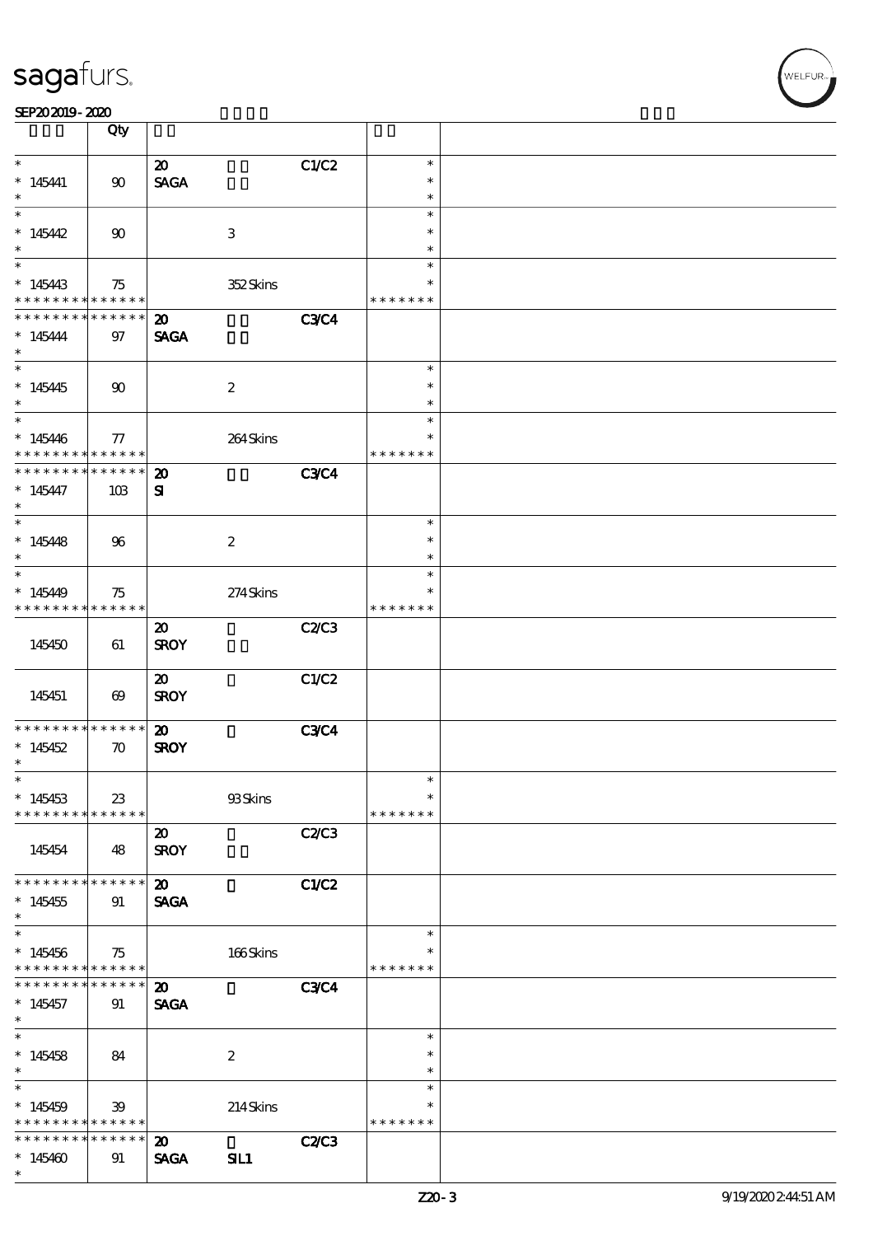|                                          | Qty                   |                             |                  |              |               |  |
|------------------------------------------|-----------------------|-----------------------------|------------------|--------------|---------------|--|
| $\ast$                                   |                       | $\boldsymbol{\mathfrak{D}}$ |                  | C1/C2        | $\ast$        |  |
|                                          |                       |                             |                  |              | $\ast$        |  |
| $* 145441$<br>$\ast$                     | $90\,$                | <b>SAGA</b>                 |                  |              | $\ast$        |  |
| $\overline{\ast}$                        |                       |                             |                  |              |               |  |
|                                          |                       |                             |                  |              | $\ast$        |  |
| $*145442$                                | $90^{\circ}$          |                             | $\,3$            |              | $\ast$        |  |
| $\ast$                                   |                       |                             |                  |              | $\ast$        |  |
|                                          |                       |                             |                  |              | $\ast$        |  |
| $*145443$                                | 75                    |                             | 352Skins         |              | $\ast$        |  |
| * * * * * * * *                          | * * * * * *           |                             |                  |              | * * * * * * * |  |
| * * * * * * * *                          | ******                | $\boldsymbol{\mathfrak{D}}$ |                  | <b>C3C4</b>  |               |  |
| $* 145444$                               | $97$                  | <b>SAGA</b>                 |                  |              |               |  |
| $\ast$                                   |                       |                             |                  |              |               |  |
|                                          |                       |                             |                  |              | $\ast$        |  |
| $*145445$                                | $90^{\circ}$          |                             |                  |              | $\ast$        |  |
| $\ast$                                   |                       |                             | $\boldsymbol{2}$ |              | $\ast$        |  |
| $*$                                      |                       |                             |                  |              | $\ast$        |  |
|                                          |                       |                             |                  |              |               |  |
| $*145446$                                | 77                    |                             | 264Skins         |              | $\ast$        |  |
| * * * * * * * *                          | ******                |                             |                  |              | * * * * * * * |  |
| * * * * * * * *                          | * * * * * *           | $\boldsymbol{\mathfrak{D}}$ |                  | <b>C3C4</b>  |               |  |
| $* 145447$                               | 10B                   | ${\bf s}$                   |                  |              |               |  |
| $\ast$                                   |                       |                             |                  |              |               |  |
|                                          |                       |                             |                  |              | $\ast$        |  |
| $*145448$                                | 96                    |                             | $\boldsymbol{2}$ |              | $\ast$        |  |
| $\ast$                                   |                       |                             |                  |              | $\ast$        |  |
| $\overline{\phantom{0}}$                 |                       |                             |                  |              | $\ast$        |  |
| $*145449$                                | 75                    |                             | 274Skins         |              | *             |  |
| * * * * * * * *                          | $* * * * * * *$       |                             |                  |              | * * * * * * * |  |
|                                          |                       | $\boldsymbol{\mathfrak{D}}$ |                  | <b>C2/C3</b> |               |  |
|                                          |                       |                             |                  |              |               |  |
| 145450                                   | 61                    | <b>SROY</b>                 |                  |              |               |  |
|                                          |                       |                             |                  |              |               |  |
|                                          |                       | $\boldsymbol{\mathfrak{D}}$ |                  | C1/C2        |               |  |
| 145451                                   | $\boldsymbol{\omega}$ | <b>SROY</b>                 |                  |              |               |  |
|                                          |                       |                             |                  |              |               |  |
| * * * * * * * *                          | $******$              | $\boldsymbol{\mathfrak{D}}$ |                  | <b>C3C4</b>  |               |  |
| $*145452$                                | $\boldsymbol{\pi}$    | <b>SROY</b>                 |                  |              |               |  |
| $\ast$                                   |                       |                             |                  |              |               |  |
| $\ast$                                   |                       |                             |                  |              | $\ast$        |  |
| $*145453$                                | 23                    |                             | 93Skins          |              | $\ast$        |  |
| * * * * * * * *                          | ******                |                             |                  |              | * * * * * * * |  |
|                                          |                       | $\boldsymbol{\mathfrak{D}}$ |                  | C2C3         |               |  |
| 145454                                   | 48                    | <b>SROY</b>                 |                  |              |               |  |
|                                          |                       |                             |                  |              |               |  |
| * * * * * * * *                          | ******                | $\boldsymbol{\mathfrak{D}}$ |                  | CLC2         |               |  |
| $*145455$                                | 91                    | <b>SAGA</b>                 |                  |              |               |  |
| $\ast$                                   |                       |                             |                  |              |               |  |
| $\overline{\ast}$                        |                       |                             |                  |              | $\ast$        |  |
|                                          |                       |                             |                  |              | $\ast$        |  |
| $*145456$                                | 75                    |                             | $166$ Skins      |              |               |  |
| * * * * * * * * <mark>* * * * * *</mark> |                       |                             |                  |              | * * * * * * * |  |
| * * * * * * * *                          | * * * * * * *         | $\boldsymbol{\mathfrak{D}}$ |                  | <b>C3C4</b>  |               |  |
| $*145457$                                | 91                    | <b>SAGA</b>                 |                  |              |               |  |
| $\ast$                                   |                       |                             |                  |              |               |  |
| $\ast$                                   |                       |                             |                  |              | $\ast$        |  |
| $*145458$                                | 84                    |                             | $\boldsymbol{z}$ |              | $\ast$        |  |
| $\ast$                                   |                       |                             |                  |              | $\ast$        |  |
| $\ast$                                   |                       |                             |                  |              | $\ast$        |  |
| $*145459$                                | 39                    |                             | 214Skins         |              | $\ast$        |  |
| * * * * * * * * <mark>* * * * * *</mark> |                       |                             |                  |              | * * * * * * * |  |
| * * * * * * * *                          | * * * * * *           | $\boldsymbol{\mathfrak{D}}$ |                  | <b>C2/C3</b> |               |  |
| $*145460$                                | 91                    | <b>SAGA</b>                 | SIL1             |              |               |  |
| $\ast$                                   |                       |                             |                  |              |               |  |
|                                          |                       |                             |                  |              |               |  |

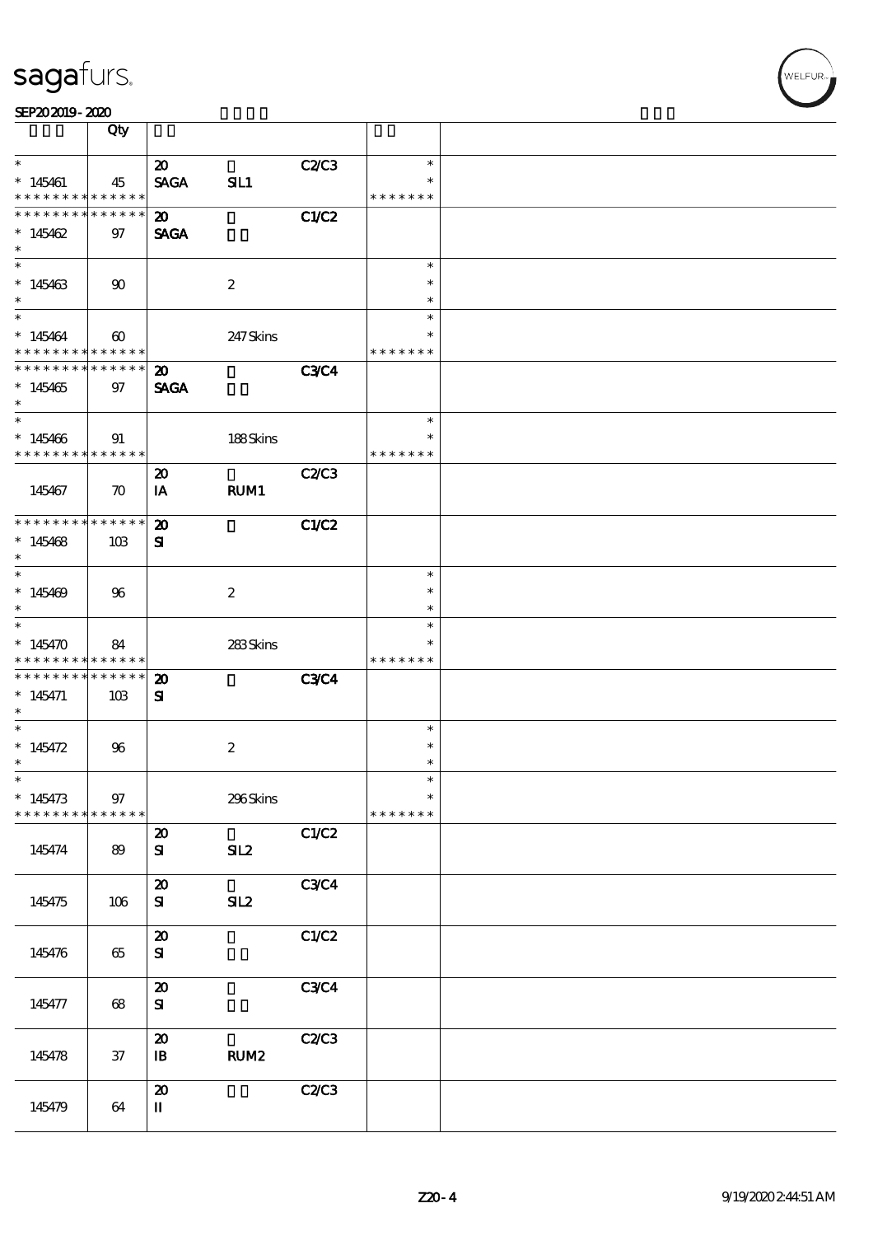|                                            | Qty                   |                                          |                  |             |                  |  |
|--------------------------------------------|-----------------------|------------------------------------------|------------------|-------------|------------------|--|
| $\ast$                                     |                       | $\boldsymbol{\mathfrak{D}}$              |                  | C2C3        | $\ast$           |  |
| $*145461$                                  | 45                    | <b>SAGA</b>                              | SL1              |             | $\ast$           |  |
| * * * * * * * * * * * * * *                |                       |                                          |                  |             | * * * * * * *    |  |
| * * * * * * * * * * * * * *                |                       | $\boldsymbol{\mathfrak{D}}$              |                  | C1/C2       |                  |  |
| * $145462$                                 | 97                    | <b>SAGA</b>                              |                  |             |                  |  |
| $\ast$                                     |                       |                                          |                  |             |                  |  |
|                                            |                       |                                          |                  |             | $\ast$<br>$\ast$ |  |
| $*145463$<br>$\ast$                        | $90^{\circ}$          |                                          | $\boldsymbol{2}$ |             | $\ast$           |  |
|                                            |                       |                                          |                  |             | $\ast$           |  |
| $*145464$                                  | $\boldsymbol{\omega}$ |                                          | 247 Skins        |             | $\ast$           |  |
| * * * * * * * * <mark>* * * * * * *</mark> |                       |                                          |                  |             | * * * * * * *    |  |
| * * * * * * * * <mark>* * * * * * *</mark> |                       | $\boldsymbol{\mathfrak{D}}$              |                  | <b>C3C4</b> |                  |  |
| $*145465$                                  | 97                    | <b>SAGA</b>                              |                  |             |                  |  |
| $*$<br>$*$                                 |                       |                                          |                  |             | $\ast$           |  |
| $*145406$                                  |                       |                                          |                  |             | $\ast$           |  |
| * * * * * * * * * * * * * * *              | 91                    |                                          | 188Skins         |             | * * * * * * *    |  |
|                                            |                       | $\boldsymbol{\mathbf{z}}$                |                  | C2/C3       |                  |  |
| 145467                                     | $\boldsymbol{\pi}$    | IA                                       | RUM1             |             |                  |  |
|                                            |                       |                                          |                  |             |                  |  |
| * * * * * * * * * * * * * *                |                       | $\boldsymbol{\mathfrak{D}}$              |                  | C1/C2       |                  |  |
| $*145468$                                  | 10B                   | ${\bf s}$                                |                  |             |                  |  |
| $\ast$                                     |                       |                                          |                  |             | $\ast$           |  |
| $*145469$                                  | 96                    |                                          | $\boldsymbol{2}$ |             | $\ast$           |  |
| $\ast$                                     |                       |                                          |                  |             | $\ast$           |  |
| $*$                                        |                       |                                          |                  |             | $\ast$           |  |
| $*145470$                                  | 84                    |                                          | 283Skins         |             | $\ast$           |  |
| * * * * * * * *                            | * * * * * *           |                                          |                  |             | * * * * * * *    |  |
| * * * * * * * *                            | $* * * * * * *$       | $\boldsymbol{\mathbf{z}}$                |                  | <b>C3C4</b> |                  |  |
| $* 145471$<br>$*$                          | 10B                   | ${\bf s}$                                |                  |             |                  |  |
| $\ast$                                     |                       |                                          |                  |             | $\ast$           |  |
| * $145472$                                 | 96                    |                                          | $\boldsymbol{2}$ |             | $\ast$           |  |
| $\ast$                                     |                       |                                          |                  |             | $\ast$           |  |
| $\ast$                                     |                       |                                          |                  |             | $\ast$           |  |
| $*145473$                                  | $97\,$                |                                          | 296Skins         |             | $\ast$           |  |
| * * * * * * * *                            | * * * * * *           |                                          |                  |             | * * * * * * *    |  |
|                                            |                       | $\boldsymbol{\mathfrak{D}}$<br>${\bf s}$ | SL2              | C1/C2       |                  |  |
| 145474                                     | 89                    |                                          |                  |             |                  |  |
|                                            |                       | $\boldsymbol{\mathsf{20}}$               |                  | C3C4        |                  |  |
| 145475                                     | 106                   | ${\bf s}$                                | SL2              |             |                  |  |
|                                            |                       |                                          |                  |             |                  |  |
|                                            |                       | $\boldsymbol{\mathfrak{D}}$              |                  | C1/C2       |                  |  |
| 145476                                     | 65                    | ${\bf s}$                                |                  |             |                  |  |
|                                            |                       | $\boldsymbol{\mathsf{20}}$               |                  | C3C4        |                  |  |
| 145477                                     | 68                    | ${\bf s}$                                |                  |             |                  |  |
|                                            |                       |                                          |                  |             |                  |  |
|                                            |                       | $\boldsymbol{\mathsf{20}}$               |                  | C2/C3       |                  |  |
| 145478                                     | 37                    | $\mathbf{B}$                             | RUM <sub>2</sub> |             |                  |  |
|                                            |                       |                                          |                  |             |                  |  |
|                                            |                       | $\boldsymbol{\mathfrak{D}}$              |                  | C2C3        |                  |  |
| 145479                                     | 64                    | $\mathbf I$                              |                  |             |                  |  |
|                                            |                       |                                          |                  |             |                  |  |

T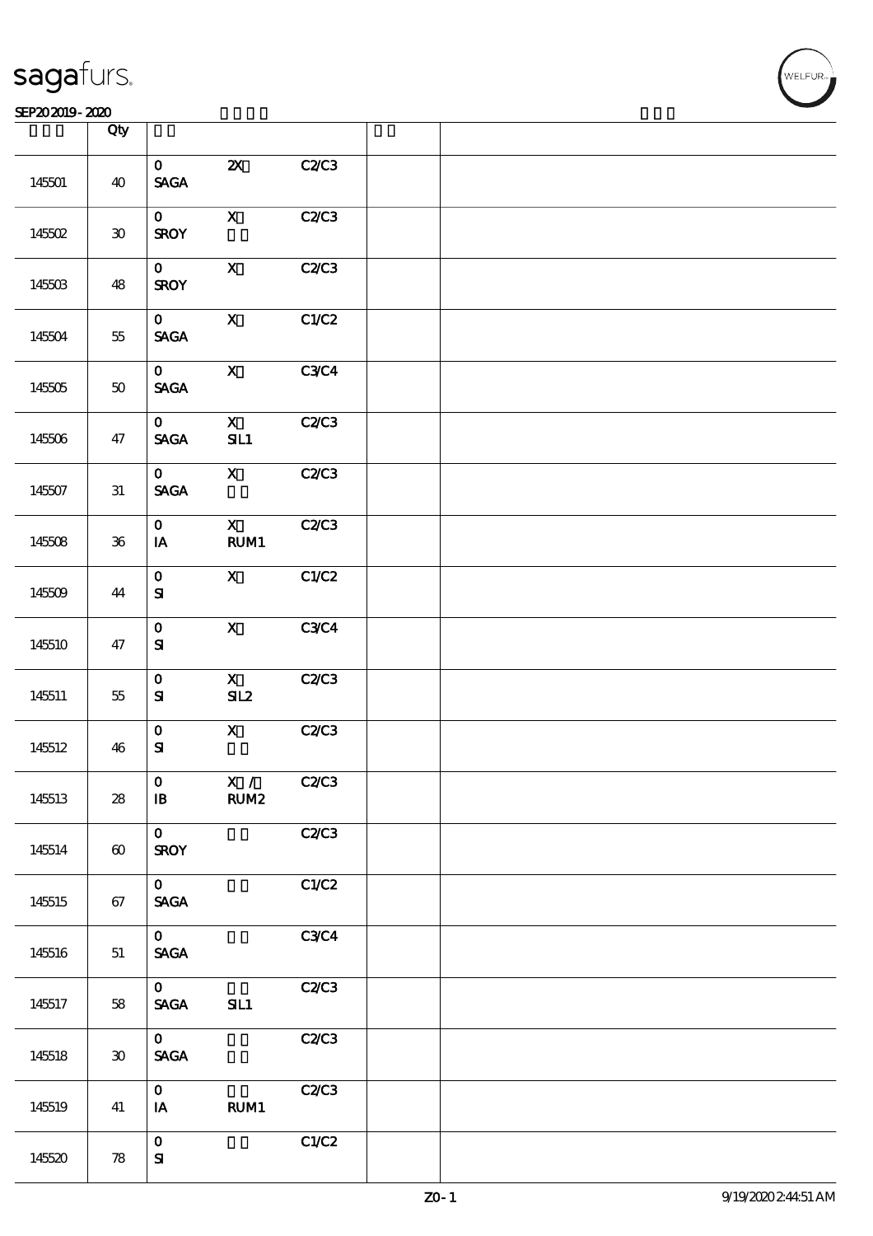|        | Qty             |                                                |                                |              |  |  |
|--------|-----------------|------------------------------------------------|--------------------------------|--------------|--|--|
| 145501 | 40              | $\mathbf{O}$<br>$\ensuremath{\mathsf{SAGA}}$   | $\boldsymbol{\mathsf{Z}}$      | C2/C3        |  |  |
| 145502 | $\pmb{30}$      | $\mathbf{O}$<br><b>SROY</b>                    | $\mathbf X$                    | C2/C3        |  |  |
| 145503 | 48              | $\mathbf{o}$<br><b>SROY</b>                    | $\boldsymbol{\mathsf{X}}$      | C2C3         |  |  |
| 145504 | 55              | $\mathbf{O}$<br>$\ensuremath{\mathsf{SAGA}}$   | $\mathbf X$                    | C1/C2        |  |  |
| 145505 | $5\!\mathrm{O}$ | $\mathbf{O}$<br><b>SAGA</b>                    | $\mathbf{X}$                   | <b>C3C4</b>  |  |  |
| 145506 | 47              | $\mathbf{O}$<br>$\operatorname{\mathsf{SAGA}}$ | $\mathbf{X}$<br>SL1            | C2C3         |  |  |
| 145507 | $3\!1$          | $\mathbf{O}$<br><b>SACA</b>                    | $\mathbf{X}$                   | C2/C3        |  |  |
| 145508 | ${\bf 36}$      | $\mathbf{O}$<br>IA                             | $\mathbf{X}$<br>RUM1           | C2C3         |  |  |
| 145509 | 44              | $\mathbf O$<br>${\bf S\hspace{-.075ex}I}$      | $\mathbf X$                    | C1/C2        |  |  |
| 145510 | 47              | $\mathbf 0$<br>${\bf S}$                       | $\mathbf{X}$                   | C3C4         |  |  |
| 145511 | 55              | $\mathbf O$<br>${\bf S\hspace{-.075ex}I}$      | $\overline{\mathbf{X}}$<br>SL2 | <b>C2/C3</b> |  |  |
| 145512 | 46              | $\mathbf 0$<br>${\bf S\hspace{-.075ex}I}$      | $\mathbf{X}$                   | C2/C3        |  |  |
| 145513 | 28              | $\mathbf{O}$<br>$\mathbf{B}$                   | X /<br>RUM <sub>2</sub>        | C2C3         |  |  |
| 145514 | $\pmb{\infty}$  | $\mathbf{O}$<br><b>SROY</b>                    |                                | C2C3         |  |  |
| 145515 | 67              | $\mathbf{O}$<br><b>SAGA</b>                    |                                | C1/C2        |  |  |
| 145516 | $5\!1$          | $\mathbf{O}$<br>SAGA                           |                                | C3C4         |  |  |
| 145517 | 58              | $\mathbf{O}$<br><b>SAGA</b>                    | SL1                            | C2C3         |  |  |
| 145518 | $\pmb{30}$      | $\mathbf{O}$<br>$\ensuremath{\mathsf{SAGA}}$   |                                | C2C3         |  |  |
| 145519 | 41              | $\mathbf{O}$<br>IA                             | RUM1                           | C2C3         |  |  |
| 145520 | ${\bf 78}$      | $\mathbf O$<br>${\bf S\hspace{-.075ex}I}$      |                                | C1/C2        |  |  |

 $\overline{\mathsf{T}}$ 

.<br>WELFUR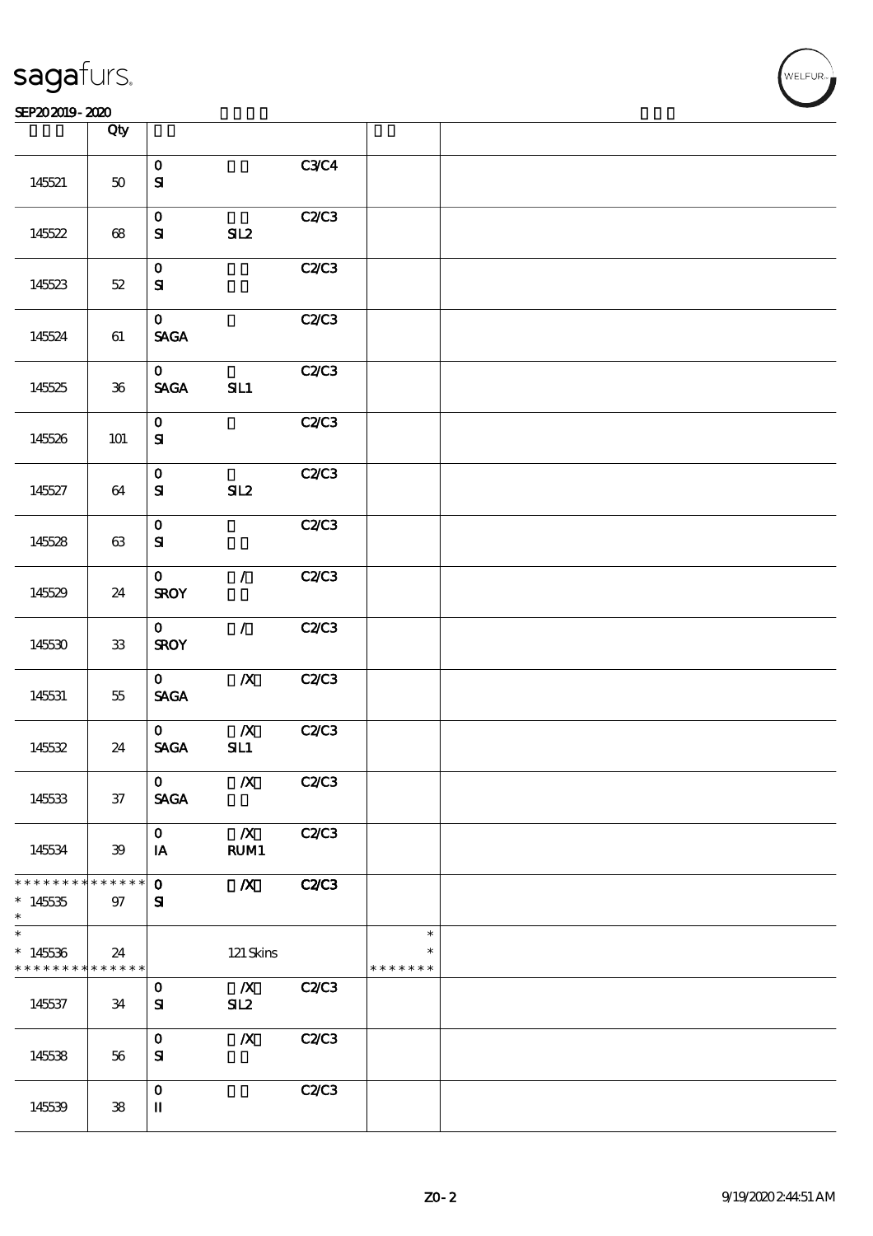| <b>saga</b> furs. |  |
|-------------------|--|
|                   |  |

|                                          | Qty        |                             |                  |              |                         |  |
|------------------------------------------|------------|-----------------------------|------------------|--------------|-------------------------|--|
|                                          |            | $\mathbf O$                 |                  | <b>C3C4</b>  |                         |  |
| 145521                                   | $50\,$     | $\mathbf{S}$                |                  |              |                         |  |
|                                          |            |                             |                  |              |                         |  |
|                                          |            | $\mathbf{O}$                |                  | C2/C3        |                         |  |
| 145522                                   | 68         | ${\bf s}$                   | SL2              |              |                         |  |
|                                          |            |                             |                  |              |                         |  |
| 145523                                   | $52\,$     | $\mathbf{O}$<br>${\bf s}$   |                  | C2C3         |                         |  |
|                                          |            |                             |                  |              |                         |  |
|                                          |            | $\mathbf{O}$                |                  | C2C3         |                         |  |
| 145524                                   | 61         | <b>SAGA</b>                 |                  |              |                         |  |
|                                          |            |                             |                  |              |                         |  |
| 145525                                   | ${\bf 36}$ | $\mathbf{O}$<br><b>SAGA</b> | SL1              | C2C3         |                         |  |
|                                          |            |                             |                  |              |                         |  |
|                                          |            | $\mathbf{O}$                |                  | <b>C2/C3</b> |                         |  |
| 145526                                   | $101$      | ${\bf s}$                   |                  |              |                         |  |
|                                          |            |                             |                  |              |                         |  |
| 145527                                   | 64         | $\mathbf{O}$<br>${\bf s}$   | SL2              | C2/C3        |                         |  |
|                                          |            |                             |                  |              |                         |  |
|                                          |            | $\mathbf{O}$                |                  | C2/C3        |                         |  |
| 145528                                   | $63\,$     | ${\bf S}$                   |                  |              |                         |  |
|                                          |            |                             | $\mathcal{T}$    |              |                         |  |
| 145529                                   | 24         | $\mathbf{O}$<br><b>SROY</b> |                  | <b>C2/C3</b> |                         |  |
|                                          |            |                             |                  |              |                         |  |
|                                          |            | $\mathbf{O}$                | $\mathcal{L}$    | C2C3         |                         |  |
| 145530                                   | ${\bf 33}$ | <b>SROY</b>                 |                  |              |                         |  |
|                                          |            | $\mathbf{O}$                | $\boldsymbol{X}$ | C2C3         |                         |  |
| 145531                                   | 55         | <b>SAGA</b>                 |                  |              |                         |  |
|                                          |            |                             |                  |              |                         |  |
|                                          |            | $\mathbf{O}$                | $\boldsymbol{X}$ | <b>C2/C3</b> |                         |  |
| 145532                                   | 24         | <b>SAGA</b>                 | SL1              |              |                         |  |
|                                          |            | $\mathbf{O}$                |                  |              |                         |  |
| 145533                                   | $37\,$     | <b>SAGA</b>                 | $\overline{X}$   | C2C3         |                         |  |
|                                          |            |                             |                  |              |                         |  |
|                                          |            | $\mathbf{O}$                | $\boldsymbol{X}$ | C2C3         |                         |  |
| 145534                                   | 39         | IA                          | RUM1             |              |                         |  |
| * * * * * * * * * * * * * *              |            | $\mathbf{O}$                | $\boldsymbol{X}$ | <b>C2/C3</b> |                         |  |
| $*14535$                                 | 97         | ${\bf s}$                   |                  |              |                         |  |
| $\ast$                                   |            |                             |                  |              |                         |  |
| $\ast$                                   |            |                             |                  |              | $\ast$                  |  |
| $*145536$<br>* * * * * * * * * * * * * * | 24         |                             | $121$ Skins      |              | $\ast$<br>* * * * * * * |  |
|                                          |            | $\mathbf{o}$                | $\boldsymbol{X}$ | C2C3         |                         |  |
| 145537                                   | 34         | ${\bf s}$                   | SL2              |              |                         |  |
|                                          |            |                             |                  |              |                         |  |
|                                          |            | $\mathbf{o}$                | $\boldsymbol{X}$ | <b>C2/C3</b> |                         |  |
| 145538                                   | 56         | ${\bf s}$                   |                  |              |                         |  |
|                                          |            | $\mathbf 0$                 |                  | C2C3         |                         |  |
| 145539                                   | 38         | П                           |                  |              |                         |  |
|                                          |            |                             |                  |              |                         |  |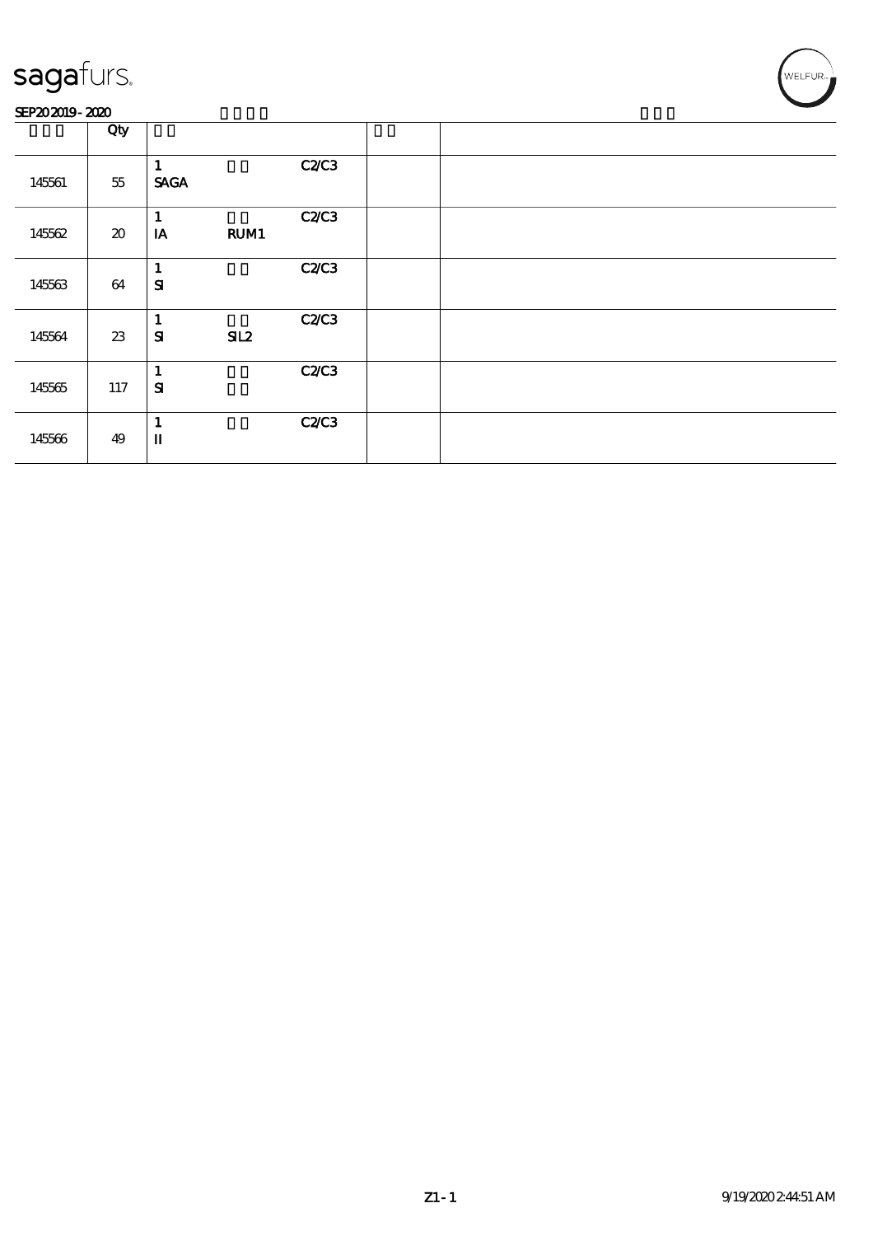#### SEP202019-2020

|        | Qty                                 |                       |              |  |
|--------|-------------------------------------|-----------------------|--------------|--|
| 145561 | $5\!5$                              | <b>SAGA</b>           | <b>C2/C3</b> |  |
| 145562 | $\boldsymbol{\boldsymbol{\lambda}}$ | 1<br>RUM1<br>IA       | <b>C2/C3</b> |  |
| 145563 | 64                                  | 1<br>${\bf s}$        | <b>C2/C3</b> |  |
| 145564 | $23\,$                              | 1<br>${\bf s}$<br>SL2 | <b>C2/C3</b> |  |
| 145565 | 117                                 | 1<br>${\bf s}$        | <b>C2/C3</b> |  |
| 145566 | 49                                  | 1<br>$\mathbf u$      | <b>C2/C3</b> |  |

WELFUR<sub>™</sub>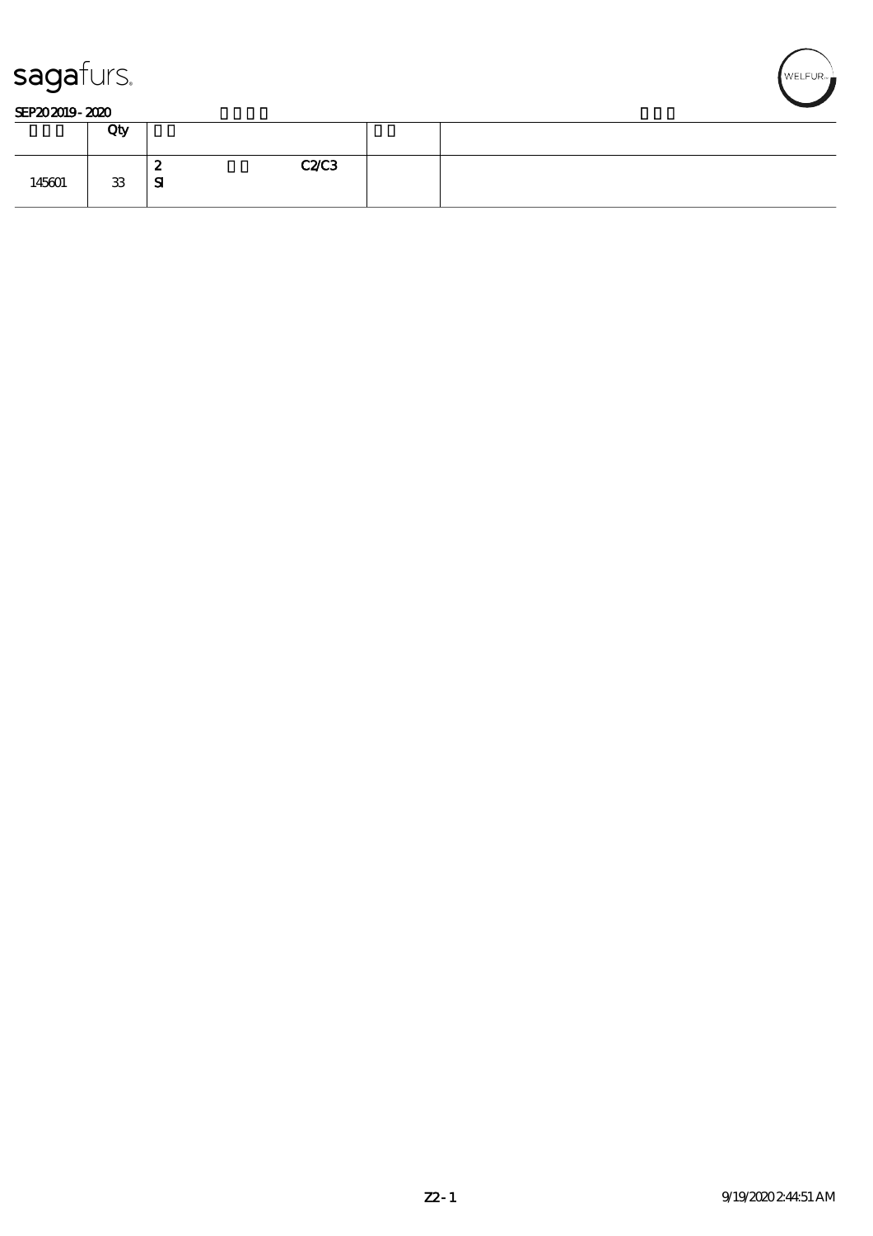



#### SEP202019-2020

|        | Qty |                                     |  |
|--------|-----|-------------------------------------|--|
| 145601 | 33  | <b>C2/C3</b><br>O<br>∼<br>${\bf s}$ |  |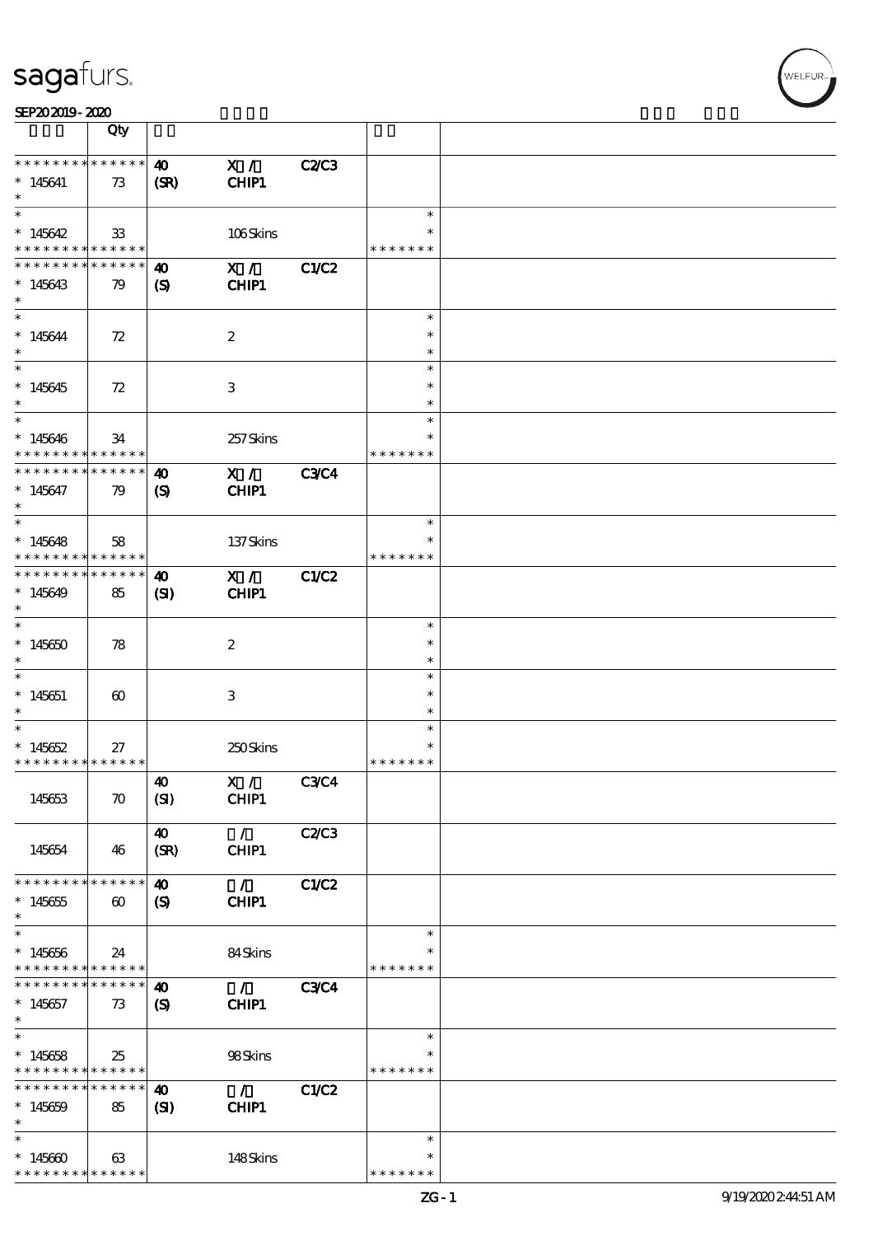SEP202019-2020

|                                            | Qty                            |                               |                   |              |                  |  |
|--------------------------------------------|--------------------------------|-------------------------------|-------------------|--------------|------------------|--|
| * * * * * * * *                            | $* * * * * * *$                | $\boldsymbol{\omega}$         | X /               | <b>C2/C3</b> |                  |  |
| $*145641$                                  | 73                             | (SR)                          | CHIP1             |              |                  |  |
| $\ast$                                     |                                |                               |                   |              |                  |  |
| $\overline{\ast}$                          |                                |                               |                   |              | $\ast$           |  |
| $*145642$                                  | 33                             |                               | 106Skins          |              | $\ast$           |  |
| * * * * * * * *<br>* * * * * * * *         | $* * * * * * *$<br>* * * * * * |                               |                   |              | * * * * * * *    |  |
| $*145643$                                  |                                | $\boldsymbol{\omega}$         | X /<br>CHIP1      | <b>C1/C2</b> |                  |  |
| $\ast$                                     | 79                             | $\boldsymbol{\mathcal{S}}$    |                   |              |                  |  |
| $\overline{\ast}$                          |                                |                               |                   |              | $\ast$           |  |
| $* 145644$                                 | 72                             |                               | $\boldsymbol{2}$  |              | $\ast$           |  |
| $\ast$                                     |                                |                               |                   |              | $\ast$           |  |
| $\overline{\phantom{0}}$                   |                                |                               |                   |              | $\ast$           |  |
| $*145645$                                  | 72                             |                               | $\,3$             |              | $\ast$           |  |
| $\ast$<br>$\ast$                           |                                |                               |                   |              | $\ast$<br>$\ast$ |  |
| $*145646$                                  | 34                             |                               | 257Skins          |              |                  |  |
| * * * * * * * *                            | * * * * * *                    |                               |                   |              | * * * * * * *    |  |
| * * * * * * * *                            | * * * * * *                    | $\boldsymbol{\omega}$         | X /               | <b>C3C4</b>  |                  |  |
| $*145647$                                  | 79                             | $\boldsymbol{\mathrm{(S)}}$   | CHIP1             |              |                  |  |
| $\ast$                                     |                                |                               |                   |              |                  |  |
| $\overline{\ast}$                          |                                |                               |                   |              | $\ast$<br>$\ast$ |  |
| $*145648$<br>* * * * * * * *               | 58<br>$* * * * * * *$          |                               | 137Skins          |              | * * * * * * *    |  |
| * * * * * * * *                            | * * * * * *                    | $\boldsymbol{\omega}$         | X /               | C1/C2        |                  |  |
| $*145649$                                  | 85                             | $\mathbf{S}$                  | CHIP1             |              |                  |  |
| $\ast$                                     |                                |                               |                   |              |                  |  |
| $\overline{\ast}$                          |                                |                               |                   |              | $\ast$           |  |
| $*145650$<br>$\ast$                        | 78                             |                               | $\boldsymbol{2}$  |              | $\ast$<br>$\ast$ |  |
| $\ast$                                     |                                |                               |                   |              | $\ast$           |  |
| $*145651$                                  | $\boldsymbol{\omega}$          |                               | 3                 |              | $\ast$           |  |
| $\ast$                                     |                                |                               |                   |              | $\ast$           |  |
| $\ast$                                     |                                |                               |                   |              | $\ast$           |  |
| $*145652$                                  | 27                             |                               | 250Skins          |              | $\ast$           |  |
| * * * * * * * * * * * * * *                |                                |                               |                   |              | * * * * * * *    |  |
| 145653                                     | $\boldsymbol{\pi}$             | $\boldsymbol{\omega}$<br>(SI) | X / C3C4<br>CHIP1 |              |                  |  |
|                                            |                                |                               |                   |              |                  |  |
|                                            |                                | 40                            | $\mathcal{L}$     | C2C3         |                  |  |
| 145654                                     | 46                             | (SR)                          | CHIP1             |              |                  |  |
|                                            |                                |                               |                   |              |                  |  |
| * * * * * * * *                            | * * * * * *                    | $\boldsymbol{\omega}$         | $\mathcal{L}$     | <b>C1/C2</b> |                  |  |
| $*145655$<br>$\ast$                        | $\boldsymbol{\omega}$          | $\boldsymbol{\mathrm{(S)}}$   | CHIP1             |              |                  |  |
| $\ast$                                     |                                |                               |                   |              | $\ast$           |  |
| $*145656$                                  | 24                             |                               | 84Skins           |              | $\ast$           |  |
| * * * * * * * *                            | * * * * * *                    |                               |                   |              | * * * * * * *    |  |
| * * * * * * *                              | * * * * * *                    | 40                            | $\mathcal{F}$     | <b>C3C4</b>  |                  |  |
| $*145657$<br>$*$                           | 73                             | $\boldsymbol{\mathcal{S}}$    | CHIP1             |              |                  |  |
| $\overline{\ast}$                          |                                |                               |                   |              | $\ast$           |  |
| $*145658$                                  | 25                             |                               | 98Skins           |              |                  |  |
| * * * * * * * * <mark>* * * * * * *</mark> |                                |                               |                   |              | * * * * * * *    |  |
| * * * * * * * *                            | * * * * * *                    | $\boldsymbol{\omega}$         | $\mathcal{L}$     | C1/C2        |                  |  |
| $*145659$                                  | 85                             | $\mathbf{S}$                  | CHIP1             |              |                  |  |
| $\ast$<br>$\ast$                           |                                |                               |                   |              | $\ast$           |  |
| $*145600$                                  | 63                             |                               | 148Skins          |              | $\ast$           |  |
| * * * * * * *                              | * * * * * *                    |                               |                   |              | * * * * * * *    |  |

\* \* \* \* \* \* \*

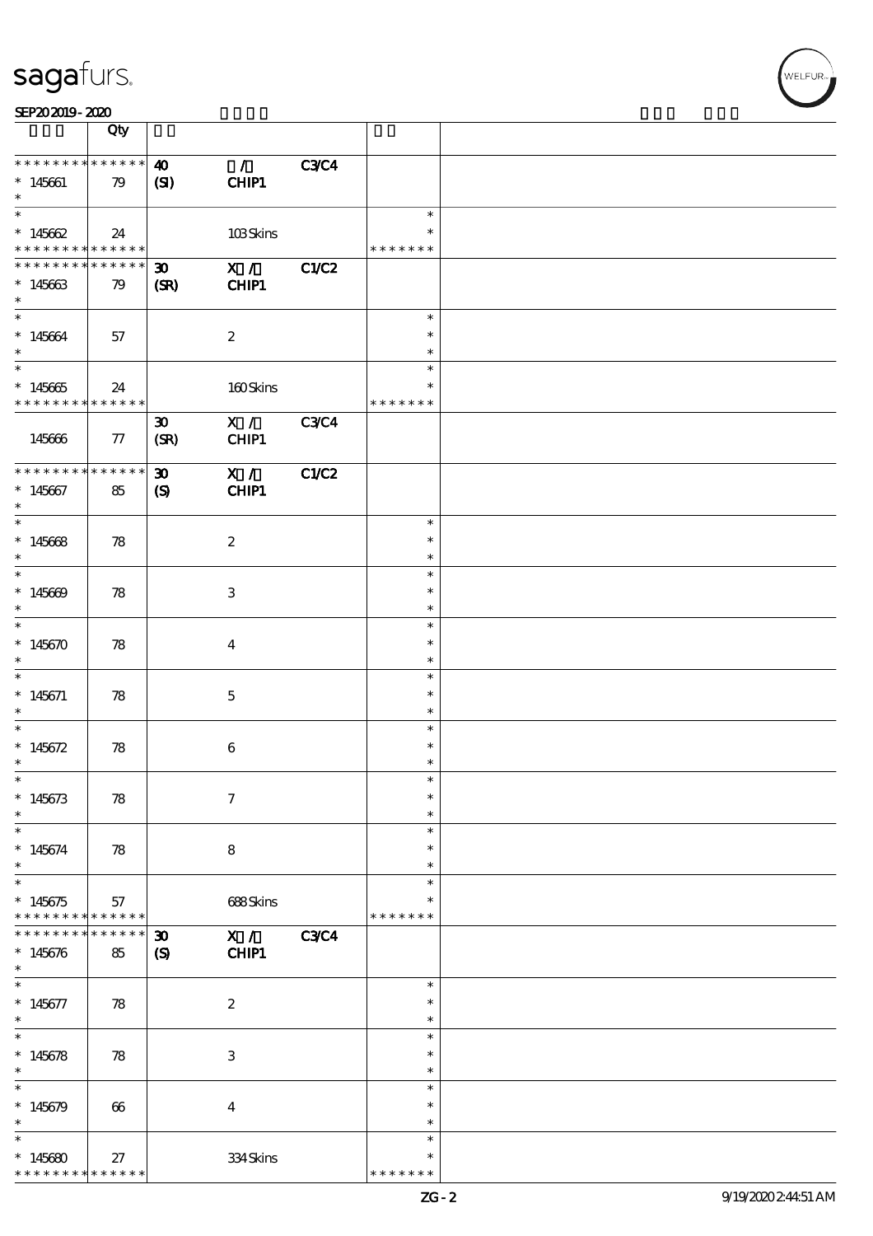SEP202019-2020

\* 145680

\* \* \* \* \* \* \* \* \* \* \*

27 334 Skins

|                                             | Qty                   |                             |                  |             |                         |  |
|---------------------------------------------|-----------------------|-----------------------------|------------------|-------------|-------------------------|--|
| * * * * * * * *                             | $******$              | $\boldsymbol{\omega}$       | $\mathcal{L}$    | <b>C3C4</b> |                         |  |
| $*145661$                                   | 79                    | (SI)                        | CHIP1            |             |                         |  |
| $\ast$                                      |                       |                             |                  |             | $\ast$                  |  |
| * $145662$<br>* * * * * * * *               | 24<br>$* * * * * * *$ |                             | 103Skins         |             | $\ast$<br>* * * * * * * |  |
| * * * * * * *                               | * * * * * *           | $\boldsymbol{\mathfrak{D}}$ | X /              | C1/C2       |                         |  |
| $*145663$<br>$\ast$                         | 79                    | (SR)                        | CHIP1            |             |                         |  |
| $\ast$                                      |                       |                             |                  |             | $\ast$                  |  |
| $*145664$<br>$\ast$                         | 57                    |                             | $\boldsymbol{2}$ |             | $\ast$<br>$\ast$        |  |
|                                             |                       |                             |                  |             | $\ast$                  |  |
| $*145665$<br>* * * * * * * * <mark>*</mark> | 24<br>$* * * * * * *$ |                             | 160Skins         |             | $\ast$<br>* * * * * * * |  |
|                                             |                       | $\boldsymbol{\mathfrak{D}}$ | X /              | <b>C3C4</b> |                         |  |
| 145666                                      | 77                    | (SR)                        | CHIP1            |             |                         |  |
| * * * * * * * *                             | * * * * * *           | $\boldsymbol{\mathfrak{D}}$ | X /              | C1/C2       |                         |  |
| $*145667$<br>$\ast$                         | 85                    | $\boldsymbol{\mathrm{(S)}}$ | CHIP1            |             |                         |  |
| $\ast$                                      |                       |                             |                  |             | $\ast$                  |  |
| $*145668$<br>$\ast$                         | 78                    |                             | $\boldsymbol{2}$ |             | $\ast$<br>$\ast$        |  |
| $*$                                         |                       |                             |                  |             | $\ast$                  |  |
| $*145609$<br>$\ast$                         | 78                    |                             | 3                |             | $\ast$<br>$\ast$        |  |
| $\overline{\ast}$                           |                       |                             |                  |             | $\ast$                  |  |
| * $145670$<br>$\ast$                        | 78                    |                             | $\boldsymbol{4}$ |             | $\ast$<br>$\ast$        |  |
| $\ast$                                      |                       |                             |                  |             | $\ast$                  |  |
| $*145671$<br>$\ast$                         | 78                    |                             | $\mathbf 5$      |             | $\ast$<br>$\ast$        |  |
| $\ast$                                      |                       |                             |                  |             | $\ast$                  |  |
| * $145672$<br>$\ast$                        | 78                    |                             | $\bf 6$          |             | $\ast$<br>$\ast$        |  |
| $\ast$                                      |                       |                             |                  |             | $\ast$                  |  |
| $*145673$<br>$\ast$                         | 78                    |                             | $\boldsymbol{7}$ |             | $\ast$<br>$\ast$        |  |
| $\ast$                                      |                       |                             |                  |             | $\ast$                  |  |
| $*145674$<br>$\ast$                         | 78                    |                             | 8                |             | $\ast$<br>$\ast$        |  |
| $\overline{\ast}$                           |                       |                             |                  |             | $\ast$                  |  |
| $*145675$<br>* * * * * * * *                | 57<br>* * * * * *     |                             | 688Skins         |             | *<br>* * * * * * *      |  |
| * * * * * * *                               | * * * *<br>∗          | $\boldsymbol{\mathfrak{D}}$ | X /              | <b>C3C4</b> |                         |  |
| $*145676$<br>$\ast$                         | 85                    | $\boldsymbol{S}$            | <b>CHIP1</b>     |             |                         |  |
| $\ast$                                      |                       |                             |                  |             | $\ast$                  |  |
| $* 145677$<br>$\ast$                        | 78                    |                             | $\boldsymbol{2}$ |             | $\ast$<br>$\ast$        |  |
| $\overline{\ast}$                           |                       |                             |                  |             | $\ast$                  |  |
| $*145678$<br>$\ast$                         | 78                    |                             | $\,3\,$          |             | $\ast$<br>$\ast$        |  |
| $\ast$                                      |                       |                             |                  |             | $\ast$                  |  |
| $*145679$                                   | 66                    |                             | $\boldsymbol{4}$ |             | $\ast$<br>$\ast$        |  |
| $\ast$                                      |                       |                             |                  |             | $\ast$                  |  |

\*

\* \* \* \* \* \* \*

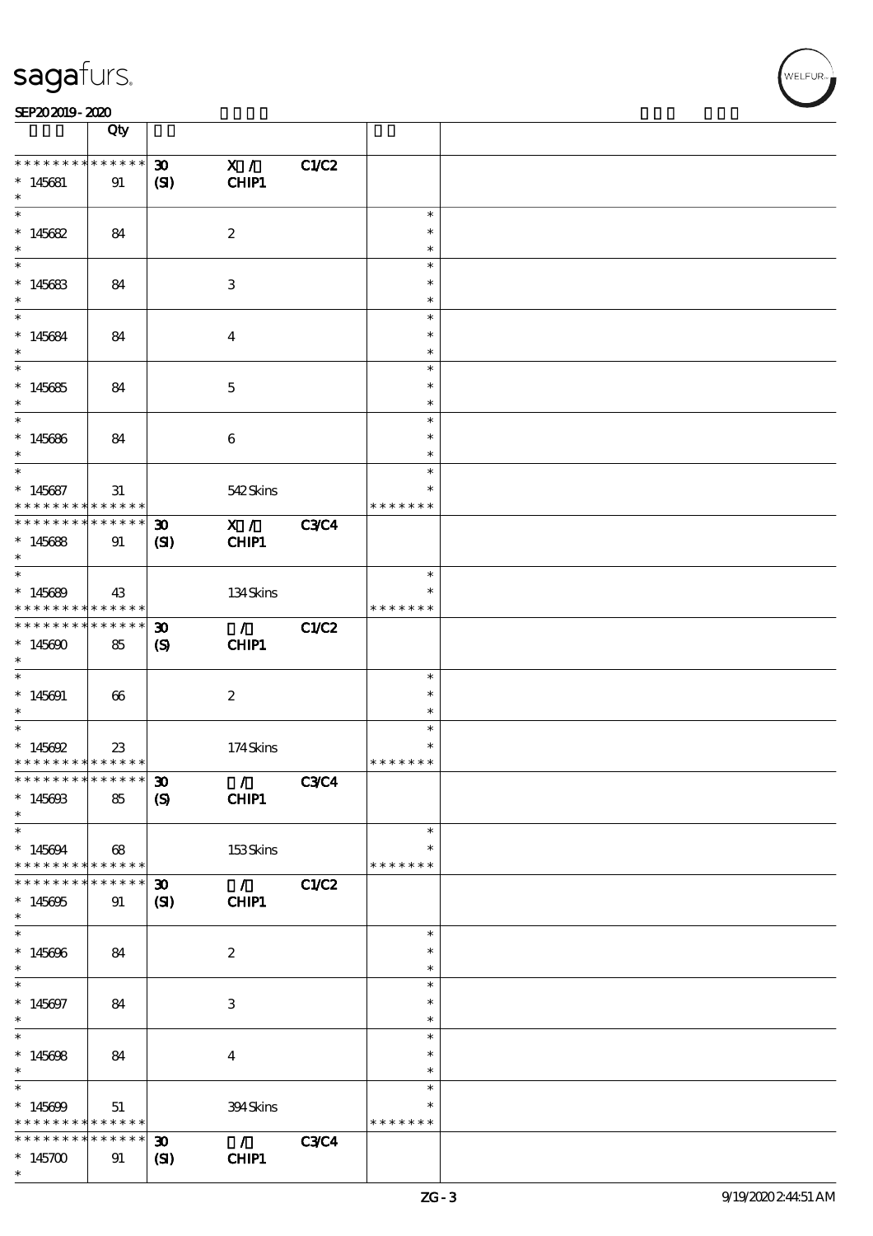| SEP202019-2020 |  |  |  |
|----------------|--|--|--|
|                |  |  |  |

|                                                       | Qty                   |                             |                             |             |                  |  |
|-------------------------------------------------------|-----------------------|-----------------------------|-----------------------------|-------------|------------------|--|
| * * * * * * * * <mark>* * * * * *</mark>              |                       | $\boldsymbol{\mathfrak{D}}$ | X /                         | C1/C2       |                  |  |
| $*145681$                                             | 91                    | (S)                         | CHIP1                       |             |                  |  |
| $\ast$                                                |                       |                             |                             |             |                  |  |
|                                                       |                       |                             |                             |             | $\ast$           |  |
| $*145682$                                             | 84                    |                             | $\boldsymbol{2}$            |             | $\ast$           |  |
| $\ast$                                                |                       |                             |                             |             | $\ast$           |  |
|                                                       |                       |                             |                             |             | $\ast$           |  |
| $*145683$                                             | 84                    |                             | 3                           |             | $\ast$           |  |
| $\ast$                                                |                       |                             |                             |             | $\ast$           |  |
| $*$                                                   |                       |                             |                             |             | $\ast$           |  |
| $*145684$                                             | 84                    |                             | $\overline{4}$              |             | $\ast$           |  |
| $\ast$                                                |                       |                             |                             |             | $\ast$           |  |
| $\overline{\phantom{0}}$                              |                       |                             |                             |             | $\ast$           |  |
| $*145685$                                             | 84                    |                             | $\mathbf 5$                 |             | $\ast$           |  |
| $*$<br>$\overline{\phantom{0}}$                       |                       |                             |                             |             | $\ast$           |  |
|                                                       |                       |                             |                             |             | $\ast$           |  |
| $*145686$                                             | 84                    |                             | 6                           |             | $\ast$           |  |
| $\ast$<br>$\overline{\phantom{0}}$                    |                       |                             |                             |             | $\ast$<br>$\ast$ |  |
|                                                       |                       |                             |                             |             | $\ast$           |  |
| $* 145687$<br>* * * * * * * * *                       | 31<br>$* * * * * * *$ |                             | 542Skins                    |             | * * * * * * *    |  |
| * * * * * * * * * * * * * * *                         |                       | $\boldsymbol{\mathfrak{D}}$ | $\mathbf{X}$ /              | <b>C3C4</b> |                  |  |
|                                                       |                       |                             |                             |             |                  |  |
| $*145688$<br>$\ast$                                   | 91                    | $\mathbf{C}$                | CHIP1                       |             |                  |  |
|                                                       |                       |                             |                             |             | $\ast$           |  |
| $*145689$                                             | 43                    |                             | 134Skins                    |             |                  |  |
| * * * * * * * * <mark>* * * * * *</mark>              |                       |                             |                             |             | * * * * * * *    |  |
| * * * * * * * *                                       | $* * * * * * *$       | $\boldsymbol{\mathfrak{D}}$ | $\mathcal{L}$               | C1/C2       |                  |  |
| $*145600$                                             | 85                    | $\boldsymbol{\mathrm{(S)}}$ | CHIP1                       |             |                  |  |
| $\ast$                                                |                       |                             |                             |             |                  |  |
| $*$                                                   |                       |                             |                             |             | $\ast$           |  |
| $*145691$                                             | 66                    |                             | $\boldsymbol{z}$            |             | $\ast$           |  |
| $\ast$                                                |                       |                             |                             |             | $\ast$           |  |
| $*$                                                   |                       |                             |                             |             | $\ast$           |  |
| * $145692$                                            | 23                    |                             | 174Skins                    |             |                  |  |
| * * * * * * * * <mark>* * * * * *</mark>              |                       |                             |                             |             | * * * * * * *    |  |
| ************** 30                                     |                       |                             | $\sqrt{2}$ C3C4             |             |                  |  |
| $*14560B$                                             | 85                    | $\boldsymbol{S}$            | CHIP1                       |             |                  |  |
| $\ast$                                                |                       |                             |                             |             |                  |  |
| $\ast$                                                |                       |                             |                             |             | $\ast$           |  |
| $*145694$                                             | 68                    |                             | $153$ Skins                 |             | $\ast$           |  |
| * * * * * * * * <mark>*</mark>                        | $* * * * * * *$       |                             |                             |             | * * * * * * *    |  |
| * * * * * * * *                                       | * * * * * *           | $\boldsymbol{\mathfrak{D}}$ | $\sqrt{C1/C2}$              |             |                  |  |
| $*145695$                                             | 91                    | (S)                         | CHIP1                       |             |                  |  |
| $\ast$                                                |                       |                             |                             |             |                  |  |
|                                                       |                       |                             |                             |             | $\ast$           |  |
| $*145696$                                             | 84                    |                             | $\boldsymbol{2}$            |             | $\ast$           |  |
| $\ast$                                                |                       |                             |                             |             | $\ast$           |  |
| $\ast$                                                |                       |                             |                             |             | $\ast$           |  |
| $* 145697$                                            | 84                    |                             | 3                           |             | $\ast$           |  |
| $\ast$<br>$\overline{\phantom{0}}$                    |                       |                             |                             |             | $\ast$           |  |
|                                                       |                       |                             |                             |             | $\ast$           |  |
| $*145608$<br>$\ast$                                   | 84                    |                             | $\overline{\mathbf{4}}$     |             | $\ast$<br>$\ast$ |  |
| $\ast$                                                |                       |                             |                             |             | $\ast$           |  |
|                                                       |                       |                             |                             |             | $\ast$           |  |
| $*145699$<br>* * * * * * * * <mark>* * * * * *</mark> | 51                    |                             | 394Skins                    |             | * * * * * * *    |  |
| * * * * * * * *                                       | * * * * * *           | $\boldsymbol{\mathfrak{D}}$ | $\mathcal{L} = \mathcal{L}$ | <b>C3C4</b> |                  |  |
| $*145700$                                             | 91                    | $\mathbf{S}$                | CHIP1                       |             |                  |  |
| $\ast$                                                |                       |                             |                             |             |                  |  |
|                                                       |                       |                             |                             |             |                  |  |

**VELFUR**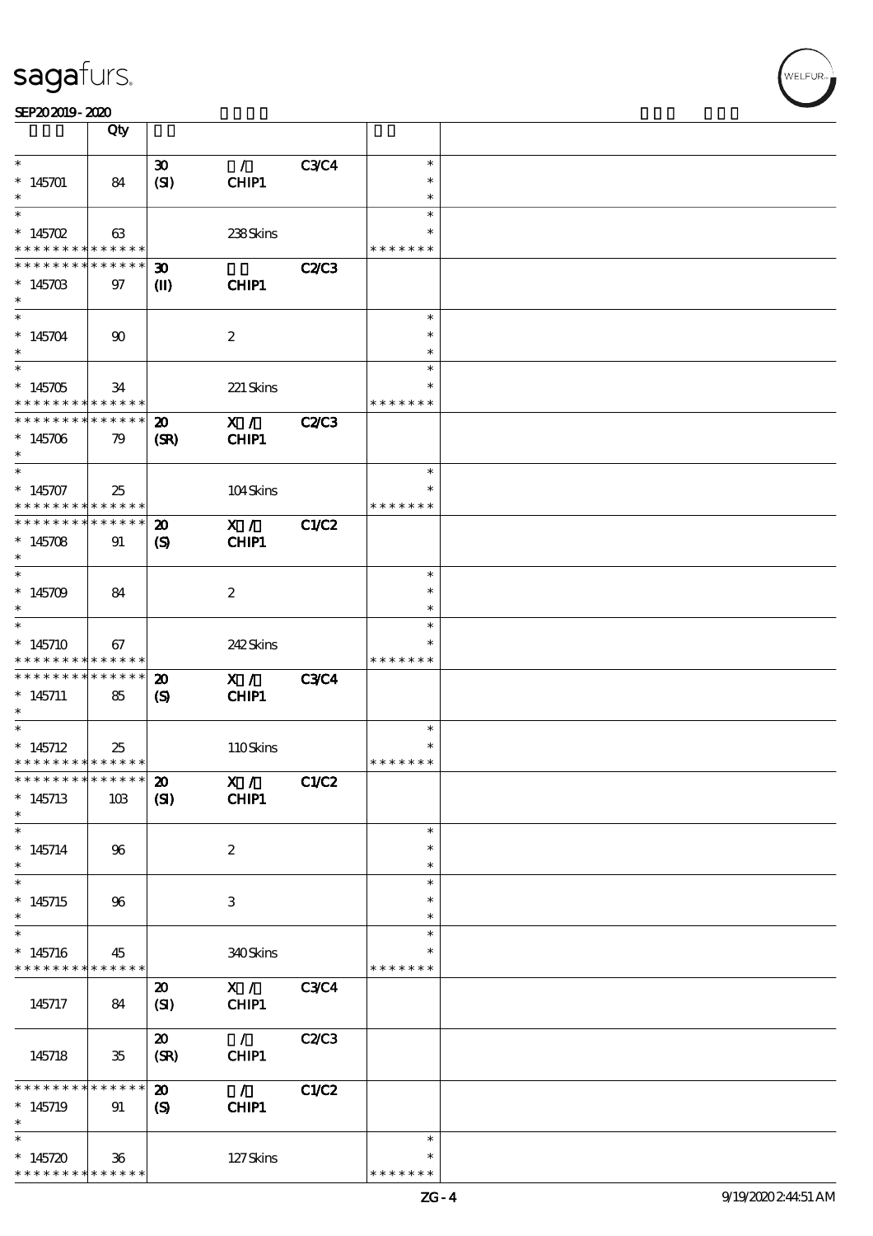| $\ast$ |  |
|--------|--|
|        |  |

SEP202019-2020

|                                            | Qty             |                             |                          |              |               |  |
|--------------------------------------------|-----------------|-----------------------------|--------------------------|--------------|---------------|--|
|                                            |                 |                             |                          |              |               |  |
| $\ast$                                     |                 | $\boldsymbol{\mathfrak{D}}$ | $\mathcal{L}$            | <b>C3C4</b>  | $\ast$        |  |
| $*145701$                                  | 84              | (SI)                        | CHIP1                    |              | $\ast$        |  |
|                                            |                 |                             |                          |              | $\ast$        |  |
| $\ast$                                     |                 |                             |                          |              | $\ast$        |  |
|                                            |                 |                             |                          |              |               |  |
| * $145702$                                 | 63              |                             | 238Skins                 |              | $\ast$        |  |
| * * * * * * * *                            | $* * * * * * *$ |                             |                          |              | * * * * * * * |  |
| * * * * * * * *                            | * * * * * *     |                             |                          |              |               |  |
|                                            |                 | $\boldsymbol{\mathfrak{D}}$ |                          | <b>C2/C3</b> |               |  |
| $*14570B$                                  | 97              | $\mathbf{I}$                | CHIP1                    |              |               |  |
|                                            |                 |                             |                          |              |               |  |
| $\overline{\phantom{0}}$                   |                 |                             |                          |              |               |  |
|                                            |                 |                             |                          |              | $\ast$        |  |
| $*145704$                                  | $\infty$        |                             | $\boldsymbol{2}$         |              | $\ast$        |  |
|                                            |                 |                             |                          |              | $\ast$        |  |
| $\overline{\phantom{0}}$                   |                 |                             |                          |              | $\ast$        |  |
|                                            |                 |                             |                          |              |               |  |
| $*145705$                                  | 34              |                             | 221 Skins                |              |               |  |
| * * * * * * * *                            | * * * * * *     |                             |                          |              | * * * * * * * |  |
| * * * * * * * *                            | * * * * * *     | $\boldsymbol{\mathfrak{D}}$ | X /                      | <b>C2/C3</b> |               |  |
|                                            |                 |                             |                          |              |               |  |
| $*145706$                                  | 79              | (SR)                        | CHIP1                    |              |               |  |
| $\ast$                                     |                 |                             |                          |              |               |  |
| $\ast$                                     |                 |                             |                          |              | $\ast$        |  |
|                                            |                 |                             |                          |              |               |  |
| $*145707$                                  | 25              |                             | 104Skins                 |              | $\ast$        |  |
| * * * * * * * *                            | $* * * * * * *$ |                             |                          |              | * * * * * * * |  |
| ********                                   | * * * * * *     | $\boldsymbol{\mathbf{z}}$   | X /                      | <b>C1/C2</b> |               |  |
|                                            |                 |                             |                          |              |               |  |
| $*145708$                                  | 91              | $\boldsymbol{\mathcal{S}}$  | CHIP1                    |              |               |  |
| $\ast$                                     |                 |                             |                          |              |               |  |
| $\ast$                                     |                 |                             |                          |              | $\ast$        |  |
|                                            |                 |                             |                          |              | $\ast$        |  |
| $*145709$                                  | 84              |                             | $\boldsymbol{2}$         |              |               |  |
| $\ast$                                     |                 |                             |                          |              | $\ast$        |  |
| $\overline{\phantom{0}}$                   |                 |                             |                          |              | $\ast$        |  |
| $*145710$                                  | 67              |                             | 242Skins                 |              | $\ast$        |  |
|                                            |                 |                             |                          |              |               |  |
| * * * * * * * *                            | * * * * * *     |                             |                          |              | * * * * * * * |  |
| * * * * * * * *                            | $* * * * * * *$ | $\boldsymbol{\mathbf{z}}$   | X /                      | <b>C3C4</b>  |               |  |
| $*145711$                                  | 85              | $\mathbf{S}$                | CHIP1                    |              |               |  |
| $\ast$                                     |                 |                             |                          |              |               |  |
|                                            |                 |                             |                          |              |               |  |
| $\ast$                                     |                 |                             |                          |              | $\ast$        |  |
| $*145712$                                  | 25              |                             | 110Skins                 |              |               |  |
| * * * * * * * * <mark>* * * * * * *</mark> |                 |                             |                          |              | * * * * * * * |  |
| ************** 20                          |                 |                             |                          |              |               |  |
|                                            |                 |                             | X /                      | C1/C2        |               |  |
| $*145713$                                  | 10B             | (S)                         | <b>CHIP1</b>             |              |               |  |
| $\ast$                                     |                 |                             |                          |              |               |  |
| $\ast$                                     |                 |                             |                          |              | $\ast$        |  |
|                                            |                 |                             |                          |              |               |  |
| $*145714$                                  | $96\,$          |                             | $\boldsymbol{2}$         |              | $\ast$        |  |
| $\ast$                                     |                 |                             |                          |              | $\ast$        |  |
| $\ast$                                     |                 |                             |                          |              | $\ast$        |  |
| $*145715$                                  |                 |                             |                          |              | $\ast$        |  |
|                                            | 96              |                             | 3                        |              |               |  |
| $\ast$                                     |                 |                             |                          |              | $\ast$        |  |
| $\ast$                                     |                 |                             |                          |              | $\ast$        |  |
| $*145716$                                  | 45              |                             | 340Skins                 |              | $\ast$        |  |
|                                            |                 |                             |                          |              |               |  |
| * * * * * * * *                            | $******$        |                             |                          |              | * * * * * * * |  |
|                                            |                 | $\boldsymbol{\mathfrak{D}}$ | X /                      | <b>C3C4</b>  |               |  |
| 145717                                     | 84              | (SI)                        | CHIP1                    |              |               |  |
|                                            |                 |                             |                          |              |               |  |
|                                            |                 |                             |                          |              |               |  |
|                                            |                 | $\boldsymbol{\mathfrak{D}}$ | $\mathcal{L}$            | <b>C2/C3</b> |               |  |
| 145718                                     | $35\,$          | (SR)                        | CHIP1                    |              |               |  |
|                                            |                 |                             |                          |              |               |  |
|                                            | * * * * * *     |                             |                          |              |               |  |
| * * * * * * * *                            |                 | $\boldsymbol{\mathfrak{D}}$ | $\overline{\phantom{a}}$ | C1/C2        |               |  |
| $*145719$                                  | 91              | $\mathbf{S}$                | CHIP1                    |              |               |  |
| $\ast$                                     |                 |                             |                          |              |               |  |
| $\ast$                                     |                 |                             |                          |              | $\ast$        |  |
|                                            |                 |                             |                          |              |               |  |
| $*145720$                                  | $36\,$          |                             | 127Skins                 |              |               |  |
| * * * * * * * * <mark>* * * * * *</mark>   |                 |                             |                          |              | * * * * * * * |  |
|                                            |                 |                             |                          |              |               |  |

WELFUR<sub>"</sub>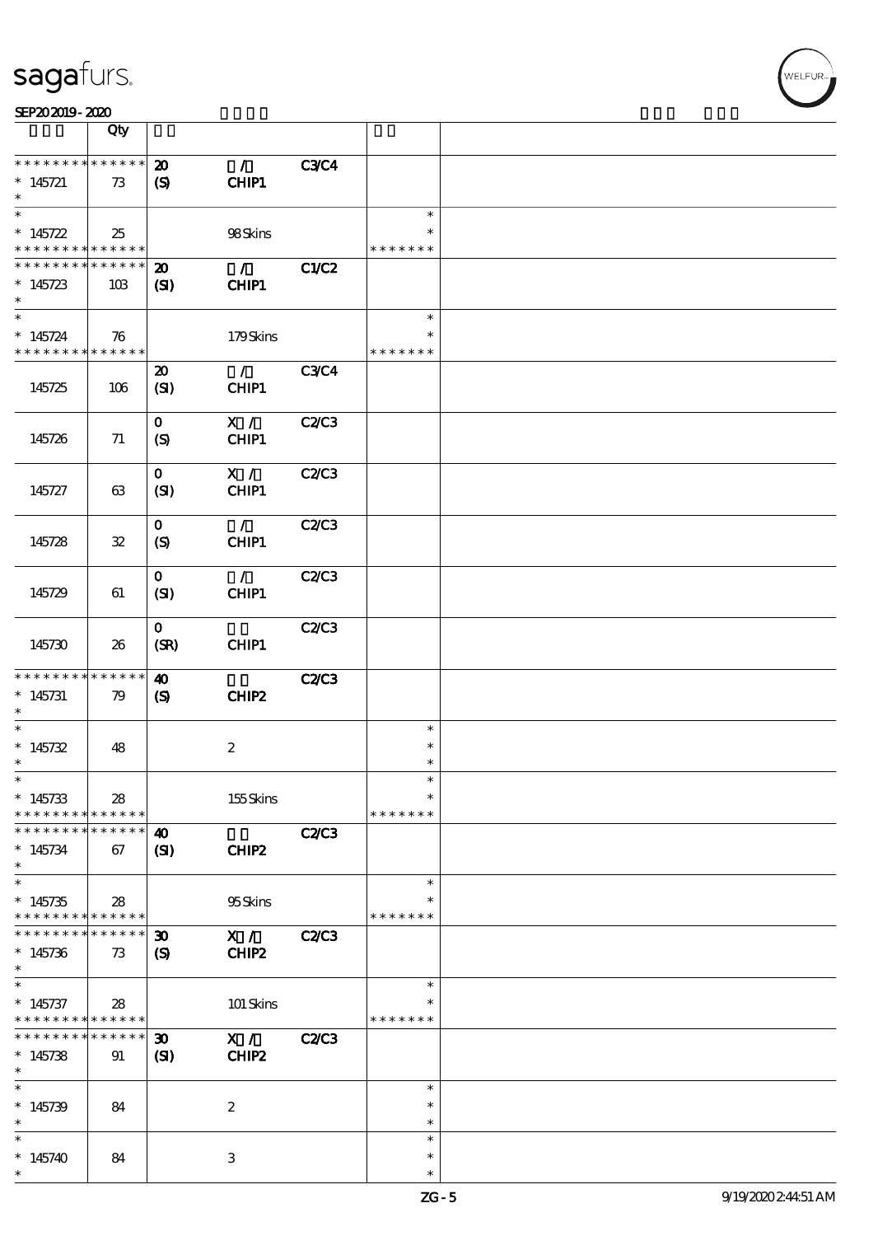\*

\*

\*

\* 145740 | 84 | 3

| SEP202019-2020                                          |                    |                                                      |                         |              |                                   |  |
|---------------------------------------------------------|--------------------|------------------------------------------------------|-------------------------|--------------|-----------------------------------|--|
|                                                         | Qty                |                                                      |                         |              |                                   |  |
| * * * * * * * * <mark>* * * * * * *</mark><br>$*145721$ | 73                 | $\boldsymbol{\mathfrak{D}}$<br>$\boldsymbol{S}$      | $\mathcal{T}$<br>CHIP1  | <b>C3C4</b>  |                                   |  |
| $*145722$<br>* * * * * * * * <mark>* * * * * * *</mark> | 25                 |                                                      | 98Skins                 |              | $\ast$<br>$\ast$<br>* * * * * * * |  |
| * * * * * * * *<br>$*145723$<br>$\ast$<br>$\ast$        | * * * * * *<br>10B | $\boldsymbol{\mathsf{20}}$<br>$\mathbf{C}$           | $\mathcal{L}$<br>CHIP1  | C1/C2        | $\ast$                            |  |
| $*145724$<br>* * * * * * * * * * * * * *                | 76                 |                                                      | 179Skins                |              | $\ast$<br>* * * * * * *           |  |
| 145725                                                  | 106                | $\boldsymbol{\mathfrak{D}}$<br>(SI)                  | $\mathcal{L}$<br>CHIP1  | <b>C3C4</b>  |                                   |  |
| 145726                                                  | 71                 | $\mathbf{O}$<br>$\boldsymbol{S}$                     | $X / \sqrt{2}$<br>CHIP1 | C2C3         |                                   |  |
| 145727                                                  | 63                 | $\mathbf{O}$<br>(SI)                                 | X /<br>CHIP1            | C2C3         |                                   |  |
| 145728                                                  | ${\bf 3\!}$        | $\mathbf{O}$<br>$\boldsymbol{S}$                     | $\mathcal{L}$<br>CHIP1  | C2C3         |                                   |  |
| 145729                                                  | 61                 | $\mathbf{O}$<br>(SI)                                 | $\mathcal{L}$<br>CHIP1  | C2C3         |                                   |  |
| 145730                                                  | 26                 | $\mathbf{O}$<br>(SR)                                 | CHIP1                   | C2C3         |                                   |  |
| * * * * * * * *<br>$*145731$<br>$\ast$                  | * * * * * *<br>79  | $\boldsymbol{\omega}$<br>$\boldsymbol{\mathrm{(S)}}$ | CHIP2                   | <b>C2/C3</b> |                                   |  |
| $\ast$<br>$*145732$<br>$\ast$                           | 48                 |                                                      | $\boldsymbol{z}$        |              | $\ast$<br>$\ast$<br>$\ast$        |  |
| *<br>$*145733$<br>* * * * * * * *                       | 28<br>* * * * * *  |                                                      | 155Skins                |              | $\ast$<br>$\ast$<br>* * * * * * * |  |
| * * * * * * * *<br>$*145734$<br>$\ast$                  | * * * * * *<br>67  | $\boldsymbol{\omega}$<br>$\mathbf{C}$                | CHIP2                   | <b>C2/C3</b> |                                   |  |
| $\ast$<br>$*145735$<br>* * * * * * * *                  | 28<br>* * * * * *  |                                                      | 95Skins                 |              | $\ast$<br>* * * * * * *           |  |
| * * * * * * *<br>$*145736$<br>$\ast$                    | * * * * * *<br>73  | $\boldsymbol{\mathfrak{D}}$<br>$\mathbf{S}$          | X /<br>CHIP2            | C2C3         |                                   |  |
| $\ast$<br>$*145737$<br>* * * * * * * *                  | 28<br>* * * * * *  |                                                      | 101 Skins               |              | $\ast$<br>*<br>* * * * * * *      |  |
| * * * * * * * *<br>$*145738$<br>$\ast$                  | * * * * * *<br>91  | $\boldsymbol{\mathfrak{D}}$<br>(S)                   | X /<br>CHIP2            | <b>C2/C3</b> |                                   |  |
| $\ast$<br>$*145739$<br>$\ast$                           | 84                 |                                                      | $\boldsymbol{z}$        |              | $\ast$<br>$\ast$<br>$\ast$        |  |

\* \* \*

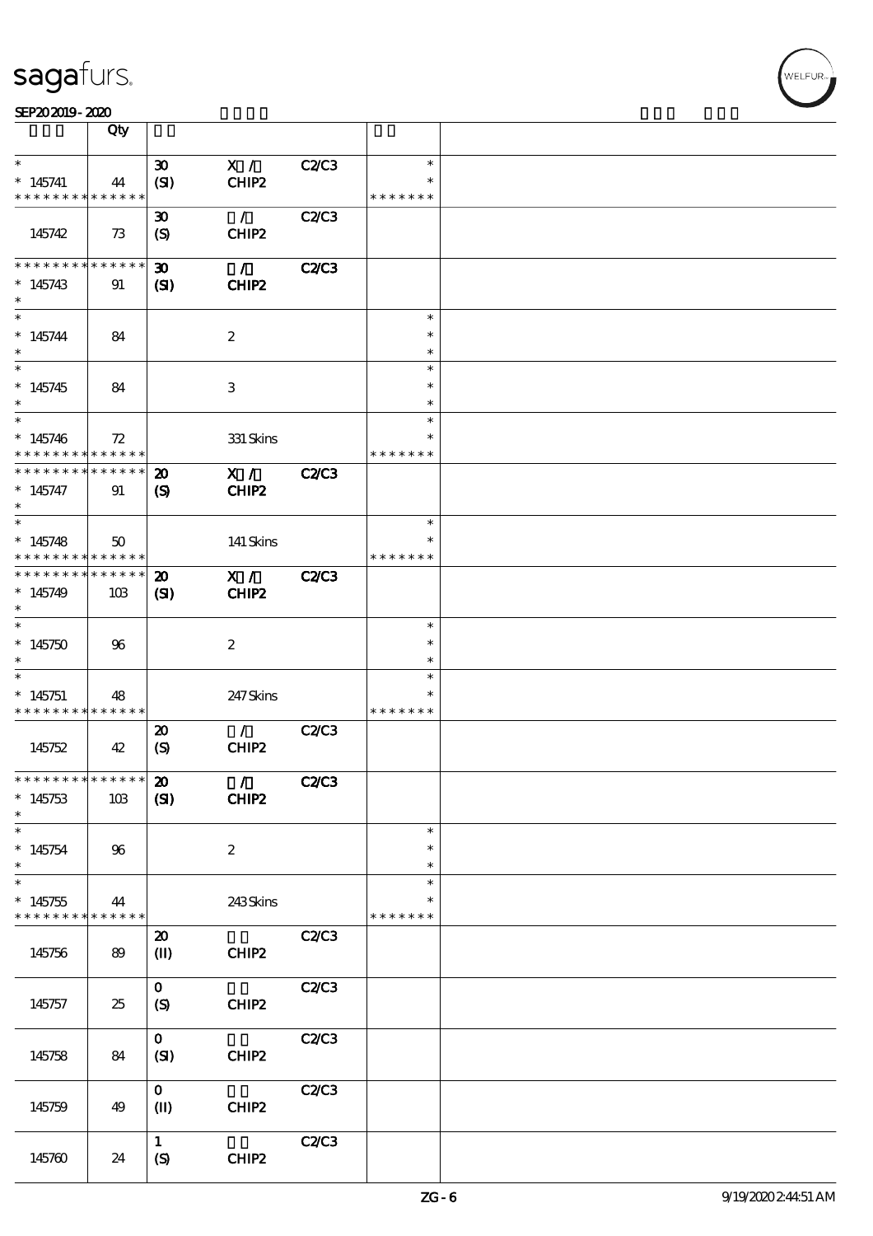| SEP202019-2020 |  |  |
|----------------|--|--|
|                |  |  |

|                                          | Qty          |                                |                  |              |               |  |
|------------------------------------------|--------------|--------------------------------|------------------|--------------|---------------|--|
|                                          |              |                                |                  |              |               |  |
| $\ast$                                   |              | $\boldsymbol{\mathfrak{D}}$    | X /              | <b>C2/C3</b> | $\ast$        |  |
| $*145741$                                | 44           | (SI)                           | CHIP2            |              | $\ast$        |  |
| * * * * * * * * * * * * * *              |              |                                |                  |              | * * * * * * * |  |
|                                          |              |                                |                  |              |               |  |
|                                          |              | 30 <sub>o</sub>                | $\mathcal{L}$    | <b>C2/C3</b> |               |  |
| 145742                                   | 73           | (S)                            | CHIP2            |              |               |  |
|                                          |              |                                |                  |              |               |  |
| * * * * * * *                            |              |                                |                  |              |               |  |
| $\ast$                                   | * * * * * *  | $\boldsymbol{\mathfrak{D}}$    | $\mathcal{L}$    | <b>C2/C3</b> |               |  |
| $*145743$                                | 91           | (SI)                           | CHIP2            |              |               |  |
| $\ast$                                   |              |                                |                  |              |               |  |
|                                          |              |                                |                  |              |               |  |
| $\ast$                                   |              |                                |                  |              | $\ast$        |  |
| $*145744$                                | 84           |                                | $\boldsymbol{2}$ |              | $\ast$        |  |
| $\ast$                                   |              |                                |                  |              | $\ast$        |  |
| $\ast$                                   |              |                                |                  |              |               |  |
|                                          |              |                                |                  |              | $\ast$        |  |
| $*145745$                                | 84           |                                | 3                |              | $\ast$        |  |
| $\ast$                                   |              |                                |                  |              | $\ast$        |  |
| $\overline{\ast}$                        |              |                                |                  |              |               |  |
|                                          |              |                                |                  |              | $\ast$        |  |
| $*145746$                                | 72           |                                | 331 Skins        |              |               |  |
| * * * * * * * * * * * * * *              |              |                                |                  |              | * * * * * * * |  |
| * * * * * * * *                          | ******       |                                |                  |              |               |  |
|                                          |              | $\boldsymbol{\mathfrak{D}}$    | X /              | <b>C2/C3</b> |               |  |
| $* 145747$                               | 91           | (S)                            | CHIP2            |              |               |  |
| $\ast$                                   |              |                                |                  |              |               |  |
| $\overline{\ast}$                        |              |                                |                  |              | $\ast$        |  |
|                                          |              |                                |                  |              |               |  |
| $*145748$                                | $50^{\circ}$ |                                | 141 Skins        |              | $\ast$        |  |
| * * * * * * * *                          | * * * * * *  |                                |                  |              | * * * * * * * |  |
| * * * * * * * * * * * * * * *            |              | $\boldsymbol{\mathfrak{D}}$    | X /              | <b>C2/C3</b> |               |  |
|                                          |              |                                |                  |              |               |  |
| $*145749$                                | 10B          | $\mathbf{C}$                   | CHIP2            |              |               |  |
| $\ast$                                   |              |                                |                  |              |               |  |
| $\ast$                                   |              |                                |                  |              | $\ast$        |  |
|                                          |              |                                |                  |              |               |  |
| $*145750$                                | 96           |                                | $\boldsymbol{2}$ |              | $\ast$        |  |
| $\ast$                                   |              |                                |                  |              | $\ast$        |  |
| $\ast$                                   |              |                                |                  |              | $\ast$        |  |
|                                          |              |                                |                  |              |               |  |
| $*145751$                                | 48           |                                | 247 Skins        |              | $\ast$        |  |
| * * * * * * * * <mark>* * * * * *</mark> |              |                                |                  |              | * * * * * * * |  |
|                                          |              | $\boldsymbol{\mathsf{20}}$     | $\mathcal{L}$    | <b>C2/C3</b> |               |  |
|                                          |              |                                |                  |              |               |  |
| 145752                                   | 42           | (S)                            | CHIP2            |              |               |  |
|                                          |              |                                |                  |              |               |  |
| * * * * * * * * * * * * * * *            |              | $\boldsymbol{\mathfrak{D}}$    | $\sim$ 1 $\sim$  | C2C3         |               |  |
|                                          |              |                                |                  |              |               |  |
| $*145753$                                | 10B          | (S)                            | CHIP2            |              |               |  |
| $\ast$                                   |              |                                |                  |              |               |  |
| $\ast$                                   |              |                                |                  |              | $\ast$        |  |
|                                          |              |                                |                  |              | $\ast$        |  |
| $*145754$                                | 96           |                                | $\boldsymbol{2}$ |              |               |  |
| $\ast$                                   |              |                                |                  |              | $\ast$        |  |
| $\ast$                                   |              |                                |                  |              | $\ast$        |  |
| $*145755$                                | 44           |                                | 243Skins         |              | $\ast$        |  |
| * * * * * * * *                          | * * * * * *  |                                |                  |              | * * * * * * * |  |
|                                          |              |                                |                  |              |               |  |
|                                          |              | $\boldsymbol{\mathfrak{D}}$    |                  | <b>C2/C3</b> |               |  |
| 145756                                   | 89           | $\textcircled{\scriptsize{I}}$ | CHIP2            |              |               |  |
|                                          |              |                                |                  |              |               |  |
|                                          |              |                                |                  |              |               |  |
|                                          |              | $\mathbf{O}$                   |                  | C2C3         |               |  |
| 145757                                   | 25           | $\boldsymbol{S}$               | CHIP2            |              |               |  |
|                                          |              |                                |                  |              |               |  |
|                                          |              |                                |                  |              |               |  |
|                                          |              | $\mathbf{O}$                   |                  | C2C3         |               |  |
| 145758                                   | 84           | (SI)                           | CHIP2            |              |               |  |
|                                          |              |                                |                  |              |               |  |
|                                          |              |                                |                  |              |               |  |
|                                          |              | $\mathbf{o}$                   |                  | C2C3         |               |  |
| 145759                                   | 49           | $(\mathbf{I})$                 | CHIP2            |              |               |  |
|                                          |              |                                |                  |              |               |  |
|                                          |              |                                |                  |              |               |  |
|                                          |              | $\mathbf{1}$                   |                  | C2C3         |               |  |
| 145760                                   | 24           | $\boldsymbol{S}$               | CHIP2            |              |               |  |
|                                          |              |                                |                  |              |               |  |

'<br>WELFUR∍<br>'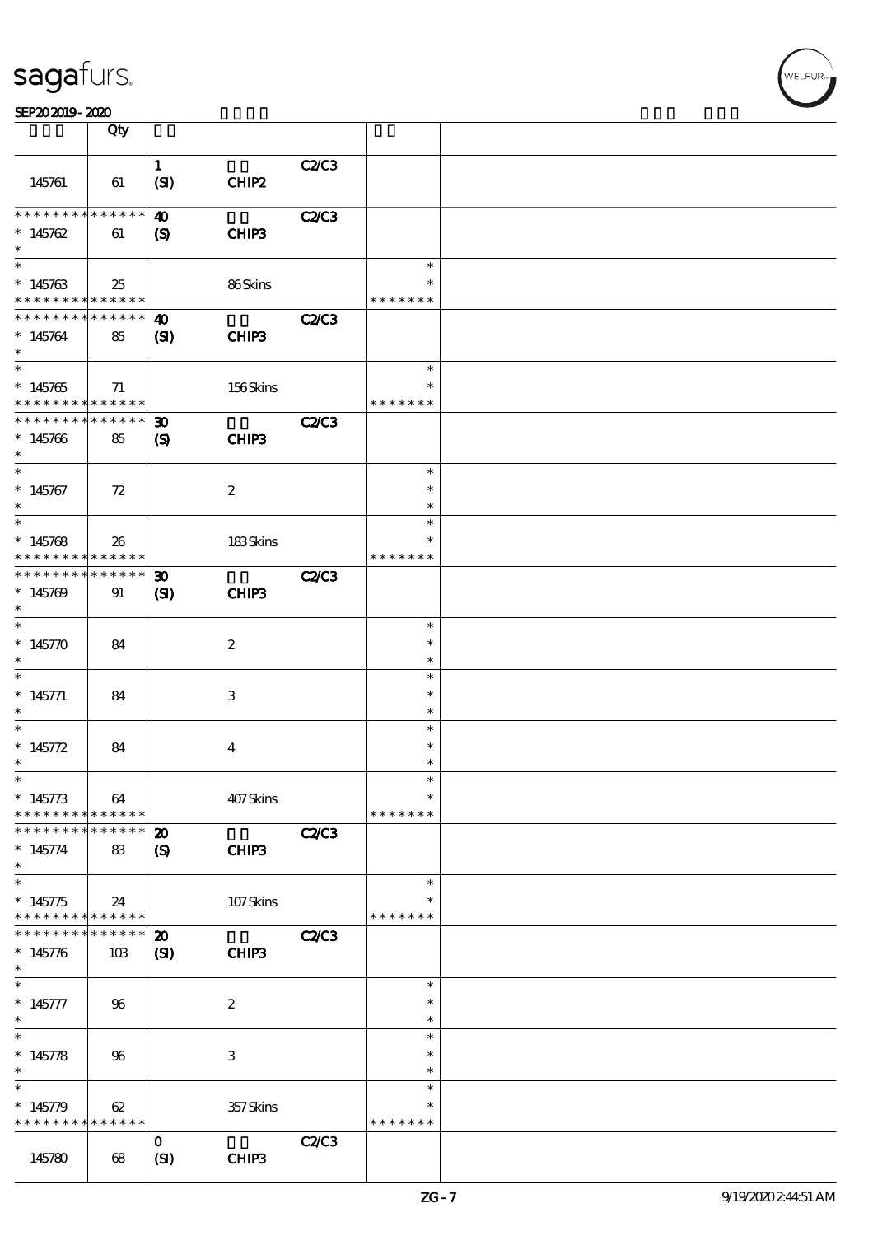|                                                                | Qty                              |                                                           |                           |              |                                      |  |
|----------------------------------------------------------------|----------------------------------|-----------------------------------------------------------|---------------------------|--------------|--------------------------------------|--|
| 145761                                                         | 61                               | $\mathbf{1}$<br>(SI)                                      | CHIP2                     | <b>C2/C3</b> |                                      |  |
| * * * * * * * * * * * * * *<br>$*145762$<br>$\ast$             | 61                               | $\boldsymbol{\omega}$<br>(S)                              | CHIP3                     | <b>C2/C3</b> |                                      |  |
| $\overline{\ast}$<br>$*145763$<br>* * * * * * * * * * * * * *  | 25                               |                                                           | 86Skins                   |              | $\ast$<br>* * * * * * *              |  |
| * * * * * * * *<br>$*145764$<br>$\ast$                         | $* * * * * * *$<br>85            | $\boldsymbol{\omega}$<br>(S)                              | CHIP3                     | <b>C2/C3</b> |                                      |  |
| $*145765$<br>* * * * * * * * * * * * * *                       | 71                               |                                                           | 156Skins                  |              | $\ast$<br>$\ast$<br>* * * * * * *    |  |
| * * * * * * * * * * * * * * *<br>$*145766$<br>$\ast$<br>$\ast$ | 85                               | $\boldsymbol{\mathfrak{D}}$<br>$\boldsymbol{\mathcal{S}}$ | CHIP3                     | <b>C2/C3</b> |                                      |  |
| $*145767$<br>$\ast$<br>$\ast$                                  | 72                               |                                                           | $\boldsymbol{2}$          |              | $\ast$<br>$\ast$<br>$\ast$<br>$\ast$ |  |
| $*145768$<br>* * * * * * * *                                   | 26<br>$* * * * * * *$            |                                                           | 183Skins                  |              | $\ast$<br>* * * * * * *              |  |
| * * * * * * * *<br>$*145709$<br>$\ast$<br>$\ast$               | * * * * * *<br>91                | 30 <sub>o</sub><br>(S)                                    | CHIP3                     | <b>C2/C3</b> | $\ast$                               |  |
| $*145770$<br>$\ast$<br>$\ast$                                  | 84                               |                                                           | $\boldsymbol{2}$          |              | $\ast$<br>$\ast$<br>$\ast$           |  |
| $* 145771$<br>$\ast$<br>$\ast$                                 | 84                               |                                                           | 3                         |              | $\ast$<br>$\ast$<br>$\ast$           |  |
| * $145772$<br>$\ast$<br>$*$                                    | 84                               |                                                           | $\bf{4}$                  |              | $\ast$<br>$\ast$<br>$\ast$           |  |
| $* 145773$<br>* * * * * * * *<br>* * * * * * *                 | 64<br>* * * * * *<br>* * * * * * | $\boldsymbol{\mathbf{z}}$                                 | 407Skins                  | <b>C2/C3</b> | $\ast$<br>* * * * * * *              |  |
| $*145774$<br>$\ast$<br>$\ast$                                  | 83                               | $\boldsymbol{\mathcal{S}}$                                | CHIP3                     |              | $\ast$                               |  |
| $*145775$<br>* * * * * * * *<br>* * * * * * *                  | 24<br>* * * * * *<br>* * * * * * | $\boldsymbol{\mathfrak{D}}$                               | $107$ Skins               | <b>C2/C3</b> | * * * * * * *                        |  |
| $*145776$<br>$\ast$<br>$\ast$                                  | 10B                              | (S)                                                       | CHIP3                     |              | $\ast$                               |  |
| $* 145777$<br>$\ast$<br>$\overline{\ast}$                      | 96                               |                                                           | $\boldsymbol{2}$          |              | $\ast$<br>$\ast$<br>$\ast$           |  |
| $* 145778$<br>$\ast$<br>$\ast$                                 | 96                               |                                                           | $\ensuremath{\mathsf{3}}$ |              | $\ast$<br>$\ast$<br>$\ast$           |  |
| $*145779$<br>* * * * * * * *                                   | 62<br>* * * * * *                | $\mathbf{o}$                                              | 357Skins                  | C2/C3        | $\ast$<br>* * * * * * *              |  |
| 145780                                                         | 68                               | (SI)                                                      | CHIP3                     |              |                                      |  |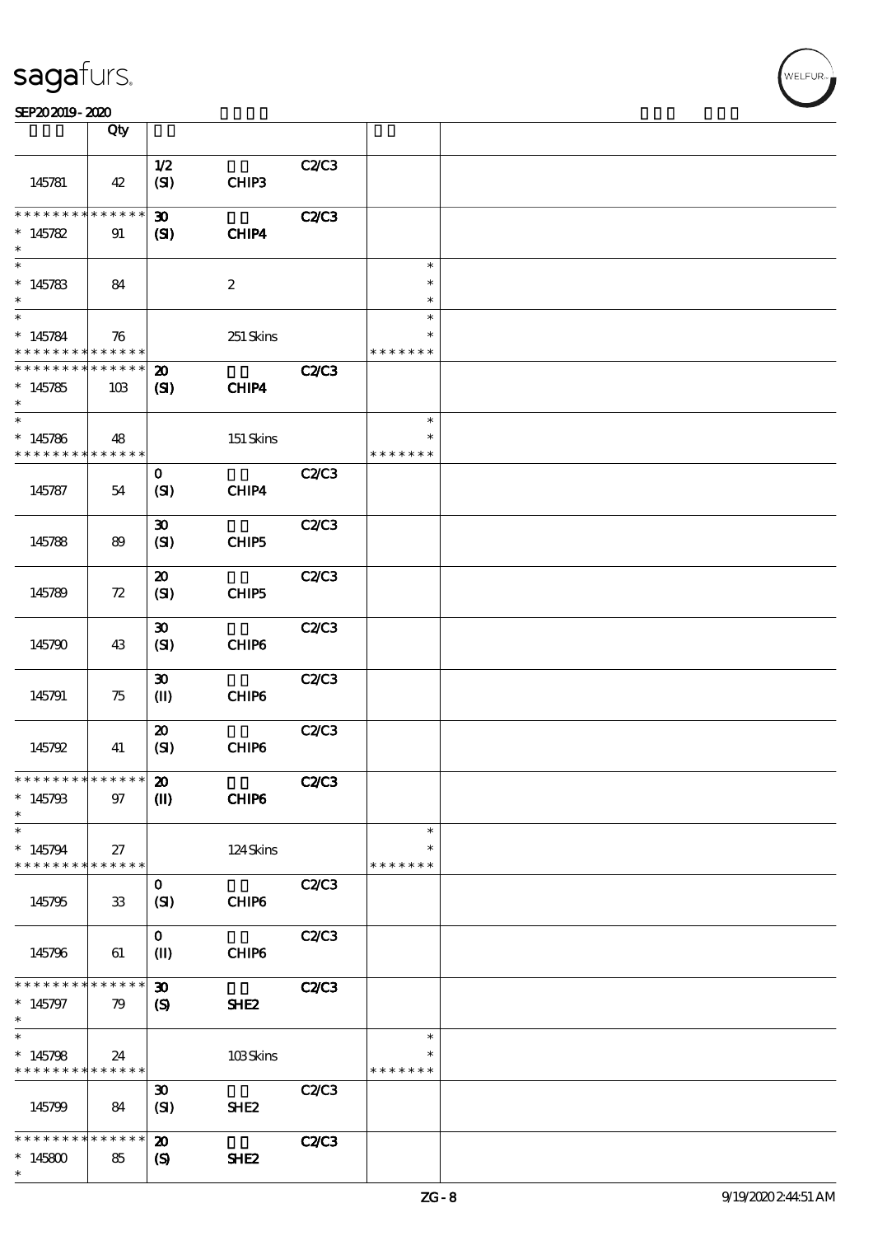|                               | Qty               |                             |                   |              |                         |  |
|-------------------------------|-------------------|-----------------------------|-------------------|--------------|-------------------------|--|
|                               |                   | $1/2$                       |                   | C2C3         |                         |  |
| 145781                        | 42                | (SI)                        | CHIP3             |              |                         |  |
| * * * * * * * *               | * * * * * *       | $\boldsymbol{\mathfrak{D}}$ |                   | <b>C2/C3</b> |                         |  |
| $*145782$<br>$\ast$           | 91                | (SI)                        | CHIP4             |              |                         |  |
| $\overline{\ast}$             |                   |                             |                   |              | $\ast$                  |  |
| $*145783$<br>$\ast$           | 84                |                             | $\boldsymbol{2}$  |              | $\ast$<br>$\ast$        |  |
| $\overline{\ast}$             |                   |                             |                   |              | $\ast$                  |  |
| $*145784$<br>* * * * * * * *  | 76<br>* * * * * * |                             | 251 Skins         |              | $\ast$<br>* * * * * * * |  |
| * * * * * * * *               | * * * * * *       | $\boldsymbol{\mathbf{z}}$   |                   | <b>C2/C3</b> |                         |  |
| $*145785$<br>$\ast$           | 10B               | $\mathbf{C}$                | CHIP4             |              |                         |  |
| $\ast$                        |                   |                             |                   |              | $\ast$                  |  |
| $*145786$<br>* * * * * * * *  | 48<br>******      |                             | 151 Skins         |              | $\ast$<br>* * * * * * * |  |
|                               |                   | $\mathbf 0$                 |                   | C2/C3        |                         |  |
| 145787                        | 54                | (SI)                        | CHIP4             |              |                         |  |
|                               |                   | $\boldsymbol{\mathfrak{D}}$ |                   | C2C3         |                         |  |
| 145788                        | 89                | (SI)                        | CHIP5             |              |                         |  |
|                               |                   | $\boldsymbol{\mathbf{z}}$   |                   | C2C3         |                         |  |
| 145789                        | 72                | (SI)                        | CHIP5             |              |                         |  |
|                               |                   | $\boldsymbol{\mathfrak{D}}$ |                   | C2/C3        |                         |  |
| 145790                        | 43                | (SI)                        | CHIP6             |              |                         |  |
|                               |                   | $\boldsymbol{\mathfrak{D}}$ |                   | C2C3         |                         |  |
| 145791                        | 75                | $\mathbf{I}$                | CHIP <sub>6</sub> |              |                         |  |
|                               |                   | $\boldsymbol{\mathsf{20}}$  |                   | C2C3         |                         |  |
| 145792                        | 41                | (SI)                        | CHIP6             |              |                         |  |
| * * * * * * * * * * * * * * * |                   | $\boldsymbol{\mathbf{z}}$   |                   | <b>C2/C3</b> |                         |  |
| $*145793$<br>$\ast$           | 97                | $\mathbf{I}$                | CHIP6             |              |                         |  |
| $\ast$                        |                   |                             |                   |              | $\ast$                  |  |
| $*145794$<br>* * * * * * * *  | 27<br>******      |                             | 124Skins          |              | $\ast$<br>* * * * * * * |  |
|                               |                   | $\mathbf{o}$                |                   | C2C3         |                         |  |
| 145795                        | 33                | (SI)                        | CHIP6             |              |                         |  |
|                               |                   | $\mathbf{O}$                |                   | C2/C3        |                         |  |
| 145796                        | 61                | $\mathbf{I}$                | CHIP6             |              |                         |  |
| * * * * * * * *               | * * * * * *       | $\boldsymbol{\mathfrak{D}}$ |                   | <b>C2/C3</b> |                         |  |
| $*145797$<br>$\ast$           | 79                | (S)                         | SHE <sub>2</sub>  |              |                         |  |
| $\overline{\ast}$             |                   |                             |                   |              | $\ast$                  |  |
| $*145798$<br>* * * * * * * *  | 24<br>******      |                             | 103Skins          |              | * * * * * * *           |  |
|                               |                   | $\boldsymbol{\mathfrak{D}}$ |                   | C2C3         |                         |  |
| 145799                        | 84                | (SI)                        | SHE <sub>2</sub>  |              |                         |  |
| * * * * * * * *               | * * * * * *       | $\boldsymbol{\mathfrak{D}}$ |                   | <b>C2/C3</b> |                         |  |
| $*145800$<br>$\ast$           | 85                | $\boldsymbol{\mathsf{(S)}}$ | SHE <sub>2</sub>  |              |                         |  |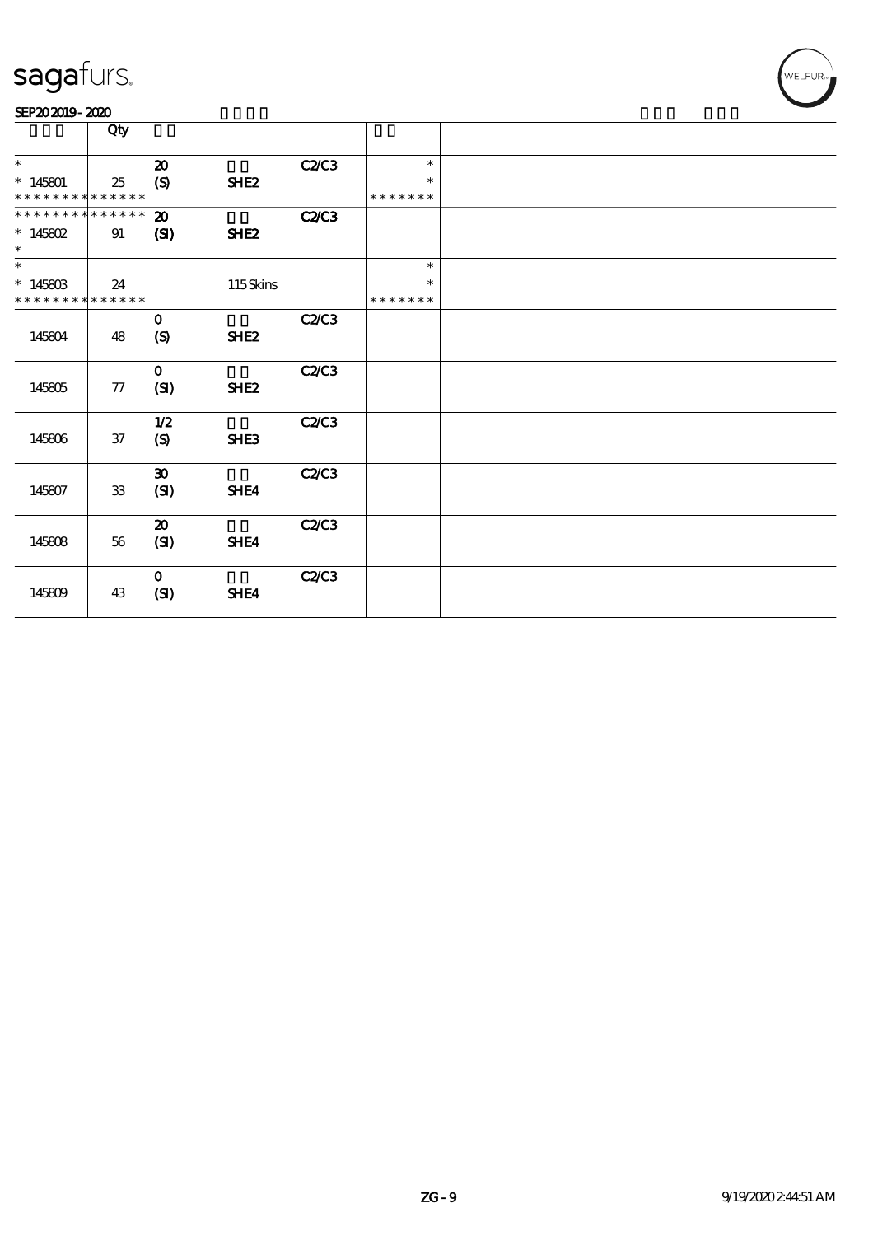|                                          | Qty        |                                             |                  |              |                         |  |
|------------------------------------------|------------|---------------------------------------------|------------------|--------------|-------------------------|--|
| $\ast$                                   |            | $\boldsymbol{\mathcal{D}}$                  |                  | C2C3         | $\ast$                  |  |
| $*145801$<br>* * * * * * * * * * * * * * | 25         | (S)                                         | SHE <sub>2</sub> |              | $\ast$<br>* * * * * * * |  |
| * * * * * * * * * * * * * *              |            | $\boldsymbol{\mathfrak{D}}$                 |                  | <b>C2/C3</b> |                         |  |
| $* 145802$<br>$\ast$                     | 91         | (SI)                                        | SHE <sub>2</sub> |              |                         |  |
| $\ast$<br>$*14580B$                      | 24         |                                             | 115Skins         |              | $\ast$<br>$\ast$        |  |
| * * * * * * * * * * * * * *              |            |                                             |                  |              | * * * * * * *           |  |
| 145804                                   | 48         | $\mathbf{o}$<br>$\boldsymbol{\mathrm{(S)}}$ | SHE <sub>2</sub> | C2/C3        |                         |  |
| 145805                                   | ${\bf 77}$ | $\mathbf 0$<br>(SI)                         | SHE <sub>2</sub> | C2C3         |                         |  |
| 145806                                   | $37\,$     | 1/2<br>$\boldsymbol{S}$                     | SHE3             | C2C3         |                         |  |
| 145807                                   | ${\bf 33}$ | $\boldsymbol{\mathfrak{D}}$<br>(SI)         | SHE4             | C2/C3        |                         |  |
| 145808                                   | 56         | $\boldsymbol{\mathfrak{D}}$<br>(SI)         | SHE4             | C2C3         |                         |  |
| 145809                                   | 43         | $\mathbf{O}$<br>(SI)                        | SHE4             | C2/C3        |                         |  |

WELFUR<sub>T</sub>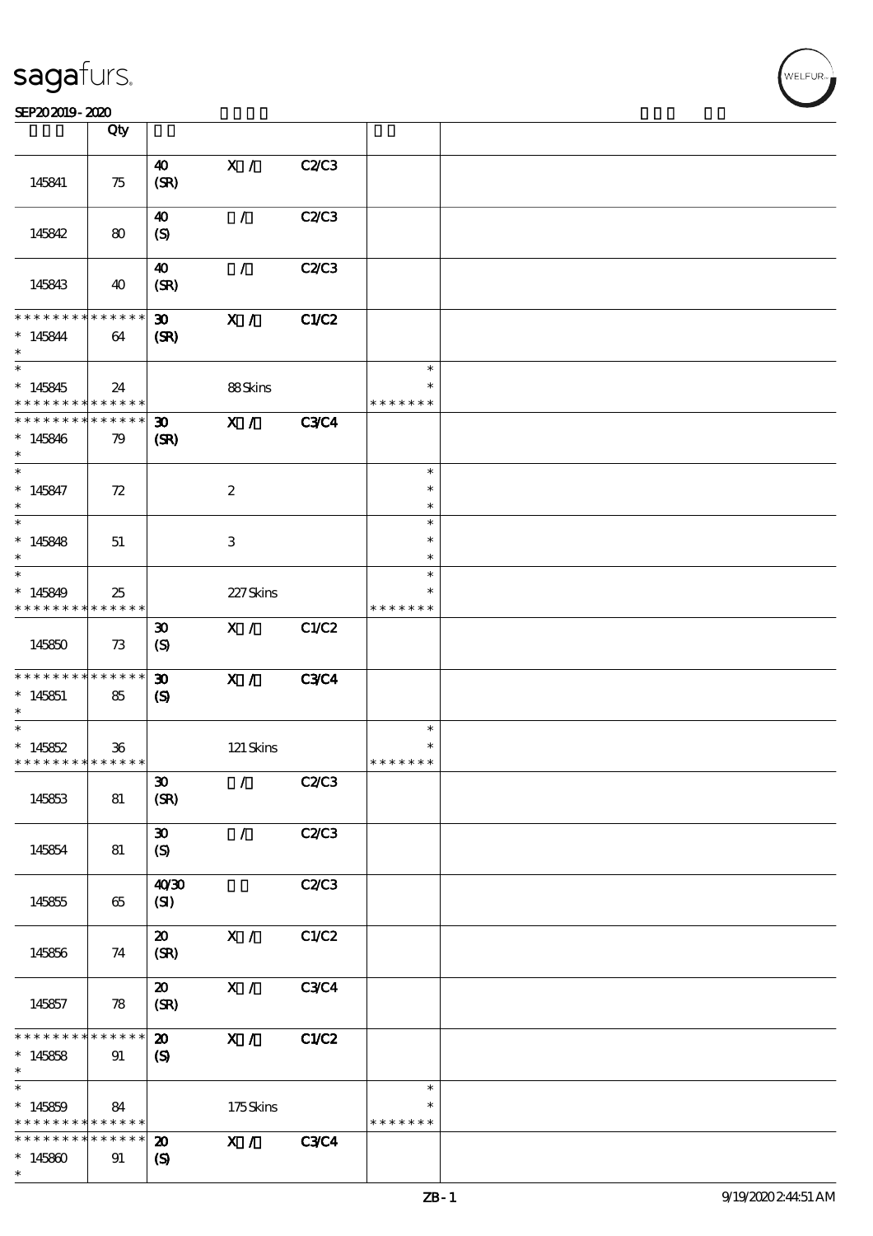#### SEP202019-2020

|                                            | Qty             |                             |                           |              |               |  |
|--------------------------------------------|-----------------|-----------------------------|---------------------------|--------------|---------------|--|
|                                            |                 |                             |                           |              |               |  |
|                                            |                 | $\boldsymbol{\omega}$       | X /                       | C2C3         |               |  |
| 145841                                     | 75              | (SR)                        |                           |              |               |  |
|                                            |                 |                             |                           |              |               |  |
|                                            |                 | $\boldsymbol{\omega}$       | $\mathcal{L}$             | <b>C2/C3</b> |               |  |
| 145842                                     | 80              | (S)                         |                           |              |               |  |
|                                            |                 |                             |                           |              |               |  |
|                                            |                 |                             |                           |              |               |  |
|                                            |                 | $\boldsymbol{\omega}$       | $\mathcal{L}$             | C2C3         |               |  |
| 145843                                     | 40              | (SR)                        |                           |              |               |  |
|                                            |                 |                             |                           |              |               |  |
| * * * * * * * *                            | $* * * * * * *$ | 30 <sub>o</sub>             | X /                       | <b>C1/C2</b> |               |  |
| $* 145844$                                 | 64              | (SR)                        |                           |              |               |  |
| $\ast$                                     |                 |                             |                           |              |               |  |
|                                            |                 |                             |                           |              |               |  |
| $\ast$                                     |                 |                             |                           |              | $\ast$        |  |
| $*145845$                                  | 24              |                             | 88Skins                   |              | $\ast$        |  |
| * * * * * * * *                            | * * * * * *     |                             |                           |              | * * * * * * * |  |
| * * * * * * * *                            | ******          | $\boldsymbol{\mathfrak{D}}$ | X /                       | <b>C3C4</b>  |               |  |
| $*145846$                                  | 79              | (SR)                        |                           |              |               |  |
| $\ast$                                     |                 |                             |                           |              |               |  |
| $\overline{\phantom{0}}$                   |                 |                             |                           |              |               |  |
|                                            |                 |                             |                           |              | $\ast$        |  |
| $* 145847$                                 | 72              |                             | $\boldsymbol{2}$          |              | $\ast$        |  |
| $\ast$                                     |                 |                             |                           |              | $\ast$        |  |
|                                            |                 |                             |                           |              | $\ast$        |  |
| $*145848$                                  | 51              |                             | $\ensuremath{\mathbf{3}}$ |              | $\ast$        |  |
| $\ast$                                     |                 |                             |                           |              | $\ast$        |  |
|                                            |                 |                             |                           |              |               |  |
| $\ast$                                     |                 |                             |                           |              | $\ast$        |  |
| $*145849$                                  | 25              |                             | 227Skins                  |              | $\ast$        |  |
| * * * * * * * *                            | * * * * * *     |                             |                           |              | * * * * * * * |  |
|                                            |                 | $\boldsymbol{\mathfrak{D}}$ | X /                       | C1/C2        |               |  |
| 145850                                     | 73              |                             |                           |              |               |  |
|                                            |                 | $\boldsymbol{S}$            |                           |              |               |  |
|                                            |                 |                             |                           |              |               |  |
| * * * * * * * * <mark>* * * * * * *</mark> |                 | $\boldsymbol{\mathfrak{D}}$ | X /                       | <b>C3C4</b>  |               |  |
| $*145851$                                  | 85              | $\mathbf{S}$                |                           |              |               |  |
| $\ast$                                     |                 |                             |                           |              |               |  |
| $\ast$                                     |                 |                             |                           |              | $\ast$        |  |
| $*145852$                                  | $36\,$          |                             | 121 Skins                 |              | $\ast$        |  |
| * * * * * * * * <mark>* * * * * *</mark>   |                 |                             |                           |              | * * * * * * * |  |
|                                            |                 |                             | $\mathcal{T}$             |              |               |  |
|                                            |                 | $\boldsymbol{\mathfrak{D}}$ |                           | C2C3         |               |  |
| 145853                                     | 81              | (SR)                        |                           |              |               |  |
|                                            |                 |                             |                           |              |               |  |
|                                            |                 | $\boldsymbol{\mathfrak{D}}$ | $\mathcal{L}$             | C2/C3        |               |  |
| 145854                                     | 81              | $\boldsymbol{S}$            |                           |              |               |  |
|                                            |                 |                             |                           |              |               |  |
|                                            |                 |                             |                           |              |               |  |
|                                            |                 | 40'30                       |                           | C2/C3        |               |  |
| 145855                                     | 65              | (SI)                        |                           |              |               |  |
|                                            |                 |                             |                           |              |               |  |
|                                            |                 | $\boldsymbol{\mathfrak{D}}$ | X /                       | C1/C2        |               |  |
| 145856                                     | 74              | (SR)                        |                           |              |               |  |
|                                            |                 |                             |                           |              |               |  |
|                                            |                 | $\boldsymbol{\mathbf{z}}$   | X /                       | <b>C3C4</b>  |               |  |
|                                            |                 |                             |                           |              |               |  |
| 145857                                     | 78              | (SR)                        |                           |              |               |  |
|                                            |                 |                             |                           |              |               |  |
| * * * * * * * *                            | * * * * * *     | $\boldsymbol{\mathfrak{D}}$ | X /                       | C1/C2        |               |  |
| $*145858$                                  | 91              | $\boldsymbol{S}$            |                           |              |               |  |
| $\ast$                                     |                 |                             |                           |              |               |  |
| $\ast$                                     |                 |                             |                           |              | $\ast$        |  |
|                                            |                 |                             |                           |              |               |  |
| $*145859$                                  | 84              |                             | 175Skins                  |              |               |  |
| * * * * * * * *                            | * * * * * *     |                             |                           |              | * * * * * * * |  |
| * * * * * * *                              | * * * * * *     | $\boldsymbol{\mathbf{z}}$   | X /                       | <b>C3C4</b>  |               |  |
| $*145800$                                  | 91              | $\boldsymbol{\mathcal{S}}$  |                           |              |               |  |
| $\ast$                                     |                 |                             |                           |              |               |  |
|                                            |                 |                             |                           |              |               |  |

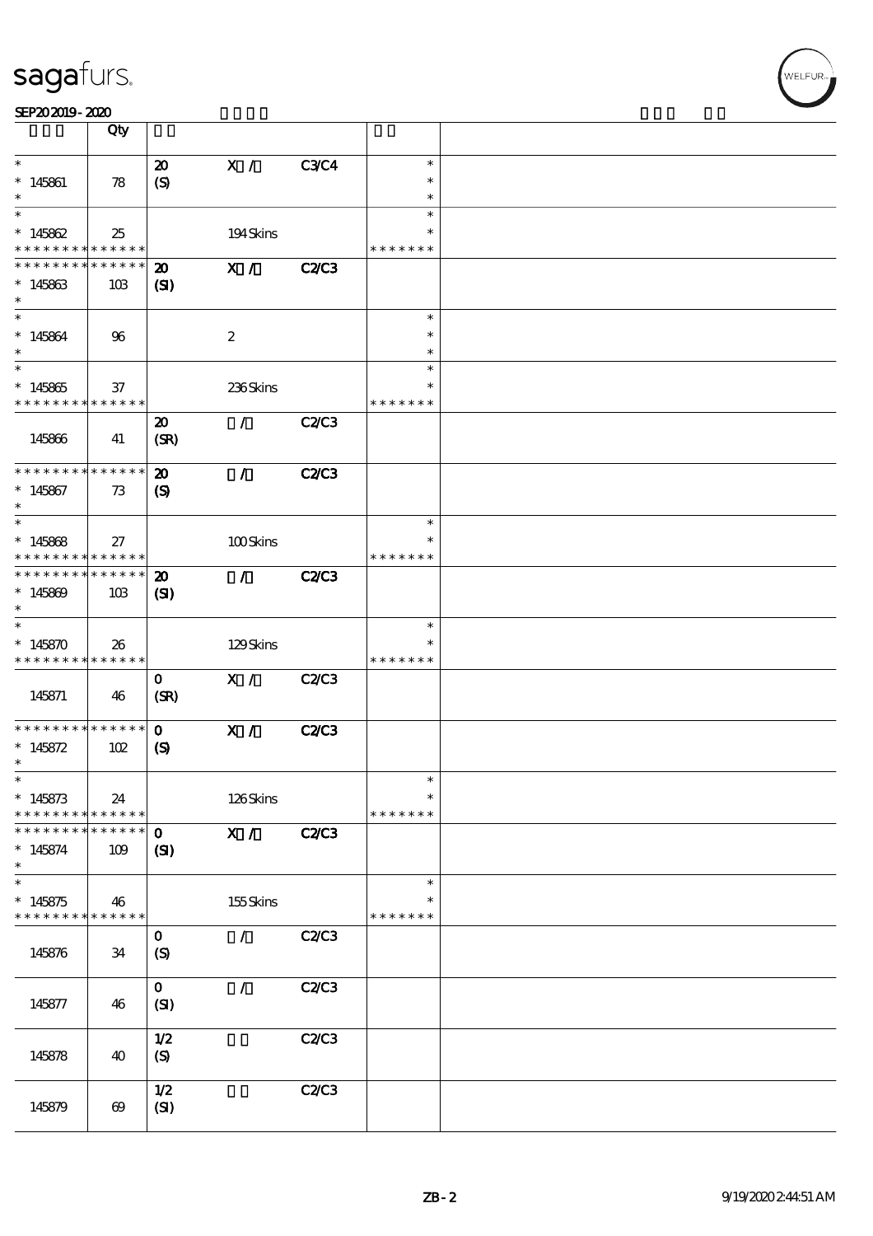|                                            | Qty                        |                             |                  |              |               |  |
|--------------------------------------------|----------------------------|-----------------------------|------------------|--------------|---------------|--|
| $\ast$                                     |                            | $\boldsymbol{\mathfrak{D}}$ | X /              | <b>C3C4</b>  | $\ast$        |  |
| $* 145861$                                 | 78                         | (S)                         |                  |              | $\ast$        |  |
| $\ast$                                     |                            |                             |                  |              | $\ast$        |  |
| $\ast$                                     |                            |                             |                  |              | $\ast$        |  |
| $*145862$                                  | 25                         |                             | 194Skins         |              | $\ast$        |  |
| * * * * * * * *                            | * * * * * *                |                             |                  |              | * * * * * * * |  |
| * * * * * * *                              | $* * * * * * *$            | $\boldsymbol{\mathfrak{D}}$ | X /              | <b>C2/C3</b> |               |  |
| $*145863$                                  | 10B                        | $\mathbf{C}$                |                  |              |               |  |
| $\ast$                                     |                            |                             |                  |              |               |  |
| $\ast$                                     |                            |                             |                  |              | $\ast$        |  |
| $* 145864$                                 | 96                         |                             | $\boldsymbol{2}$ |              | $\ast$        |  |
| $\ast$                                     |                            |                             |                  |              | $\ast$        |  |
| $\overline{\ast}$                          |                            |                             |                  |              | $\ast$        |  |
| $*145865$                                  | 37                         |                             | 236Skins         |              | $\ast$        |  |
| * * * * * * * * <mark>* * * * * * *</mark> |                            |                             | $\mathcal{L}$    |              | * * * * * * * |  |
|                                            |                            | $\boldsymbol{\mathfrak{D}}$ |                  | <b>C2/C3</b> |               |  |
| 145866                                     | 41                         | (SR)                        |                  |              |               |  |
| * * * * * * * *                            | * * * * * *                | $\boldsymbol{\mathfrak{D}}$ | $\mathcal{L}$    | <b>C2/C3</b> |               |  |
| $*145867$                                  | 73                         | $\boldsymbol{\mathrm{(S)}}$ |                  |              |               |  |
| $\ast$                                     |                            |                             |                  |              |               |  |
| $\ast$                                     |                            |                             |                  |              | $\ast$        |  |
| $*145868$                                  | 27                         |                             | 100Skins         |              | $\ast$        |  |
| * * * * * * * *                            | $\ast\ast\ast\ast\ast\ast$ |                             |                  |              | * * * * * * * |  |
| * * * * * * * *                            | ******                     | $\boldsymbol{\mathfrak{D}}$ | $\mathcal{T}$    | <b>C2/C3</b> |               |  |
| $*145809$                                  | 10B                        | $\mathbf{C}$                |                  |              |               |  |
| $\ast$                                     |                            |                             |                  |              |               |  |
| $\ast$                                     |                            |                             |                  |              | $\ast$        |  |
| $* 145870$                                 | 26                         |                             | 129Skins         |              | $\ast$        |  |
|                                            |                            |                             |                  |              |               |  |
| * * * * * * * * <mark>* * * * * *</mark>   |                            |                             |                  |              | * * * * * * * |  |
|                                            |                            | $\mathbf{O}$                | X /              | <b>C2/C3</b> |               |  |
| 145871                                     | 46                         | (SR)                        |                  |              |               |  |
|                                            |                            |                             |                  |              |               |  |
| * * * * * * * * * * * * * * *              |                            | $\mathbf 0$                 | X /              | <b>C2/C3</b> |               |  |
| $* 145872$<br>$\ast$                       | 102                        | $\boldsymbol{\mathcal{S}}$  |                  |              |               |  |
| $\ast$                                     |                            |                             |                  |              | $\ast$        |  |
|                                            |                            |                             |                  |              | $\ast$        |  |
| $* 145873$<br>* * * * * * * *              | 24<br>* * * * * *          |                             | 126Skins         |              | * * * * * * * |  |
| * * * * * * *                              | * * * * * *                | $\mathbf 0$                 | X /              | <b>C2C3</b>  |               |  |
| $*145874$                                  | 109                        | (S)                         |                  |              |               |  |
| $\ast$                                     |                            |                             |                  |              |               |  |
| $\ast$                                     |                            |                             |                  |              | $\ast$        |  |
| $*145875$                                  | 46                         |                             | 155Skins         |              | ∗             |  |
| * * * * * * * * * * * * * *                |                            |                             |                  |              | * * * * * * * |  |
|                                            |                            | $\mathbf 0$                 | $\mathcal{L}$    | <b>C2/C3</b> |               |  |
| 145876                                     | 34                         | (S)                         |                  |              |               |  |
|                                            |                            |                             |                  |              |               |  |
|                                            |                            | $\mathbf{O}$                | $\mathcal{L}$    | <b>C2/C3</b> |               |  |
| 145877                                     | 46                         | (SI)                        |                  |              |               |  |
|                                            |                            |                             |                  |              |               |  |
| 145878                                     | 40                         | 1/2                         |                  | C2/C3        |               |  |
|                                            |                            | $\boldsymbol{S}$            |                  |              |               |  |
|                                            |                            | 1/2                         |                  | C2/C3        |               |  |
| 145879                                     | $\boldsymbol{\omega}$      | (SI)                        |                  |              |               |  |

,<br>WELFUR: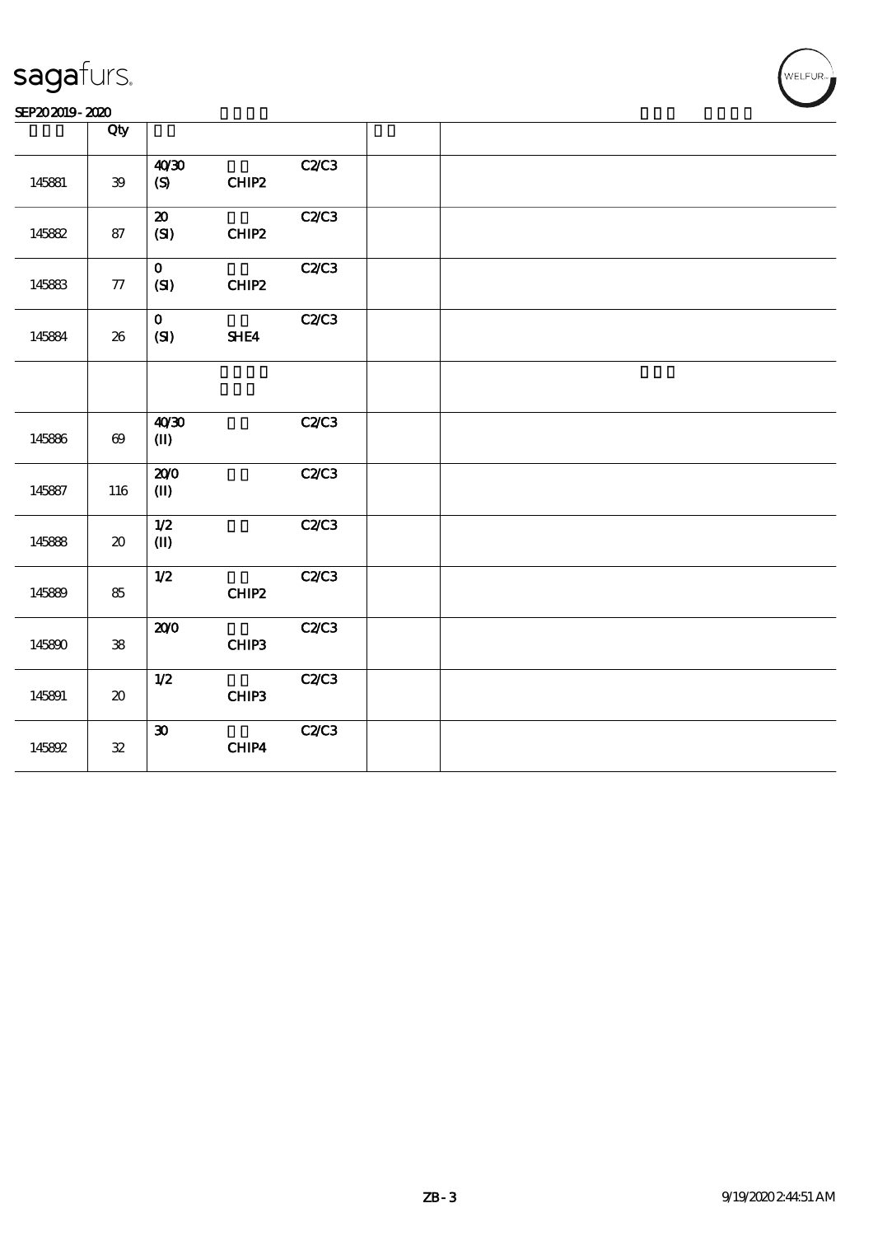|        | Qty                                 |                                               |              |  |
|--------|-------------------------------------|-----------------------------------------------|--------------|--|
| 145881 | $\mathbf{39}$                       | 40'30<br>$\boldsymbol{\mathrm{(S)}}$<br>CHIP2 | C2C3         |  |
| 145882 | 87                                  | $\boldsymbol{\mathfrak{D}}$<br>(SI)<br>CHIP2  | C2C3         |  |
| 145883 | ${\bf 77}$                          | $\mathbf{o}$<br>(SI)<br>CHIP2                 | C2C3         |  |
| 145884 | ${\bf 26}$                          | $\mathbf{O}$<br>(SI)<br>SHE4                  | C2C3         |  |
|        |                                     |                                               |              |  |
| 145886 | $\boldsymbol{\omega}$               | 40'30<br>$\mathbf{I}$                         | <b>C2/C3</b> |  |
| 145887 | 116                                 | 200<br>$(\mathbf{I})$                         | C2/C3        |  |
| 145888 | $\boldsymbol{\boldsymbol{\lambda}}$ | $1/2$<br>$(\mathbf{I})$                       | C2C3         |  |
| 145889 | 85                                  | 1/2<br>CHIP2                                  | <b>C2/C3</b> |  |
| 145890 | ${\bf 38}$                          | 200<br>CHIP3                                  | <b>C2/C3</b> |  |
| 145891 | $\boldsymbol{\boldsymbol{\lambda}}$ | 1/2<br>CHIP3                                  | C2C3         |  |
| 145892 | ${\bf 32}$                          | $\boldsymbol{\mathfrak{D}}$<br>CHIP4          | C2C3         |  |

,<br>WELFUR-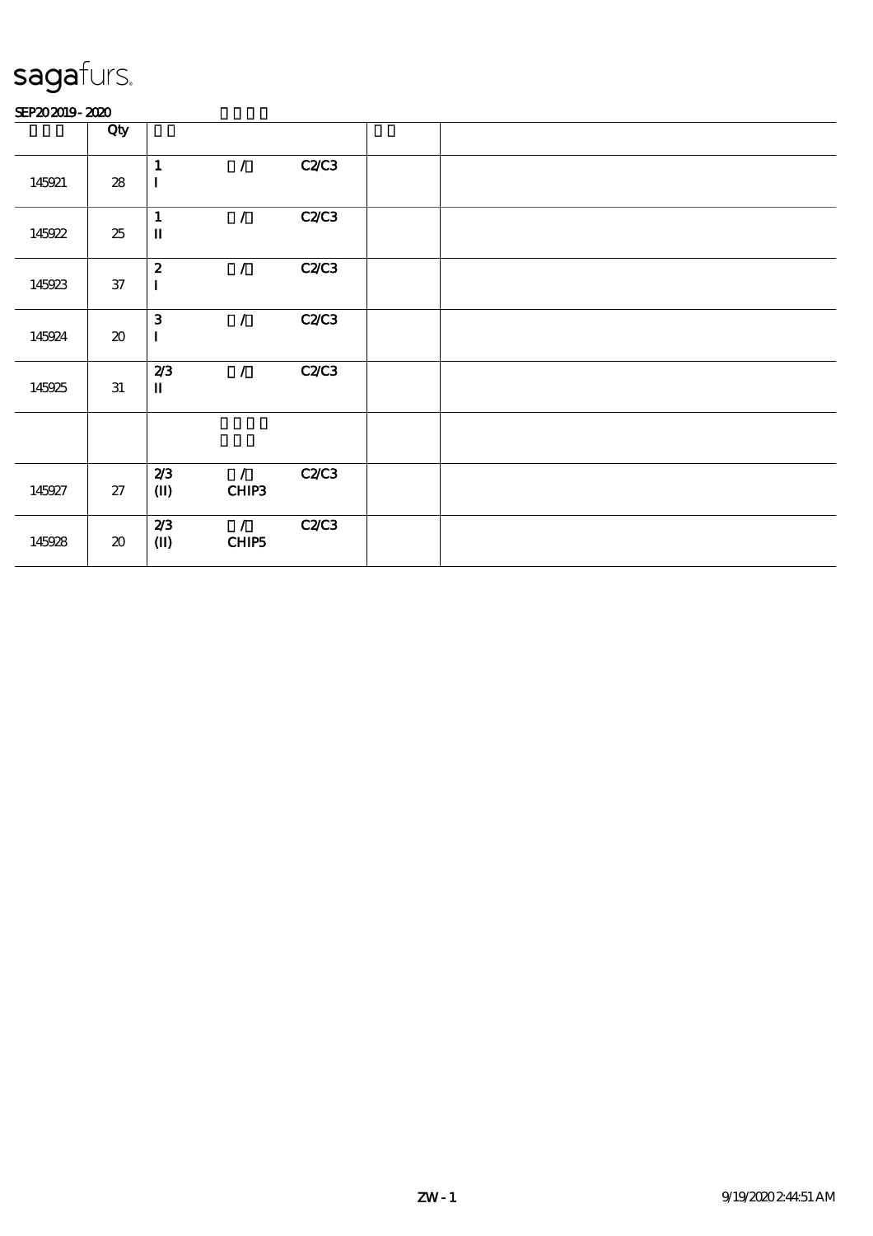#### SEP202019-2020

|        | Qty                                 |                                 |                              |              |  |  |  |
|--------|-------------------------------------|---------------------------------|------------------------------|--------------|--|--|--|
| 145921 | ${\bf 28}$                          | $\mathbf{1}$<br>$\bf I$         | $\mathcal{L}$                | <b>C2/C3</b> |  |  |  |
| 145922 | 25                                  | $\mathbf{1}$<br>$\mathbf I$     | $\mathcal{L}$                | C2C3         |  |  |  |
| 145923 | $37\,$                              | $\boldsymbol{z}$<br>$\mathbf I$ | $\mathcal{L}$                | <b>C2/C3</b> |  |  |  |
| 145924 | $\boldsymbol{\boldsymbol{\lambda}}$ | $\mathbf{3}$<br>$\mathbf I$     | $\mathcal{L}$                | <b>C2/C3</b> |  |  |  |
| 145925 | 31                                  | 2/3<br>$\mathbf I$              | $\mathcal{L}$                | <b>C2/C3</b> |  |  |  |
|        |                                     |                                 |                              |              |  |  |  |
| 145927 | 27                                  | 2/3<br>$\mathbf{I}$             | $\tilde{Z}_{\perp}$<br>CHIP3 | <b>C2/C3</b> |  |  |  |
| 145928 | $\pmb{\mathcal{X}}$                 | 2/3<br>$(\mathbf{I})$           | $\mathcal{F}$<br>CHIP5       | C2C3         |  |  |  |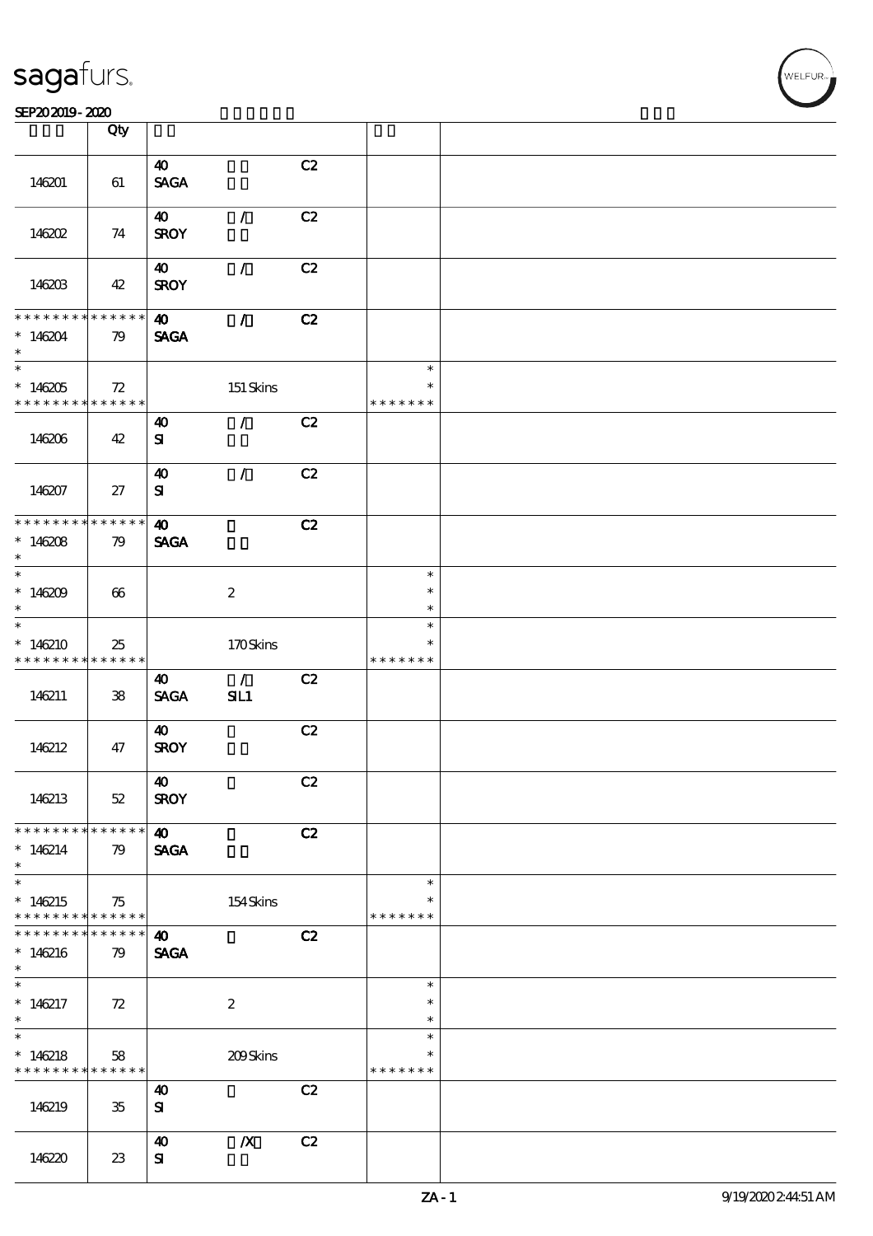#### SEP202019-2020

|                                            | Qty         |                                |                  |    |               |  |
|--------------------------------------------|-------------|--------------------------------|------------------|----|---------------|--|
|                                            |             |                                |                  |    |               |  |
|                                            |             | $\boldsymbol{\omega}$          |                  | C2 |               |  |
| 146201                                     | 61          | $\operatorname{\mathsf{SAGA}}$ |                  |    |               |  |
|                                            |             |                                |                  |    |               |  |
|                                            |             | $\boldsymbol{\omega}$          | $\mathcal{L}$    | C2 |               |  |
| 146202                                     | 74          | <b>SROY</b>                    |                  |    |               |  |
|                                            |             |                                |                  |    |               |  |
|                                            |             |                                | $\mathcal{L}$    |    |               |  |
|                                            |             | $\boldsymbol{\omega}$          |                  | C2 |               |  |
| 146203                                     | 42          | <b>SROY</b>                    |                  |    |               |  |
|                                            |             |                                |                  |    |               |  |
| * * * * * * * *                            | $******$    | $\boldsymbol{\omega}$          | $\mathcal{L}$    | C2 |               |  |
| $*146204$                                  | 79          | <b>SAGA</b>                    |                  |    |               |  |
| $\ast$                                     |             |                                |                  |    |               |  |
| $\overline{\ast}$                          |             |                                |                  |    | $\ast$        |  |
|                                            |             |                                |                  |    | $\ast$        |  |
| $*146205$                                  | 72          |                                | $151$ Skins      |    |               |  |
| * * * * * * * *                            | ******      |                                |                  |    | * * * * * * * |  |
|                                            |             | $\boldsymbol{\omega}$          | $\mathcal{L}$    | C2 |               |  |
| 146206                                     | 42          | ${\bf s}$                      |                  |    |               |  |
|                                            |             |                                |                  |    |               |  |
|                                            |             | $\boldsymbol{\omega}$          | $\mathcal{L}$    | C2 |               |  |
| 146207                                     | 27          | ${\bf s}$                      |                  |    |               |  |
|                                            |             |                                |                  |    |               |  |
|                                            |             |                                |                  |    |               |  |
| * * * * * * * *                            | $******$    | $\boldsymbol{\omega}$          |                  | C2 |               |  |
| $* 146208$                                 | 79          | <b>SAGA</b>                    |                  |    |               |  |
| $\ast$                                     |             |                                |                  |    |               |  |
| $*$                                        |             |                                |                  |    | $\ast$        |  |
| $*146209$                                  | 66          |                                | $\boldsymbol{2}$ |    | $\ast$        |  |
| $\ast$                                     |             |                                |                  |    | $\ast$        |  |
| $\ast$                                     |             |                                |                  |    | $\ast$        |  |
|                                            |             |                                |                  |    |               |  |
| $*146210$                                  | 25          |                                | 170Skins         |    | $\ast$        |  |
| * * * * * * * *                            | ******      |                                |                  |    | * * * * * * * |  |
|                                            |             | 40                             | $\mathcal{L}$    | C2 |               |  |
| 146211                                     | 38          | <b>SAGA</b>                    | SL1              |    |               |  |
|                                            |             |                                |                  |    |               |  |
|                                            |             | $\boldsymbol{\omega}$          |                  | C2 |               |  |
| 146212                                     | 47          | <b>SROY</b>                    |                  |    |               |  |
|                                            |             |                                |                  |    |               |  |
|                                            |             |                                |                  |    |               |  |
|                                            |             | $\boldsymbol{\omega}$          |                  | C2 |               |  |
| 146213                                     | $52\,$      | <b>SROY</b>                    |                  |    |               |  |
|                                            |             |                                |                  |    |               |  |
| * * * * * * * * <mark>* * * * * * *</mark> |             | $\boldsymbol{\omega}$          |                  | C2 |               |  |
| $*146214$                                  | 79          | <b>SAGA</b>                    |                  |    |               |  |
| $\ast$                                     |             |                                |                  |    |               |  |
| $\ast$                                     |             |                                |                  |    | $\ast$        |  |
|                                            |             |                                |                  |    | $\ast$        |  |
| $*146215$                                  | 75          |                                | 154Skins         |    |               |  |
| * * * * * * * * <mark>* * * * * * *</mark> |             |                                |                  |    | * * * * * * * |  |
| * * * * * * * *                            | * * * * * * | $\boldsymbol{\omega}$          |                  | C2 |               |  |
| $*146216$                                  | 79          | <b>SAGA</b>                    |                  |    |               |  |
| $\ast$                                     |             |                                |                  |    |               |  |
| $\ast$                                     |             |                                |                  |    | $\ast$        |  |
| $*146217$                                  | 72          |                                | $\boldsymbol{2}$ |    | $\ast$        |  |
| $\ast$                                     |             |                                |                  |    | $\ast$        |  |
| $\ast$                                     |             |                                |                  |    | $\ast$        |  |
|                                            |             |                                |                  |    |               |  |
| $*146218$                                  | 58          |                                | 209Skins         |    | $\ast$        |  |
| * * * * * * * * <mark>* * * * * *</mark>   |             |                                |                  |    | * * * * * * * |  |
|                                            |             | $\boldsymbol{\omega}$          |                  | C2 |               |  |
| 146219                                     | $35\,$      | ${\bf s}$                      |                  |    |               |  |
|                                            |             |                                |                  |    |               |  |
|                                            |             | $\boldsymbol{\omega}$          | $\boldsymbol{X}$ | C2 |               |  |
|                                            |             | ${\bf s}$                      |                  |    |               |  |
| 146220                                     | $23\,$      |                                |                  |    |               |  |

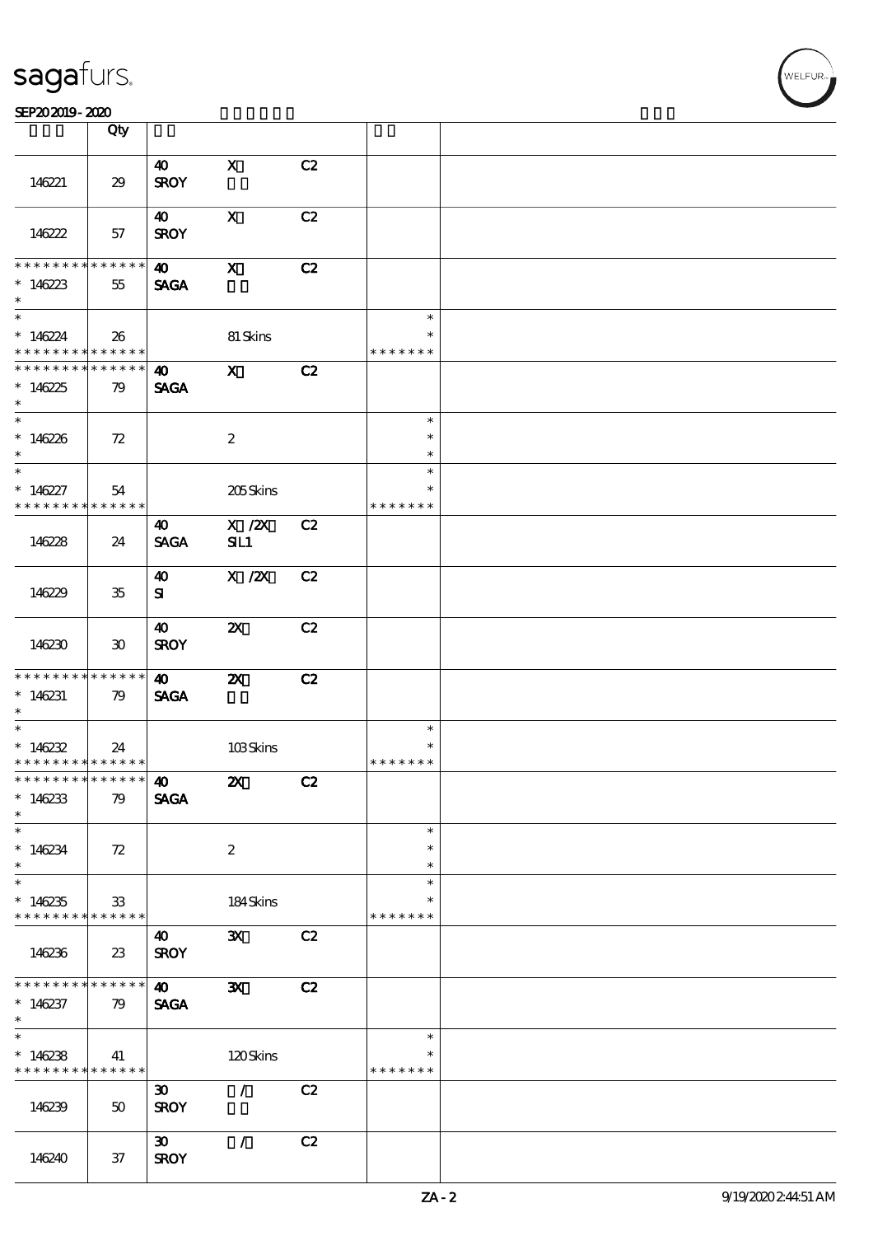#### SEP202019-2020

|                                                                            | Qty                         |                                            |                           |    |                                   |  |
|----------------------------------------------------------------------------|-----------------------------|--------------------------------------------|---------------------------|----|-----------------------------------|--|
| 146221                                                                     | 29                          | $\boldsymbol{\omega}$<br><b>SROY</b>       | $\mathbf{x}$              | C2 |                                   |  |
| 146222                                                                     | 57                          | 40<br><b>SROY</b>                          | $\mathbf{x}$              | C2 |                                   |  |
| * * * * * * * *<br>* $146223$<br>$\ast$                                    | $* * * * * * *$<br>55       | $\boldsymbol{40}$<br><b>SAGA</b>           | $\mathbf{x}$              | C2 |                                   |  |
| $*$<br>$*146224$<br>* * * * * * * * <mark>* * * * * *</mark> *             | 26                          |                                            | 81 Skins                  |    | $\ast$<br>$\ast$<br>* * * * * * * |  |
| * * * * * * * * * * * * * * *<br>$*146225$<br>$*$                          | 79                          | $\boldsymbol{40}$<br><b>SAGA</b>           | $\mathbf{x}$              | C2 |                                   |  |
| $\overline{\phantom{0}}$<br>$*146226$<br>$\ast$                            | 72                          |                                            | $\boldsymbol{2}$          |    | $\ast$<br>$\ast$<br>$\ast$        |  |
| $\overline{\phantom{0}}$<br>$*146227$<br>* * * * * * * *                   | 54<br>* * * * * *           |                                            | 205Skins                  |    | $\ast$<br>$\ast$<br>* * * * * * * |  |
| 146228                                                                     | 24                          | 40<br><b>SAGA</b>                          | $X$ / $ZX$<br>SL1         | C2 |                                   |  |
| 146229                                                                     | $35\,$                      | 40<br>${\bf s}$                            | $X$ / $ZX$                | C2 |                                   |  |
| 146230                                                                     | $\boldsymbol{\mathfrak{D}}$ | $\boldsymbol{\omega}$<br><b>SROY</b>       | $\boldsymbol{\mathsf{Z}}$ | C2 |                                   |  |
| * * * * * * * * <mark>* * * * * *</mark><br>$*146231$<br>$\ast$            | 79                          | 40<br><b>SAGA</b>                          | $\boldsymbol{\mathsf{X}}$ | C2 |                                   |  |
| $*$<br>* $146232$<br>* * * * * * * * <mark>* * * * * * *</mark>            | 24                          |                                            | 103Skins                  |    | $\ast$<br>$\ast$<br>* * * * * * * |  |
| ************** 10<br>$*146233$<br>$\ast$                                   | 79                          | <b>SAGA</b>                                | $\boldsymbol{\mathsf{Z}}$ | C2 |                                   |  |
| $*146234$<br>$\ast$                                                        | 72                          |                                            | $\boldsymbol{2}$          |    | $\ast$<br>$\ast$<br>$\ast$        |  |
| $*146235$<br>* * * * * * * * <mark>* * * * * * *</mark>                    | 33                          |                                            | 184Skins                  |    | $\ast$<br>*<br>* * * * * * *      |  |
| 146236                                                                     | $23\,$                      | 40<br><b>SROY</b>                          | $\mathbf{x}$              | C2 |                                   |  |
| * * * * * * * *<br>$*146237$<br>$\ast$                                     | $* * * * * * *$<br>79       | $\boldsymbol{\omega}$<br><b>SAGA</b>       | $\mathbf{x}$              | C2 |                                   |  |
| $\overline{\ast}$<br>$*146238$<br>* * * * * * * * <mark>* * * * * *</mark> | 41                          |                                            | 120Skins                  |    | $\ast$<br>$\ast$<br>* * * * * * * |  |
| 146239                                                                     | 50                          | $\boldsymbol{\mathfrak{D}}$<br><b>SROY</b> | $\mathcal{L}$             | C2 |                                   |  |
| 146240                                                                     | $37\,$                      | $\boldsymbol{\mathfrak{D}}$<br><b>SROY</b> | $\mathcal{L}$             | C2 |                                   |  |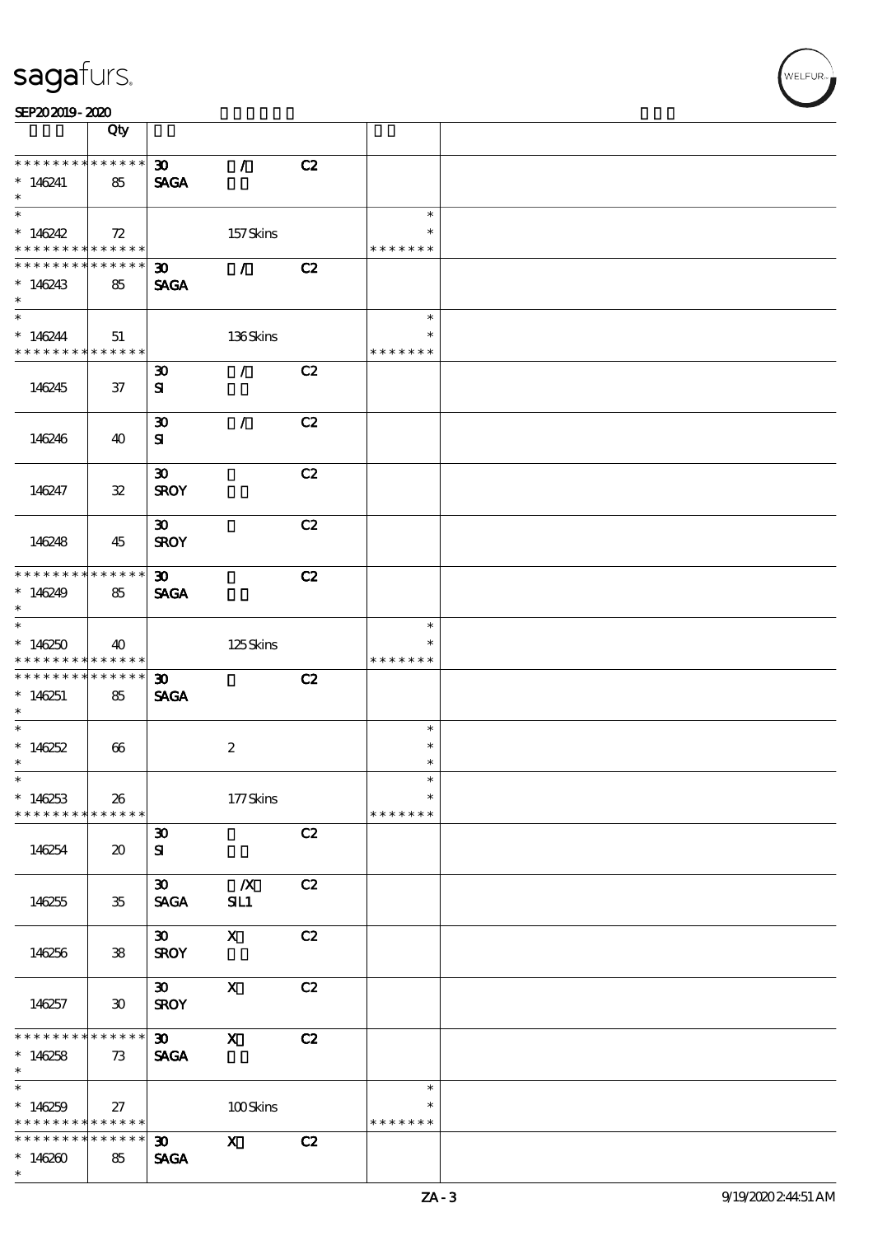|                                            | Qty                         |                             |                                 |    |               |  |
|--------------------------------------------|-----------------------------|-----------------------------|---------------------------------|----|---------------|--|
| * * * * * * * * * * * * * * <mark>*</mark> |                             | $\infty$                    | $\mathcal{T}$                   | C2 |               |  |
| $*146241$                                  | 85                          | <b>SAGA</b>                 |                                 |    |               |  |
| $\ast$                                     |                             |                             |                                 |    |               |  |
|                                            |                             |                             |                                 |    | $\ast$        |  |
| $*146242$                                  | 72                          |                             | 157Skins                        |    | $\ast$        |  |
| * * * * * * * * <mark>* * * * * *</mark>   |                             |                             |                                 |    | * * * * * * * |  |
| * * * * * * * *                            | ******                      | $\boldsymbol{\mathfrak{D}}$ | $\mathcal{L}$ and $\mathcal{L}$ | C2 |               |  |
| $*146243$                                  | 85                          | <b>SAGA</b>                 |                                 |    |               |  |
| $\ast$                                     |                             |                             |                                 |    |               |  |
| $\ast$                                     |                             |                             |                                 |    | $\ast$        |  |
| $*146244$                                  | 51                          |                             | 136Skins                        |    | $\ast$        |  |
| * * * * * * * * <mark>* * * * * *</mark>   |                             |                             |                                 |    | * * * * * * * |  |
|                                            |                             | $\boldsymbol{\mathfrak{D}}$ | $\mathcal{L}$                   | C2 |               |  |
| 146245                                     | 37                          | ${\bf s}$                   |                                 |    |               |  |
|                                            |                             |                             |                                 |    |               |  |
|                                            |                             | $\boldsymbol{\mathfrak{D}}$ | $\mathcal{L}$                   | C2 |               |  |
| 146246                                     | 40                          | ${\bf s}$                   |                                 |    |               |  |
|                                            |                             |                             |                                 |    |               |  |
|                                            |                             | $\boldsymbol{\mathfrak{D}}$ |                                 | C2 |               |  |
| 146247                                     | ${\bf 32}$                  | <b>SROY</b>                 |                                 |    |               |  |
|                                            |                             |                             |                                 |    |               |  |
|                                            |                             | 30 <sub>o</sub>             |                                 | C2 |               |  |
| 146248                                     | 45                          | <b>SROY</b>                 |                                 |    |               |  |
| * * * * * * * * <mark>* * * * * *</mark>   |                             |                             |                                 |    |               |  |
|                                            |                             | $\boldsymbol{\mathfrak{D}}$ |                                 | C2 |               |  |
| $*146249$<br>$\ast$                        | 85                          | <b>SAGA</b>                 |                                 |    |               |  |
| $\overline{\ast}$                          |                             |                             |                                 |    | $\ast$        |  |
| $*146250$                                  | 40                          |                             | 125Skins                        |    |               |  |
| * * * * * * * * <mark>* * * * * *</mark>   |                             |                             |                                 |    | * * * * * * * |  |
| * * * * * * * * <mark>*</mark>             | $* * * * * * *$             | $\boldsymbol{\mathfrak{D}}$ |                                 | C2 |               |  |
| $*146251$                                  | 85                          | <b>SAGA</b>                 |                                 |    |               |  |
| $\ast$                                     |                             |                             |                                 |    |               |  |
| $\ast$                                     |                             |                             |                                 |    | $\ast$        |  |
| $*146252$                                  | 66                          |                             | $\boldsymbol{2}$                |    | $\ast$        |  |
| $\ast$                                     |                             |                             |                                 |    | $\ast$        |  |
| $\ast$                                     |                             |                             |                                 |    | $\ast$        |  |
| $*146253$                                  | 26                          |                             | 177Skins                        |    | $\ast$        |  |
| * * * * * * * *                            | $* * * * * * *$             |                             |                                 |    | * * * * * * * |  |
|                                            |                             | $\boldsymbol{\mathfrak{D}}$ |                                 | C2 |               |  |
| 146254                                     | $\boldsymbol{\mathfrak{D}}$ | ${\bf s}$                   |                                 |    |               |  |
|                                            |                             |                             |                                 |    |               |  |
|                                            |                             | $\boldsymbol{\mathfrak{D}}$ | $\mathbf{X}$                    | C2 |               |  |
| 146255                                     | $35\,$                      | <b>SAGA</b>                 | SL1                             |    |               |  |
|                                            |                             |                             |                                 |    |               |  |
|                                            |                             | $\boldsymbol{\mathfrak{D}}$ | $\mathbf{x}$                    | C2 |               |  |
| 146256                                     | ${\bf 38}$                  | <b>SROY</b>                 |                                 |    |               |  |
|                                            |                             |                             |                                 |    |               |  |
|                                            |                             | $\infty$                    | $\mathbf{x}$                    | C2 |               |  |
| 146257                                     | $\boldsymbol{\mathfrak{D}}$ | <b>SROY</b>                 |                                 |    |               |  |
|                                            |                             |                             |                                 |    |               |  |
| * * * * * * * *                            | * * * * * *                 | $\infty$                    | $\boldsymbol{\mathrm{X}}$       | C2 |               |  |
| $*146258$<br>$\ast$                        | 73                          | <b>SAGA</b>                 |                                 |    |               |  |
| $\overline{\ast}$                          |                             |                             |                                 |    | $\ast$        |  |
| $*146259$                                  | 27                          |                             | 100Skins                        |    | $\ast$        |  |
| * * * * * * * * <mark>* * * * * *</mark>   |                             |                             |                                 |    | * * * * * * * |  |
| * * * * * * * *                            | * * * * * *                 | $30 -$                      | $\mathbf x$                     | C2 |               |  |
| $*146260$                                  | 85                          | <b>SAGA</b>                 |                                 |    |               |  |
| $\ast$                                     |                             |                             |                                 |    |               |  |
|                                            |                             |                             |                                 |    |               |  |

 $\overline{\mathsf{T}}$ 

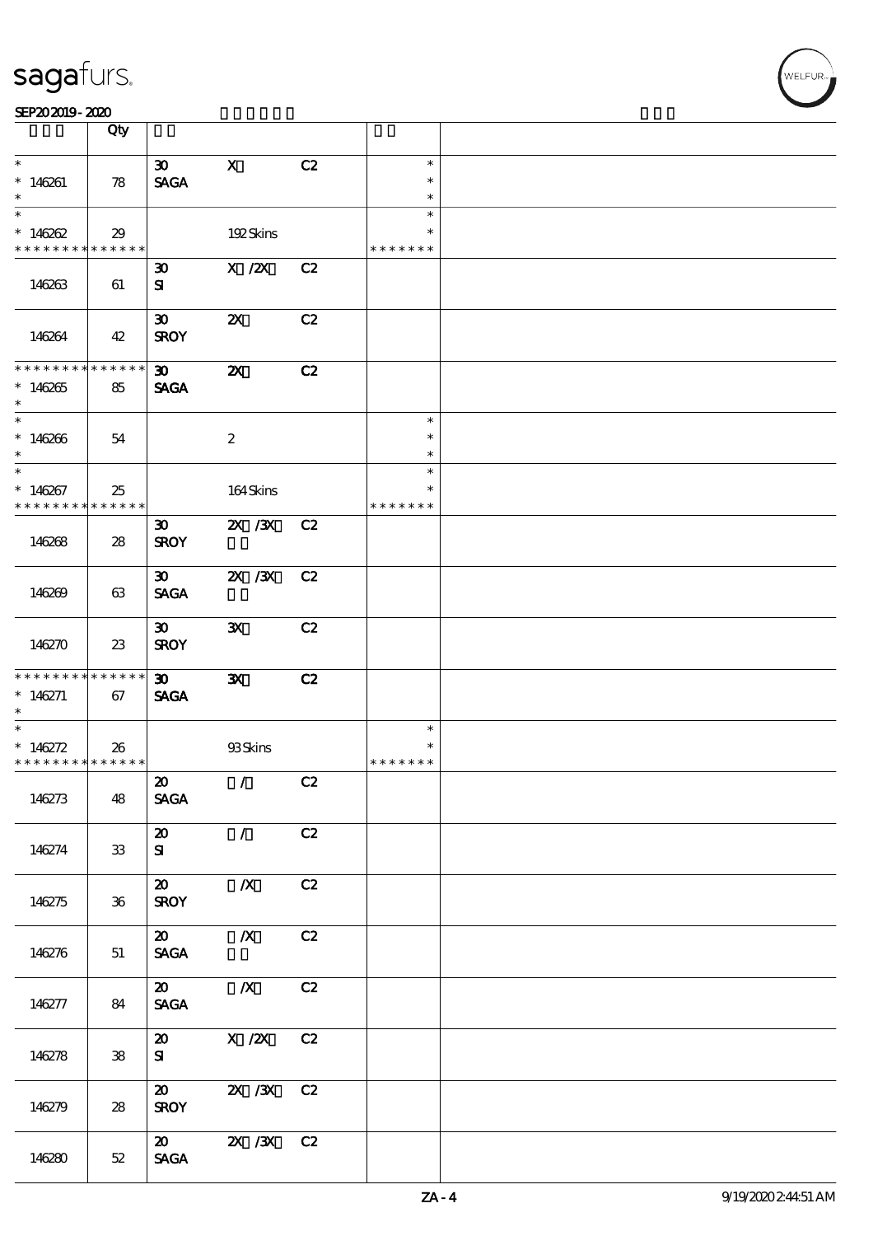|                                          | Qty                        |                                |                           |    |               |  |
|------------------------------------------|----------------------------|--------------------------------|---------------------------|----|---------------|--|
| $\ast$                                   |                            | $\boldsymbol{\mathfrak{D}}$    | $\mathbf x$               | C2 | $\ast$        |  |
|                                          |                            |                                |                           |    | $\ast$        |  |
| $*146261$<br>$\ast$                      | 78                         | <b>SAGA</b>                    |                           |    | $\ast$        |  |
| $\overline{\phantom{1}}$                 |                            |                                |                           |    | $\ast$        |  |
|                                          |                            |                                |                           |    | $\ast$        |  |
| $*146262$<br>* * * * * * * * * * * * * * | 29                         |                                | 192Skins                  |    | * * * * * * * |  |
|                                          |                            |                                |                           |    |               |  |
|                                          |                            | $\boldsymbol{\mathfrak{D}}$    | $X$ / $ZX$                | C2 |               |  |
| 146263                                   | 61                         | ${\bf s}$                      |                           |    |               |  |
|                                          |                            |                                |                           |    |               |  |
|                                          |                            | $\boldsymbol{\mathfrak{D}}$    | $\boldsymbol{\mathsf{Z}}$ | C2 |               |  |
| 146264                                   | 42                         | <b>SROY</b>                    |                           |    |               |  |
| * * * * * * * * * * * * * *              |                            |                                |                           |    |               |  |
|                                          |                            | $\boldsymbol{\mathfrak{D}}$    | $\boldsymbol{\mathsf{X}}$ | C2 |               |  |
| $*146265$<br>$\ast$                      | 85                         | <b>SAGA</b>                    |                           |    |               |  |
| $\overline{\phantom{0}}$                 |                            |                                |                           |    | $\ast$        |  |
|                                          |                            |                                |                           |    | $\ast$        |  |
| $*146266$<br>$\ast$                      | 54                         |                                | $\boldsymbol{2}$          |    | $\ast$        |  |
| $\ast$                                   |                            |                                |                           |    | $\ast$        |  |
|                                          |                            |                                |                           |    | $\ast$        |  |
| $*146267$<br>* * * * * * * * * * * * * * | 25                         |                                | 164Skins                  |    | * * * * * * * |  |
|                                          |                            | $\boldsymbol{\mathfrak{D}}$    | 2X / 3X C2                |    |               |  |
| 146268                                   |                            | <b>SROY</b>                    |                           |    |               |  |
|                                          | 28                         |                                |                           |    |               |  |
|                                          |                            | $\infty$                       | $X \, X$                  | C2 |               |  |
| 146269                                   | 63                         | <b>SAGA</b>                    |                           |    |               |  |
|                                          |                            |                                |                           |    |               |  |
|                                          |                            | $\boldsymbol{\mathfrak{D}}$    | $\mathbf{x}$              | C2 |               |  |
| 146270                                   | 23                         | <b>SROY</b>                    |                           |    |               |  |
|                                          |                            |                                |                           |    |               |  |
| * * * * * * * * * * * * * *              |                            | $30-1$                         | $\mathbf{x}$              | C2 |               |  |
| $*146271$                                | 67                         | <b>SAGA</b>                    |                           |    |               |  |
| $\ast$                                   |                            |                                |                           |    |               |  |
| $\ast$                                   |                            |                                |                           |    | $\ast$        |  |
| $* 146272$                               | 26                         |                                | 93Skins                   |    | $\ast$        |  |
| * * * * * * * * * * * * * * *            |                            |                                |                           |    | * * * * * * * |  |
|                                          |                            | $\boldsymbol{\omega}$          | $\sqrt{C^2}$              |    |               |  |
| 146273                                   | 48                         | <b>SAGA</b>                    |                           |    |               |  |
|                                          |                            |                                |                           |    |               |  |
|                                          |                            | $\boldsymbol{\omega}$          | $\mathcal{L}$             | C2 |               |  |
| 146274                                   | 33                         | ${\bf s}$                      |                           |    |               |  |
|                                          |                            |                                |                           |    |               |  |
|                                          |                            | $\boldsymbol{\omega}$          | $\boldsymbol{X}$          | C2 |               |  |
| 146275                                   | $36\,$                     | <b>SROY</b>                    |                           |    |               |  |
|                                          |                            |                                |                           |    |               |  |
|                                          |                            | $\boldsymbol{\mathsf{20}}$     | $\boldsymbol{X}$          | C2 |               |  |
| 146276                                   | 51                         | <b>SAGA</b>                    |                           |    |               |  |
|                                          |                            |                                |                           |    |               |  |
|                                          |                            | $\boldsymbol{\mathsf{20}}$     | $\boldsymbol{X}$          | C2 |               |  |
| 146277                                   | 84                         | $\operatorname{\mathsf{SAGA}}$ |                           |    |               |  |
|                                          |                            |                                |                           |    |               |  |
|                                          |                            | $\boldsymbol{\omega}$          | $X$ / $ZX$                | C2 |               |  |
| 146278                                   | $\boldsymbol{\mathcal{S}}$ | ${\bf s}$                      |                           |    |               |  |
|                                          |                            |                                |                           |    |               |  |
|                                          |                            | $\boldsymbol{\omega}$          | 2X / 3X C 2               |    |               |  |
| 146279                                   | 28                         | <b>SROY</b>                    |                           |    |               |  |
|                                          |                            |                                |                           |    |               |  |
|                                          |                            | $\boldsymbol{\omega}$          | 2X / 3X C 2               |    |               |  |
| 146280                                   | $52\,$                     | $\operatorname{\mathsf{SAGA}}$ |                           |    |               |  |
|                                          |                            |                                |                           |    |               |  |

 $\overline{\mathsf{T}}$ 

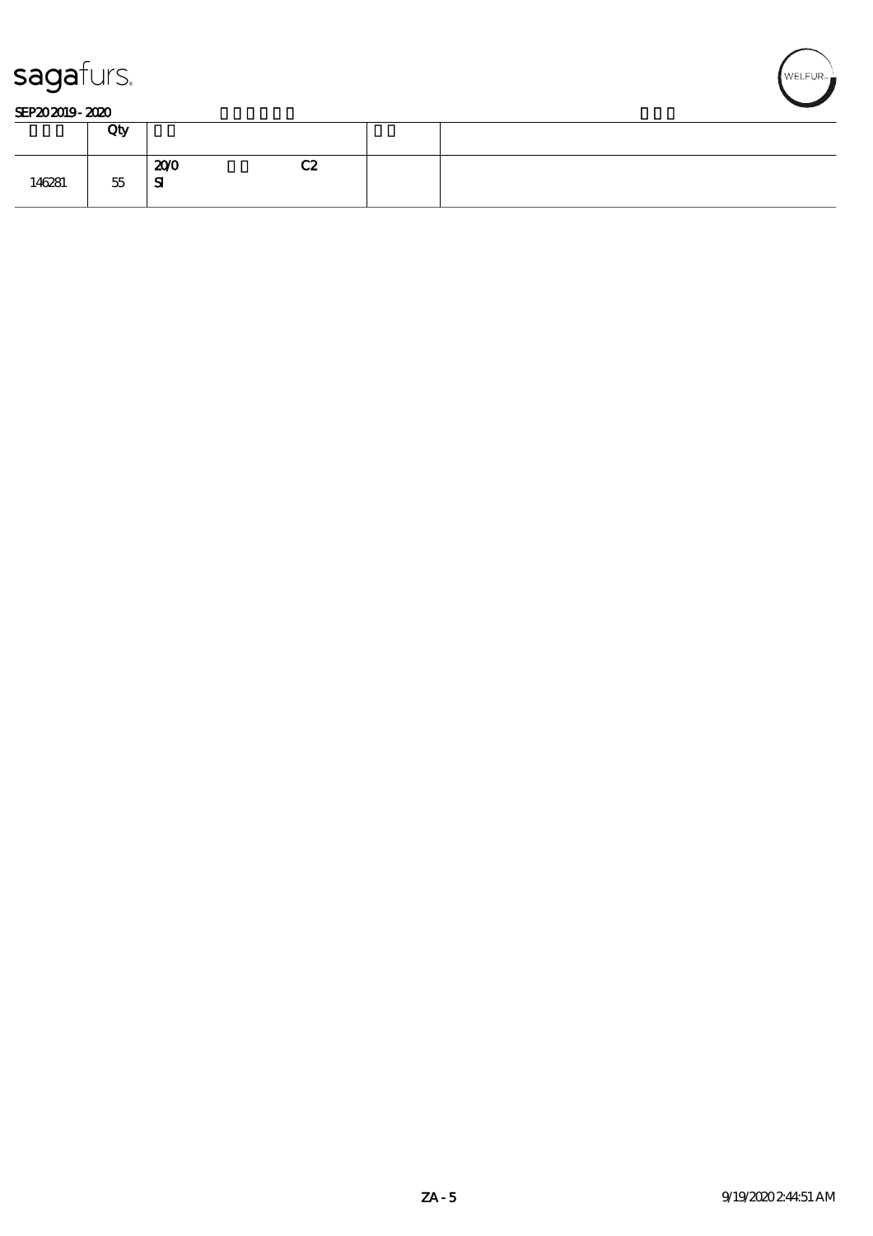



#### SEP202019-2020

|        | Qty    |                  |    |  |
|--------|--------|------------------|----|--|
| 146281 | $55\,$ | 200<br>${\bf s}$ | C2 |  |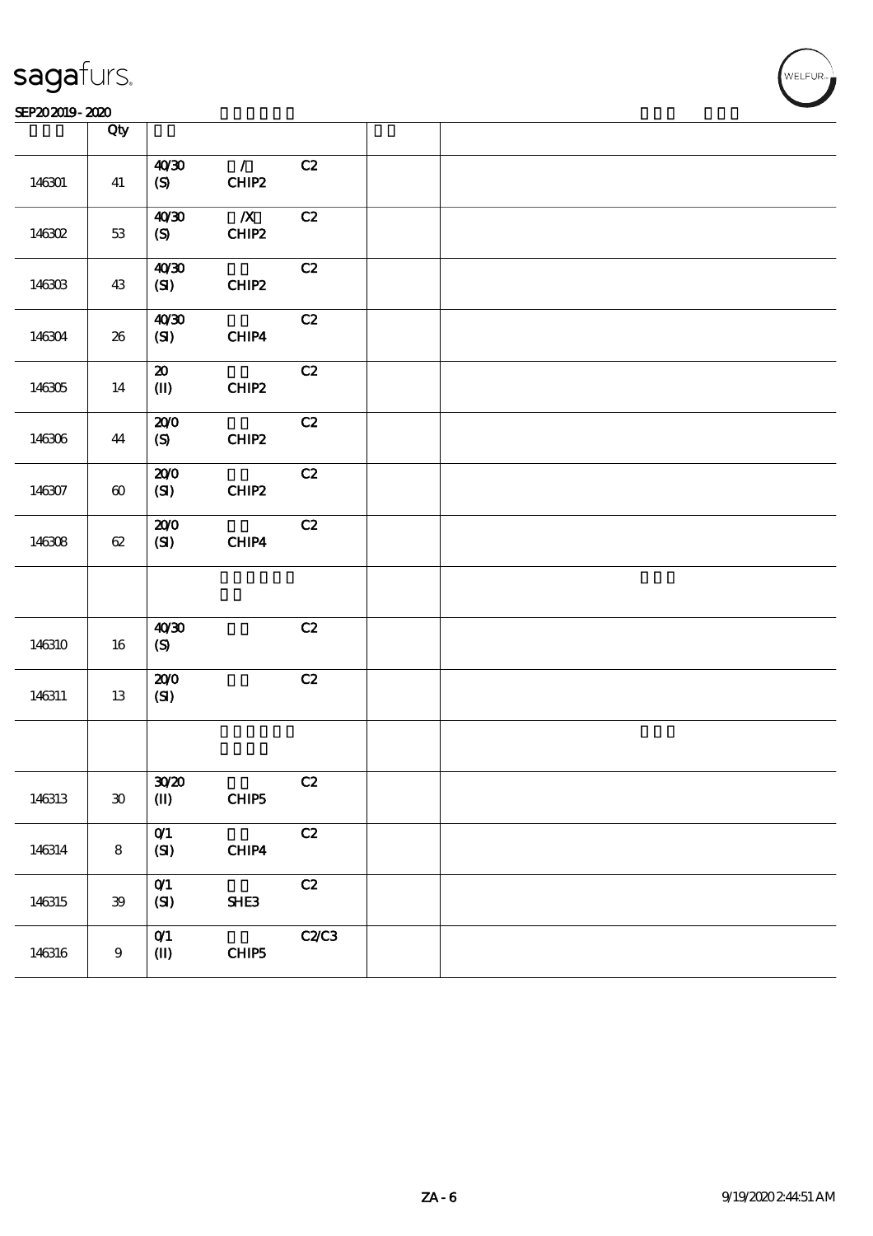#### SEP202019-2020 2020 KEP202019-2020 KEP202019-2020 KEP202019-2020 KEP20

|        | Qty                         |                                    |                           |      |  |  |
|--------|-----------------------------|------------------------------------|---------------------------|------|--|--|
| 146301 | 41                          | 40'30<br>$\boldsymbol{S}$          | $\mathcal{T}$<br>CHIP2    | C2   |  |  |
| 146302 | $53\,$                      | 40'30<br>(S)                       | $\boldsymbol{X}$<br>CHIP2 | C2   |  |  |
| 146303 | 43                          | 40'30<br>(SI)                      | CHIP2                     | C2   |  |  |
| 146304 | 26                          | 40'30<br>$\mathbf{C}$              | CHIP4                     | C2   |  |  |
| 146305 | 14                          | ${\bf Z}$<br>$(\mathbf{I})$        | CHIP2                     | C2   |  |  |
| 146306 | 44                          | 200<br>(S)                         | CHIP2                     | C2   |  |  |
| 146307 | $\boldsymbol{\omega}$       | 200<br>(S)                         | CHIP2                     | C2   |  |  |
| 146308 | 62                          | 200<br>(SI)                        | CHIP4                     | C2   |  |  |
|        |                             |                                    |                           |      |  |  |
| 146310 | 16                          | 40'30<br>(S)                       |                           | C2   |  |  |
| 146311 | 13                          | 200<br>(SI)                        |                           | C2   |  |  |
|        |                             |                                    |                           |      |  |  |
| 146313 | $\boldsymbol{\mathfrak{D}}$ | 30 <sup>20</sup><br>$(\mathbb{I})$ | CHIP <sub>5</sub>         | C2   |  |  |
| 146314 | 8                           | O(1)<br>(SI)                       | CHIP4                     | C2   |  |  |
| 146315 | 39                          | O(1)<br>(SI)                       | SHE3                      | C2   |  |  |
| 146316 | $9\,$                       | O(1)<br>$(\mathbf{I})$             | CHIP5                     | C2C3 |  |  |

T

WELFUR<br>
VELFUR